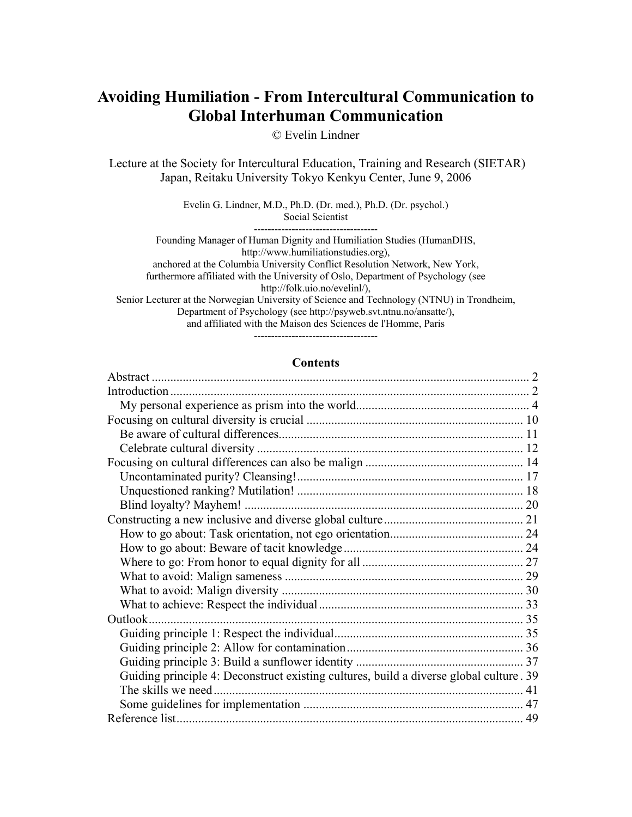# **Avoiding Humiliation - From Intercultural Communication to Global Interhuman Communication**

© Evelin Lindner

Lecture at the Society for Intercultural Education, Training and Research (SIETAR) Japan, Reitaku University Tokyo Kenkyu Center, June 9, 2006

> Evelin G. Lindner, M.D., Ph.D. (Dr. med.), Ph.D. (Dr. psychol.) Social Scientist

------------------------------------ Founding Manager of Human Dignity and Humiliation Studies (HumanDHS, http://www.humiliationstudies.org), anchored at the Columbia University Conflict Resolution Network, New York, furthermore affiliated with the University of Oslo, Department of Psychology (see http://folk.uio.no/evelinl/), Senior Lecturer at the Norwegian University of Science and Technology (NTNU) in Trondheim, Department of Psychology (see http://psyweb.svt.ntnu.no/ansatte/), and affiliated with the Maison des Sciences de l'Homme, Paris ------------------------------------

#### **Contents**

| Outlook.                                                                               |  |
|----------------------------------------------------------------------------------------|--|
|                                                                                        |  |
|                                                                                        |  |
|                                                                                        |  |
| Guiding principle 4: Deconstruct existing cultures, build a diverse global culture. 39 |  |
| The skills we need.                                                                    |  |
|                                                                                        |  |
|                                                                                        |  |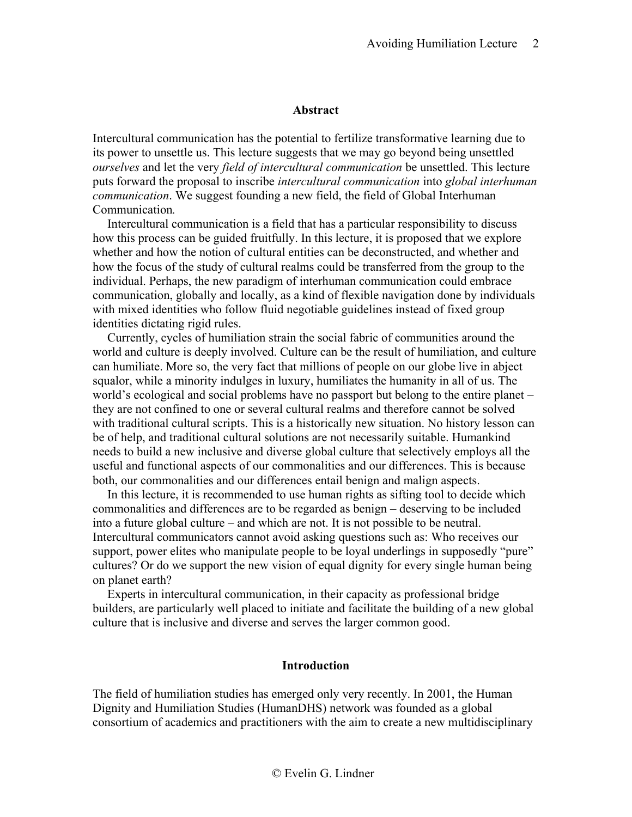### **Abstract**

<span id="page-1-0"></span>Intercultural communication has the potential to fertilize transformative learning due to its power to unsettle us. This lecture suggests that we may go beyond being unsettled *ourselves* and let the very *field of intercultural communication* be unsettled. This lecture puts forward the proposal to inscribe *intercultural communication* into *global interhuman communication*. We suggest founding a new field, the field of Global Interhuman Communication*.*

Intercultural communication is a field that has a particular responsibility to discuss how this process can be guided fruitfully. In this lecture, it is proposed that we explore whether and how the notion of cultural entities can be deconstructed, and whether and how the focus of the study of cultural realms could be transferred from the group to the individual. Perhaps, the new paradigm of interhuman communication could embrace communication, globally and locally, as a kind of flexible navigation done by individuals with mixed identities who follow fluid negotiable guidelines instead of fixed group identities dictating rigid rules.

Currently, cycles of humiliation strain the social fabric of communities around the world and culture is deeply involved. Culture can be the result of humiliation, and culture can humiliate. More so, the very fact that millions of people on our globe live in abject squalor, while a minority indulges in luxury, humiliates the humanity in all of us. The world's ecological and social problems have no passport but belong to the entire planet – they are not confined to one or several cultural realms and therefore cannot be solved with traditional cultural scripts. This is a historically new situation. No history lesson can be of help, and traditional cultural solutions are not necessarily suitable. Humankind needs to build a new inclusive and diverse global culture that selectively employs all the useful and functional aspects of our commonalities and our differences. This is because both, our commonalities and our differences entail benign and malign aspects.

In this lecture, it is recommended to use human rights as sifting tool to decide which commonalities and differences are to be regarded as benign – deserving to be included into a future global culture – and which are not. It is not possible to be neutral. Intercultural communicators cannot avoid asking questions such as: Who receives our support, power elites who manipulate people to be loyal underlings in supposedly "pure" cultures? Or do we support the new vision of equal dignity for every single human being on planet earth?

Experts in intercultural communication, in their capacity as professional bridge builders, are particularly well placed to initiate and facilitate the building of a new global culture that is inclusive and diverse and serves the larger common good.

### **Introduction**

<span id="page-1-1"></span>The field of humiliation studies has emerged only very recently. In 2001, the Human Dignity and Humiliation Studies (HumanDHS) network was founded as a global consortium of academics and practitioners with the aim to create a new multidisciplinary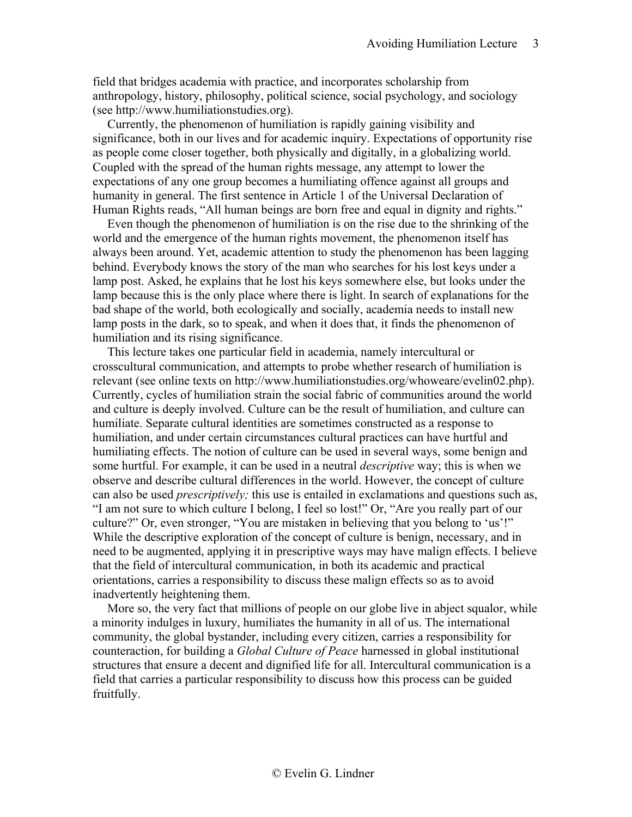field that bridges academia with practice, and incorporates scholarship from anthropology, history, philosophy, political science, social psychology, and sociology (see [http://www.humiliationstudies.org\)](http://www.humiliationstudies.org/).

Currently, the phenomenon of humiliation is rapidly gaining visibility and significance, both in our lives and for academic inquiry. Expectations of opportunity rise as people come closer together, both physically and digitally, in a globalizing world. Coupled with the spread of the human rights message, any attempt to lower the expectations of any one group becomes a humiliating offence against all groups and humanity in general. The first sentence in Article 1 of the Universal Declaration of Human Rights reads, "All human beings are born free and equal in dignity and rights."

Even though the phenomenon of humiliation is on the rise due to the shrinking of the world and the emergence of the human rights movement, the phenomenon itself has always been around. Yet, academic attention to study the phenomenon has been lagging behind. Everybody knows the story of the man who searches for his lost keys under a lamp post. Asked, he explains that he lost his keys somewhere else, but looks under the lamp because this is the only place where there is light. In search of explanations for the bad shape of the world, both ecologically and socially, academia needs to install new lamp posts in the dark, so to speak, and when it does that, it finds the phenomenon of humiliation and its rising significance.

This lecture takes one particular field in academia, namely intercultural or crosscultural communication, and attempts to probe whether research of humiliation is relevant (see online texts on http://www.humiliationstudies.org/whoweare/evelin02.php). Currently, cycles of humiliation strain the social fabric of communities around the world and culture is deeply involved. Culture can be the result of humiliation, and culture can humiliate. Separate cultural identities are sometimes constructed as a response to humiliation, and under certain circumstances cultural practices can have hurtful and humiliating effects. The notion of culture can be used in several ways, some benign and some hurtful. For example, it can be used in a neutral *descriptive* way; this is when we observe and describe cultural differences in the world. However, the concept of culture can also be used *prescriptively;* this use is entailed in exclamations and questions such as, "I am not sure to which culture I belong, I feel so lost!" Or, "Are you really part of our culture?" Or, even stronger, "You are mistaken in believing that you belong to 'us'!" While the descriptive exploration of the concept of culture is benign, necessary, and in need to be augmented, applying it in prescriptive ways may have malign effects. I believe that the field of intercultural communication, in both its academic and practical orientations, carries a responsibility to discuss these malign effects so as to avoid inadvertently heightening them.

More so, the very fact that millions of people on our globe live in abject squalor, while a minority indulges in luxury, humiliates the humanity in all of us. The international community, the global bystander, including every citizen, carries a responsibility for counteraction, for building a *Global Culture of Peace* harnessed in global institutional structures that ensure a decent and dignified life for all. Intercultural communication is a field that carries a particular responsibility to discuss how this process can be guided fruitfully.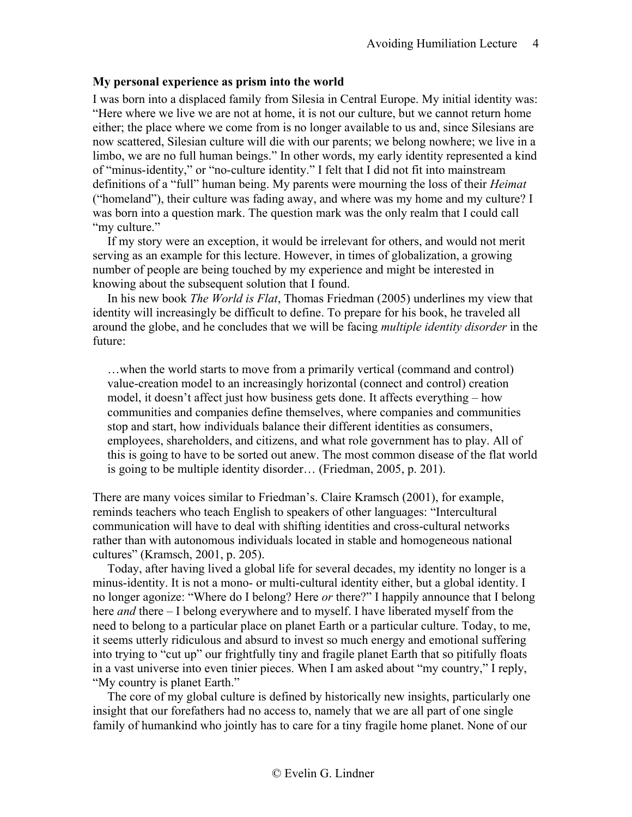# <span id="page-3-0"></span>**My personal experience as prism into the world**

I was born into a displaced family from Silesia in Central Europe. My initial identity was: "Here where we live we are not at home, it is not our culture, but we cannot return home either; the place where we come from is no longer available to us and, since Silesians are now scattered, Silesian culture will die with our parents; we belong nowhere; we live in a limbo, we are no full human beings." In other words, my early identity represented a kind of "minus-identity," or "no-culture identity." I felt that I did not fit into mainstream definitions of a "full" human being. My parents were mourning the loss of their *Heimat* ("homeland"), their culture was fading away, and where was my home and my culture? I was born into a question mark. The question mark was the only realm that I could call "my culture."

If my story were an exception, it would be irrelevant for others, and would not merit serving as an example for this lecture. However, in times of globalization, a growing number of people are being touched by my experience and might be interested in knowing about the subsequent solution that I found.

In his new book *The World is Flat*, Thomas Friedman (2005) underlines my view that identity will increasingly be difficult to define. To prepare for his book, he traveled all around the globe, and he concludes that we will be facing *multiple identity disorder* in the future:

…when the world starts to move from a primarily vertical (command and control) value-creation model to an increasingly horizontal (connect and control) creation model, it doesn't affect just how business gets done. It affects everything – how communities and companies define themselves, where companies and communities stop and start, how individuals balance their different identities as consumers, employees, shareholders, and citizens, and what role government has to play. All of this is going to have to be sorted out anew. The most common disease of the flat world is going to be multiple identity disorder… (Friedman, 2005, p. 201).

There are many voices similar to Friedman's. Claire Kramsch (2001), for example, reminds teachers who teach English to speakers of other languages: "Intercultural communication will have to deal with shifting identities and cross-cultural networks rather than with autonomous individuals located in stable and homogeneous national cultures" (Kramsch, 2001, p. 205).

Today, after having lived a global life for several decades, my identity no longer is a minus-identity. It is not a mono- or multi-cultural identity either, but a global identity. I no longer agonize: "Where do I belong? Here *or* there?" I happily announce that I belong here *and* there – I belong everywhere and to myself. I have liberated myself from the need to belong to a particular place on planet Earth or a particular culture. Today, to me, it seems utterly ridiculous and absurd to invest so much energy and emotional suffering into trying to "cut up" our frightfully tiny and fragile planet Earth that so pitifully floats in a vast universe into even tinier pieces. When I am asked about "my country," I reply, "My country is planet Earth."

The core of my global culture is defined by historically new insights, particularly one insight that our forefathers had no access to, namely that we are all part of one single family of humankind who jointly has to care for a tiny fragile home planet. None of our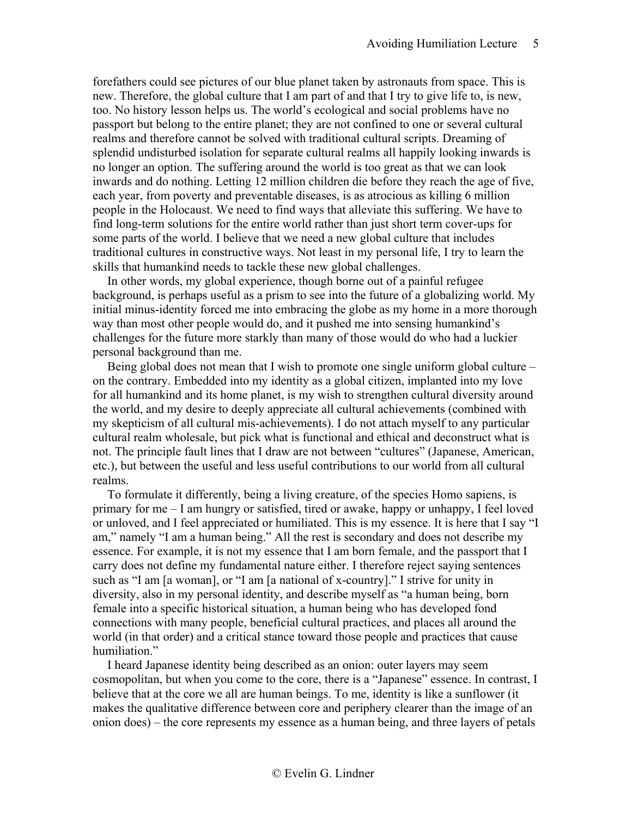forefathers could see pictures of our blue planet taken by astronauts from space. This is new. Therefore, the global culture that I am part of and that I try to give life to, is new, too. No history lesson helps us. The world's ecological and social problems have no passport but belong to the entire planet; they are not confined to one or several cultural realms and therefore cannot be solved with traditional cultural scripts. Dreaming of splendid undisturbed isolation for separate cultural realms all happily looking inwards is no longer an option. The suffering around the world is too great as that we can look inwards and do nothing. Letting 12 million children die before they reach the age of five, each year, from poverty and preventable diseases, is as atrocious as killing 6 million people in the Holocaust. We need to find ways that alleviate this suffering. We have to find long-term solutions for the entire world rather than just short term cover-ups for some parts of the world. I believe that we need a new global culture that includes traditional cultures in constructive ways. Not least in my personal life, I try to learn the skills that humankind needs to tackle these new global challenges.

In other words, my global experience, though borne out of a painful refugee background, is perhaps useful as a prism to see into the future of a globalizing world. My initial minus-identity forced me into embracing the globe as my home in a more thorough way than most other people would do, and it pushed me into sensing humankind's challenges for the future more starkly than many of those would do who had a luckier personal background than me.

Being global does not mean that I wish to promote one single uniform global culture – on the contrary. Embedded into my identity as a global citizen, implanted into my love for all humankind and its home planet, is my wish to strengthen cultural diversity around the world, and my desire to deeply appreciate all cultural achievements (combined with my skepticism of all cultural mis-achievements). I do not attach myself to any particular cultural realm wholesale, but pick what is functional and ethical and deconstruct what is not. The principle fault lines that I draw are not between "cultures" (Japanese, American, etc.), but between the useful and less useful contributions to our world from all cultural realms.

To formulate it differently, being a living creature, of the species Homo sapiens, is primary for me – I am hungry or satisfied, tired or awake, happy or unhappy, I feel loved or unloved, and I feel appreciated or humiliated. This is my essence. It is here that I say "I am," namely "I am a human being." All the rest is secondary and does not describe my essence. For example, it is not my essence that I am born female, and the passport that I carry does not define my fundamental nature either. I therefore reject saying sentences such as "I am [a woman], or "I am [a national of x-country]." I strive for unity in diversity, also in my personal identity, and describe myself as "a human being, born female into a specific historical situation, a human being who has developed fond connections with many people, beneficial cultural practices, and places all around the world (in that order) and a critical stance toward those people and practices that cause humiliation."

I heard Japanese identity being described as an onion: outer layers may seem cosmopolitan, but when you come to the core, there is a "Japanese" essence. In contrast, I believe that at the core we all are human beings. To me, identity is like a sunflower (it makes the qualitative difference between core and periphery clearer than the image of an onion does) – the core represents my essence as a human being, and three layers of petals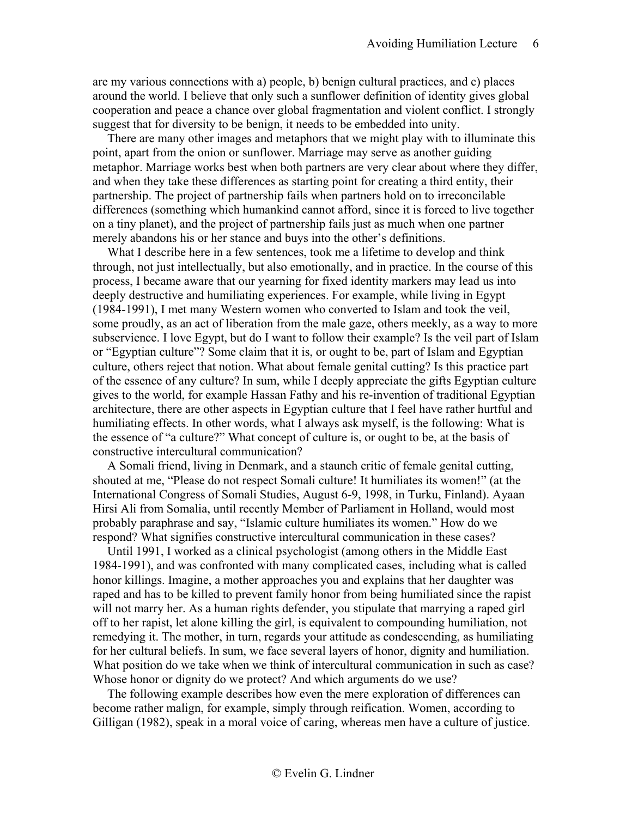are my various connections with a) people, b) benign cultural practices, and c) places around the world. I believe that only such a sunflower definition of identity gives global cooperation and peace a chance over global fragmentation and violent conflict. I strongly suggest that for diversity to be benign, it needs to be embedded into unity.

There are many other images and metaphors that we might play with to illuminate this point, apart from the onion or sunflower. Marriage may serve as another guiding metaphor. Marriage works best when both partners are very clear about where they differ, and when they take these differences as starting point for creating a third entity, their partnership. The project of partnership fails when partners hold on to irreconcilable differences (something which humankind cannot afford, since it is forced to live together on a tiny planet), and the project of partnership fails just as much when one partner merely abandons his or her stance and buys into the other's definitions.

What I describe here in a few sentences, took me a lifetime to develop and think through, not just intellectually, but also emotionally, and in practice. In the course of this process, I became aware that our yearning for fixed identity markers may lead us into deeply destructive and humiliating experiences. For example, while living in Egypt (1984-1991), I met many Western women who converted to Islam and took the veil, some proudly, as an act of liberation from the male gaze, others meekly, as a way to more subservience. I love Egypt, but do I want to follow their example? Is the veil part of Islam or "Egyptian culture"? Some claim that it is, or ought to be, part of Islam and Egyptian culture, others reject that notion. What about female genital cutting? Is this practice part of the essence of any culture? In sum, while I deeply appreciate the gifts Egyptian culture gives to the world, for example Hassan Fathy and his re-invention of traditional Egyptian architecture, there are other aspects in Egyptian culture that I feel have rather hurtful and humiliating effects. In other words, what I always ask myself, is the following: What is the essence of "a culture?" What concept of culture is, or ought to be, at the basis of constructive intercultural communication?

A Somali friend, living in Denmark, and a staunch critic of female genital cutting, shouted at me, "Please do not respect Somali culture! It humiliates its women!" (at the International Congress of Somali Studies, August 6-9, 1998, in Turku, Finland). Ayaan Hirsi Ali from Somalia, until recently Member of Parliament in Holland, would most probably paraphrase and say, "Islamic culture humiliates its women." How do we respond? What signifies constructive intercultural communication in these cases?

Until 1991, I worked as a clinical psychologist (among others in the Middle East 1984-1991), and was confronted with many complicated cases, including what is called honor killings. Imagine, a mother approaches you and explains that her daughter was raped and has to be killed to prevent family honor from being humiliated since the rapist will not marry her. As a human rights defender, you stipulate that marrying a raped girl off to her rapist, let alone killing the girl, is equivalent to compounding humiliation, not remedying it. The mother, in turn, regards your attitude as condescending, as humiliating for her cultural beliefs. In sum, we face several layers of honor, dignity and humiliation. What position do we take when we think of intercultural communication in such as case? Whose honor or dignity do we protect? And which arguments do we use?

The following example describes how even the mere exploration of differences can become rather malign, for example, simply through reification. Women, according to Gilligan (1982), speak in a moral voice of caring, whereas men have a culture of justice.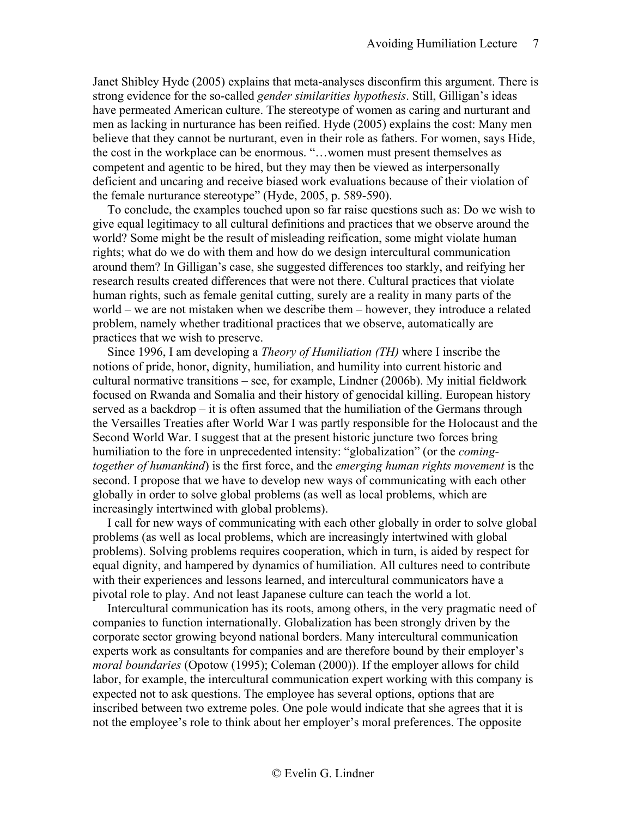Janet Shibley Hyde (2005) explains that meta-analyses disconfirm this argument. There is strong evidence for the so-called *gender similarities hypothesis*. Still, Gilligan's ideas have permeated American culture. The stereotype of women as caring and nurturant and men as lacking in nurturance has been reified. Hyde (2005) explains the cost: Many men believe that they cannot be nurturant, even in their role as fathers. For women, says Hide, the cost in the workplace can be enormous. "…women must present themselves as competent and agentic to be hired, but they may then be viewed as interpersonally deficient and uncaring and receive biased work evaluations because of their violation of the female nurturance stereotype" (Hyde, 2005, p. 589-590).

To conclude, the examples touched upon so far raise questions such as: Do we wish to give equal legitimacy to all cultural definitions and practices that we observe around the world? Some might be the result of misleading reification, some might violate human rights; what do we do with them and how do we design intercultural communication around them? In Gilligan's case, she suggested differences too starkly, and reifying her research results created differences that were not there. Cultural practices that violate human rights, such as female genital cutting, surely are a reality in many parts of the world – we are not mistaken when we describe them – however, they introduce a related problem, namely whether traditional practices that we observe, automatically are practices that we wish to preserve.

Since 1996, I am developing a *Theory of Humiliation (TH)* where I inscribe the notions of pride, honor, dignity, humiliation, and humility into current historic and cultural normative transitions – see, for example, Lindner (2006b). My initial fieldwork focused on Rwanda and Somalia and their history of genocidal killing. European history served as a backdrop – it is often assumed that the humiliation of the Germans through the Versailles Treaties after World War I was partly responsible for the Holocaust and the Second World War. I suggest that at the present historic juncture two forces bring humiliation to the fore in unprecedented intensity: "globalization" (or the *comingtogether of humankind*) is the first force, and the *emerging human rights movement* is the second. I propose that we have to develop new ways of communicating with each other globally in order to solve global problems (as well as local problems, which are increasingly intertwined with global problems).

I call for new ways of communicating with each other globally in order to solve global problems (as well as local problems, which are increasingly intertwined with global problems). Solving problems requires cooperation, which in turn, is aided by respect for equal dignity, and hampered by dynamics of humiliation. All cultures need to contribute with their experiences and lessons learned, and intercultural communicators have a pivotal role to play. And not least Japanese culture can teach the world a lot.

Intercultural communication has its roots, among others, in the very pragmatic need of companies to function internationally. Globalization has been strongly driven by the corporate sector growing beyond national borders. Many intercultural communication experts work as consultants for companies and are therefore bound by their employer's *moral boundaries* (Opotow (1995); Coleman (2000)). If the employer allows for child labor, for example, the intercultural communication expert working with this company is expected not to ask questions. The employee has several options, options that are inscribed between two extreme poles. One pole would indicate that she agrees that it is not the employee's role to think about her employer's moral preferences. The opposite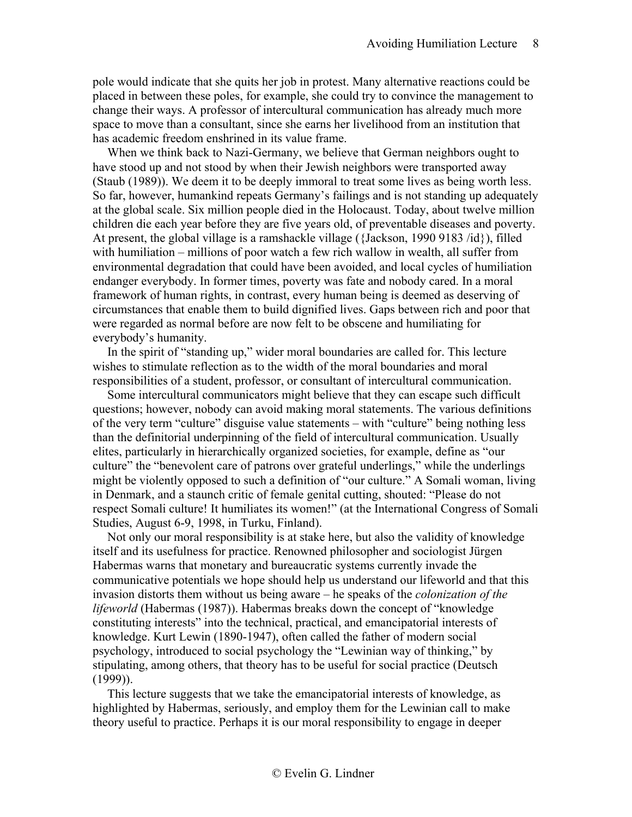pole would indicate that she quits her job in protest. Many alternative reactions could be placed in between these poles, for example, she could try to convince the management to change their ways. A professor of intercultural communication has already much more space to move than a consultant, since she earns her livelihood from an institution that has academic freedom enshrined in its value frame.

When we think back to Nazi-Germany, we believe that German neighbors ought to have stood up and not stood by when their Jewish neighbors were transported away (Staub (1989)). We deem it to be deeply immoral to treat some lives as being worth less. So far, however, humankind repeats Germany's failings and is not standing up adequately at the global scale. Six million people died in the Holocaust. Today, about twelve million children die each year before they are five years old, of preventable diseases and poverty. At present, the global village is a ramshackle village ({Jackson, 1990 9183 /id}), filled with humiliation – millions of poor watch a few rich wallow in wealth, all suffer from environmental degradation that could have been avoided, and local cycles of humiliation endanger everybody. In former times, poverty was fate and nobody cared. In a moral framework of human rights, in contrast, every human being is deemed as deserving of circumstances that enable them to build dignified lives. Gaps between rich and poor that were regarded as normal before are now felt to be obscene and humiliating for everybody's humanity.

In the spirit of "standing up," wider moral boundaries are called for. This lecture wishes to stimulate reflection as to the width of the moral boundaries and moral responsibilities of a student, professor, or consultant of intercultural communication.

Some intercultural communicators might believe that they can escape such difficult questions; however, nobody can avoid making moral statements. The various definitions of the very term "culture" disguise value statements – with "culture" being nothing less than the definitorial underpinning of the field of intercultural communication. Usually elites, particularly in hierarchically organized societies, for example, define as "our culture" the "benevolent care of patrons over grateful underlings," while the underlings might be violently opposed to such a definition of "our culture." A Somali woman, living in Denmark, and a staunch critic of female genital cutting, shouted: "Please do not respect Somali culture! It humiliates its women!" (at the International Congress of Somali Studies, August 6-9, 1998, in Turku, Finland).

Not only our moral responsibility is at stake here, but also the validity of knowledge itself and its usefulness for practice. Renowned philosopher and sociologist Jürgen Habermas warns that monetary and bureaucratic systems currently invade the communicative potentials we hope should help us understand our lifeworld and that this invasion distorts them without us being aware – he speaks of the *colonization of the lifeworld* (Habermas (1987)). Habermas breaks down the concept of "knowledge constituting interests" into the technical, practical, and emancipatorial interests of knowledge. Kurt Lewin (1890-1947), often called the father of modern social psychology, introduced to social psychology the "Lewinian way of thinking," by stipulating, among others, that theory has to be useful for social practice (Deutsch (1999)).

This lecture suggests that we take the emancipatorial interests of knowledge, as highlighted by Habermas, seriously, and employ them for the Lewinian call to make theory useful to practice. Perhaps it is our moral responsibility to engage in deeper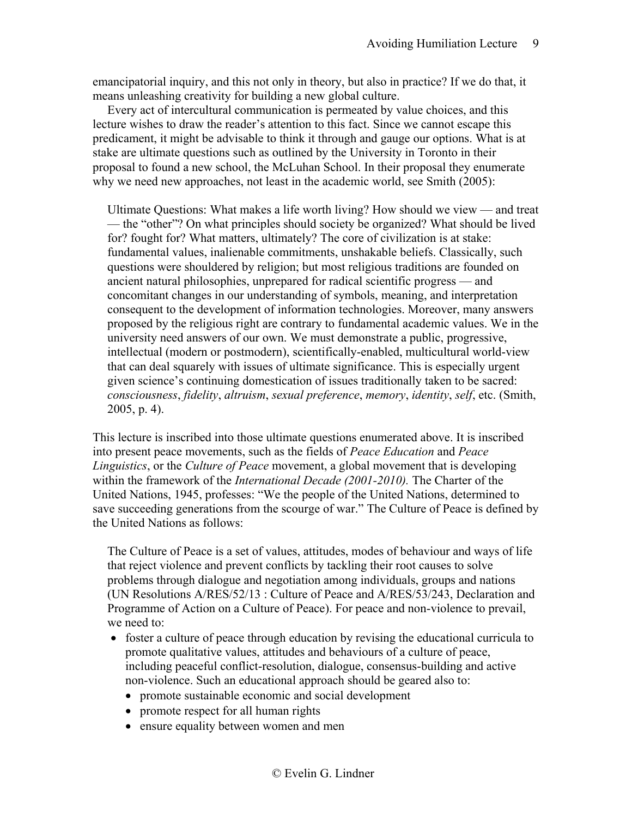emancipatorial inquiry, and this not only in theory, but also in practice? If we do that, it means unleashing creativity for building a new global culture.

Every act of intercultural communication is permeated by value choices, and this lecture wishes to draw the reader's attention to this fact. Since we cannot escape this predicament, it might be advisable to think it through and gauge our options. What is at stake are ultimate questions such as outlined by the University in Toronto in their proposal to found a new school, the McLuhan School. In their proposal they enumerate why we need new approaches, not least in the academic world, see Smith (2005):

Ultimate Questions: What makes a life worth living? How should we view — and treat — the "other"? On what principles should society be organized? What should be lived for? fought for? What matters, ultimately? The core of civilization is at stake: fundamental values, inalienable commitments, unshakable beliefs. Classically, such questions were shouldered by religion; but most religious traditions are founded on ancient natural philosophies, unprepared for radical scientific progress — and concomitant changes in our understanding of symbols, meaning, and interpretation consequent to the development of information technologies. Moreover, many answers proposed by the religious right are contrary to fundamental academic values. We in the university need answers of our own. We must demonstrate a public, progressive, intellectual (modern or postmodern), scientifically-enabled, multicultural world-view that can deal squarely with issues of ultimate significance. This is especially urgent given science's continuing domestication of issues traditionally taken to be sacred: *consciousness*, *fidelity*, *altruism*, *sexual preference*, *memory*, *identity*, *self*, etc. (Smith, 2005, p. 4).

This lecture is inscribed into those ultimate questions enumerated above. It is inscribed into present peace movements, such as the fields of *Peace Education* and *Peace Linguistics*, or the *Culture of Peace* movement, a global movement that is developing within the framework of the *International Decade (2001-2010).* The Charter of the United Nations, 1945, professes: "We the people of the United Nations, determined to save succeeding generations from the scourge of war." The Culture of Peace is defined by the United Nations as follows:

The Culture of Peace is a set of values, attitudes, modes of behaviour and ways of life that reject violence and prevent conflicts by tackling their root causes to solve problems through dialogue and negotiation among individuals, groups and nations (UN Resolutions A/RES/52/13 : Culture of Peace and A/RES/53/243, Declaration and Programme of Action on a Culture of Peace). For peace and non-violence to prevail, we need to:

- foster a culture of peace through education by revising the educational curricula to promote qualitative values, attitudes and behaviours of a culture of peace, including peaceful conflict-resolution, dialogue, consensus-building and active non-violence. Such an educational approach should be geared also to:
	- promote sustainable economic and social development
	- promote respect for all human rights
	- ensure equality between women and men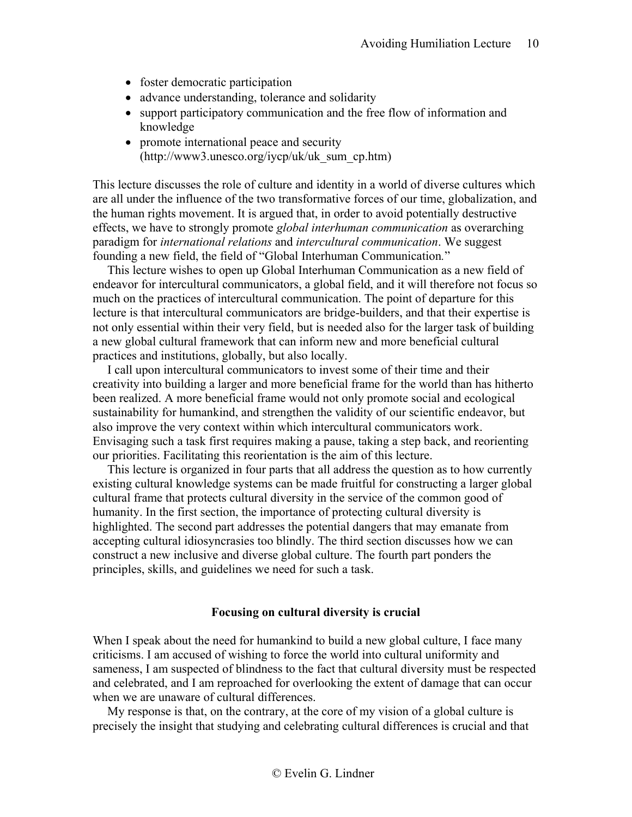- foster democratic participation
- advance understanding, tolerance and solidarity
- support participatory communication and the free flow of information and knowledge
- promote international peace and security (http://www3.unesco.org/iycp/uk/uk\_sum\_cp.htm)

This lecture discusses the role of culture and identity in a world of diverse cultures which are all under the influence of the two transformative forces of our time, globalization, and the human rights movement. It is argued that, in order to avoid potentially destructive effects, we have to strongly promote *global interhuman communication* as overarching paradigm for *international relations* and *intercultural communication*. We suggest founding a new field, the field of "Global Interhuman Communication*.*"

This lecture wishes to open up Global Interhuman Communication as a new field of endeavor for intercultural communicators, a global field, and it will therefore not focus so much on the practices of intercultural communication. The point of departure for this lecture is that intercultural communicators are bridge-builders, and that their expertise is not only essential within their very field, but is needed also for the larger task of building a new global cultural framework that can inform new and more beneficial cultural practices and institutions, globally, but also locally.

I call upon intercultural communicators to invest some of their time and their creativity into building a larger and more beneficial frame for the world than has hitherto been realized. A more beneficial frame would not only promote social and ecological sustainability for humankind, and strengthen the validity of our scientific endeavor, but also improve the very context within which intercultural communicators work. Envisaging such a task first requires making a pause, taking a step back, and reorienting our priorities. Facilitating this reorientation is the aim of this lecture.

This lecture is organized in four parts that all address the question as to how currently existing cultural knowledge systems can be made fruitful for constructing a larger global cultural frame that protects cultural diversity in the service of the common good of humanity. In the first section, the importance of protecting cultural diversity is highlighted. The second part addresses the potential dangers that may emanate from accepting cultural idiosyncrasies too blindly. The third section discusses how we can construct a new inclusive and diverse global culture. The fourth part ponders the principles, skills, and guidelines we need for such a task.

### **Focusing on cultural diversity is crucial**

<span id="page-9-0"></span>When I speak about the need for humankind to build a new global culture, I face many criticisms. I am accused of wishing to force the world into cultural uniformity and sameness, I am suspected of blindness to the fact that cultural diversity must be respected and celebrated, and I am reproached for overlooking the extent of damage that can occur when we are unaware of cultural differences.

My response is that, on the contrary, at the core of my vision of a global culture is precisely the insight that studying and celebrating cultural differences is crucial and that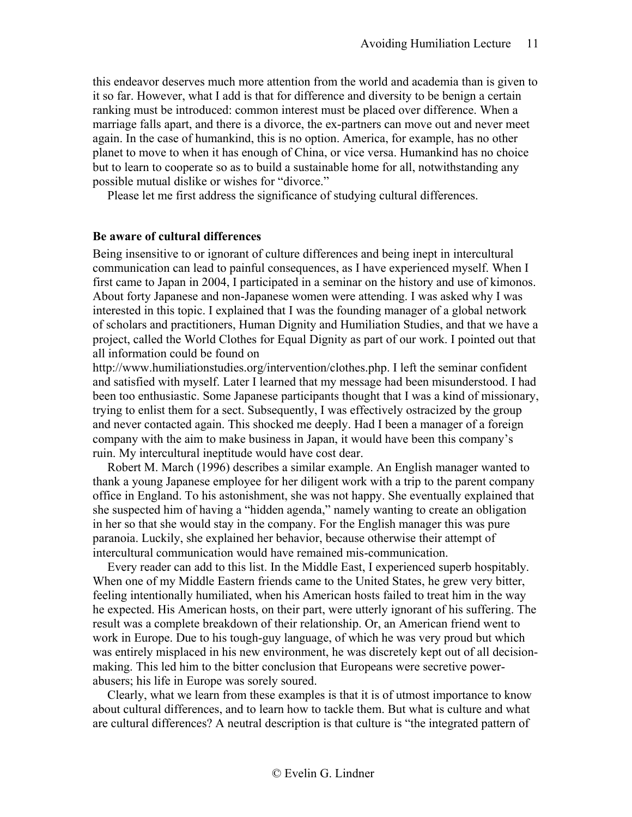this endeavor deserves much more attention from the world and academia than is given to it so far. However, what I add is that for difference and diversity to be benign a certain ranking must be introduced: common interest must be placed over difference. When a marriage falls apart, and there is a divorce, the ex-partners can move out and never meet again. In the case of humankind, this is no option. America, for example, has no other planet to move to when it has enough of China, or vice versa. Humankind has no choice but to learn to cooperate so as to build a sustainable home for all, notwithstanding any possible mutual dislike or wishes for "divorce."

Please let me first address the significance of studying cultural differences.

#### <span id="page-10-0"></span>**Be aware of cultural differences**

Being insensitive to or ignorant of culture differences and being inept in intercultural communication can lead to painful consequences, as I have experienced myself. When I first came to Japan in 2004, I participated in a seminar on the history and use of kimonos. About forty Japanese and non-Japanese women were attending. I was asked why I was interested in this topic. I explained that I was the founding manager of a global network of scholars and practitioners, Human Dignity and Humiliation Studies, and that we have a project, called the World Clothes for Equal Dignity as part of our work. I pointed out that all information could be found on

http:/[/www.humiliationstudies.org/intervention/clothes.php.](http://www.humiliationstudies.org/intervention/clothes.php) I left the seminar confident and satisfied with myself. Later I learned that my message had been misunderstood. I had been too enthusiastic. Some Japanese participants thought that I was a kind of missionary, trying to enlist them for a sect. Subsequently, I was effectively ostracized by the group and never contacted again. This shocked me deeply. Had I been a manager of a foreign company with the aim to make business in Japan, it would have been this company's ruin. My intercultural ineptitude would have cost dear.

Robert M. March (1996) describes a similar example. An English manager wanted to thank a young Japanese employee for her diligent work with a trip to the parent company office in England. To his astonishment, she was not happy. She eventually explained that she suspected him of having a "hidden agenda," namely wanting to create an obligation in her so that she would stay in the company. For the English manager this was pure paranoia. Luckily, she explained her behavior, because otherwise their attempt of intercultural communication would have remained mis-communication.

Every reader can add to this list. In the Middle East, I experienced superb hospitably. When one of my Middle Eastern friends came to the United States, he grew very bitter, feeling intentionally humiliated, when his American hosts failed to treat him in the way he expected. His American hosts, on their part, were utterly ignorant of his suffering. The result was a complete breakdown of their relationship. Or, an American friend went to work in Europe. Due to his tough-guy language, of which he was very proud but which was entirely misplaced in his new environment, he was discretely kept out of all decisionmaking. This led him to the bitter conclusion that Europeans were secretive powerabusers; his life in Europe was sorely soured.

Clearly, what we learn from these examples is that it is of utmost importance to know about cultural differences, and to learn how to tackle them. But what is culture and what are cultural differences? A neutral description is that culture is "the integrated pattern of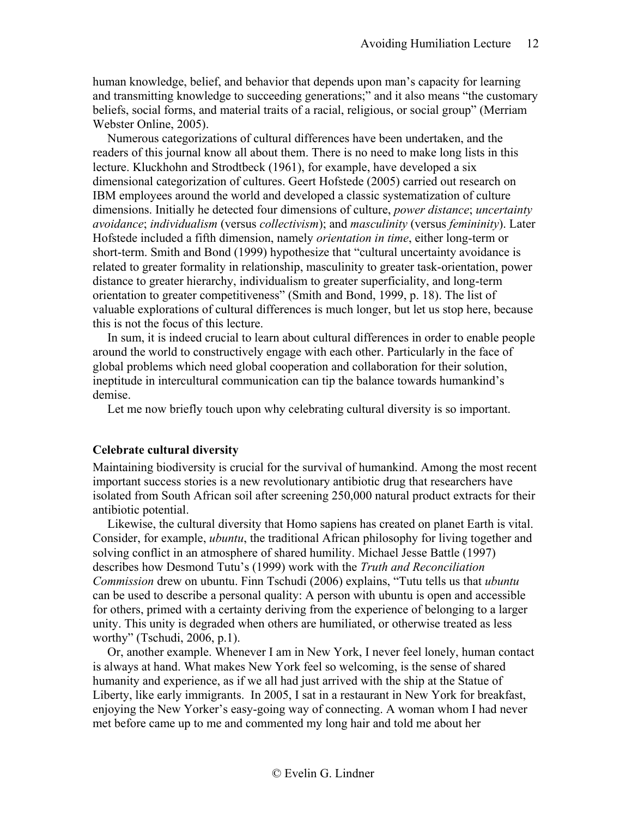human knowledge, belief, and behavior that depends upon man's capacity for learning and transmitting knowledge to succeeding generations;" and it also means "the customary beliefs, social forms, and material traits of a racial, religious, or social group" (Merriam Webster Online, 2005).

Numerous categorizations of cultural differences have been undertaken, and the readers of this journal know all about them. There is no need to make long lists in this lecture. Kluckhohn and Strodtbeck (1961), for example, have developed a six dimensional categorization of cultures. Geert Hofstede (2005) carried out research on IBM employees around the world and developed a classic systematization of culture dimensions. Initially he detected four dimensions of culture, *power distance*; *uncertainty avoidance*; *individualism* (versus *collectivism*); and *masculinity* (versus *femininity*). Later Hofstede included a fifth dimension, namely *orientation in time*, either long-term or short-term. Smith and Bond (1999) hypothesize that "cultural uncertainty avoidance is related to greater formality in relationship, masculinity to greater task-orientation, power distance to greater hierarchy, individualism to greater superficiality, and long-term orientation to greater competitiveness" (Smith and Bond, 1999, p. 18). The list of valuable explorations of cultural differences is much longer, but let us stop here, because this is not the focus of this lecture.

In sum, it is indeed crucial to learn about cultural differences in order to enable people around the world to constructively engage with each other. Particularly in the face of global problems which need global cooperation and collaboration for their solution, ineptitude in intercultural communication can tip the balance towards humankind's demise.

Let me now briefly touch upon why celebrating cultural diversity is so important.

# <span id="page-11-0"></span>**Celebrate cultural diversity**

Maintaining biodiversity is crucial for the survival of humankind. Among the most recent important success stories is a new revolutionary antibiotic drug that researchers have isolated from South African soil after screening 250,000 natural product extracts for their antibiotic potential.

Likewise, the cultural diversity that Homo sapiens has created on planet Earth is vital. Consider, for example, *ubuntu*, the traditional African philosophy for living together and solving conflict in an atmosphere of shared humility. Michael Jesse Battle (1997) describes how Desmond Tutu's (1999) work with the *Truth and Reconciliation Commission* drew on ubuntu. Finn Tschudi (2006) explains, "Tutu tells us that *ubuntu* can be used to describe a personal quality: A person with ubuntu is open and accessible for others, primed with a certainty deriving from the experience of belonging to a larger unity. This unity is degraded when others are humiliated, or otherwise treated as less worthy" (Tschudi, 2006, p.1).

Or, another example. Whenever I am in New York, I never feel lonely, human contact is always at hand. What makes New York feel so welcoming, is the sense of shared humanity and experience, as if we all had just arrived with the ship at the Statue of Liberty, like early immigrants. In 2005, I sat in a restaurant in New York for breakfast, enjoying the New Yorker's easy-going way of connecting. A woman whom I had never met before came up to me and commented my long hair and told me about her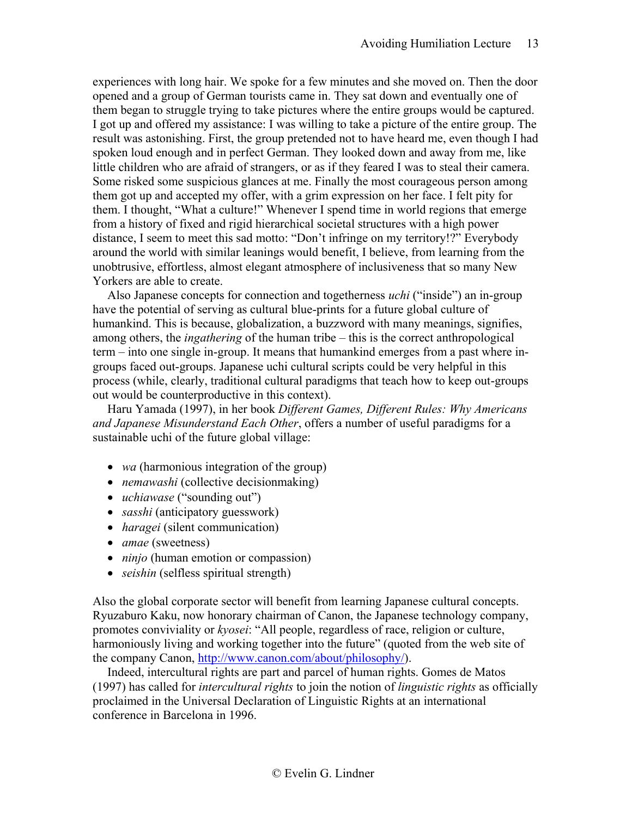experiences with long hair. We spoke for a few minutes and she moved on. Then the door opened and a group of German tourists came in. They sat down and eventually one of them began to struggle trying to take pictures where the entire groups would be captured. I got up and offered my assistance: I was willing to take a picture of the entire group. The result was astonishing. First, the group pretended not to have heard me, even though I had spoken loud enough and in perfect German. They looked down and away from me, like little children who are afraid of strangers, or as if they feared I was to steal their camera. Some risked some suspicious glances at me. Finally the most courageous person among them got up and accepted my offer, with a grim expression on her face. I felt pity for them. I thought, "What a culture!" Whenever I spend time in world regions that emerge from a history of fixed and rigid hierarchical societal structures with a high power distance, I seem to meet this sad motto: "Don't infringe on my territory!?" Everybody around the world with similar leanings would benefit, I believe, from learning from the unobtrusive, effortless, almost elegant atmosphere of inclusiveness that so many New Yorkers are able to create.

Also Japanese concepts for connection and togetherness *uchi* ("inside") an in-group have the potential of serving as cultural blue-prints for a future global culture of humankind. This is because, globalization, a buzzword with many meanings, signifies, among others, the *ingathering* of the human tribe – this is the correct anthropological term – into one single in-group. It means that humankind emerges from a past where ingroups faced out-groups. Japanese uchi cultural scripts could be very helpful in this process (while, clearly, traditional cultural paradigms that teach how to keep out-groups out would be counterproductive in this context).

Haru Yamada (1997), in her book *Different Games, Different Rules: Why Americans and Japanese Misunderstand Each Other*, offers a number of useful paradigms for a sustainable uchi of the future global village:

- *wa* (harmonious integration of the group)
- *nemawashi* (collective decisionmaking)
- *uchiawase* ("sounding out")
- *sasshi* (anticipatory guesswork)
- *haragei* (silent communication)
- *amae* (sweetness)
- *ninjo* (human emotion or compassion)
- *seishin* (selfless spiritual strength)

Also the global corporate sector will benefit from learning Japanese cultural concepts. Ryuzaburo Kaku, now honorary chairman of Canon, the Japanese technology company, promotes conviviality or *kyosei*: "All people, regardless of race, religion or culture, harmoniously living and working together into the future" (quoted from the web site of the company Canon, [http://www.canon.com/about/philosophy/\)](http://www.canon.com/about/philosophy/).

Indeed, intercultural rights are part and parcel of human rights. Gomes de Matos (1997) has called for *intercultural rights* to join the notion of *linguistic rights* as officially proclaimed in the Universal Declaration of Linguistic Rights at an international conference in Barcelona in 1996.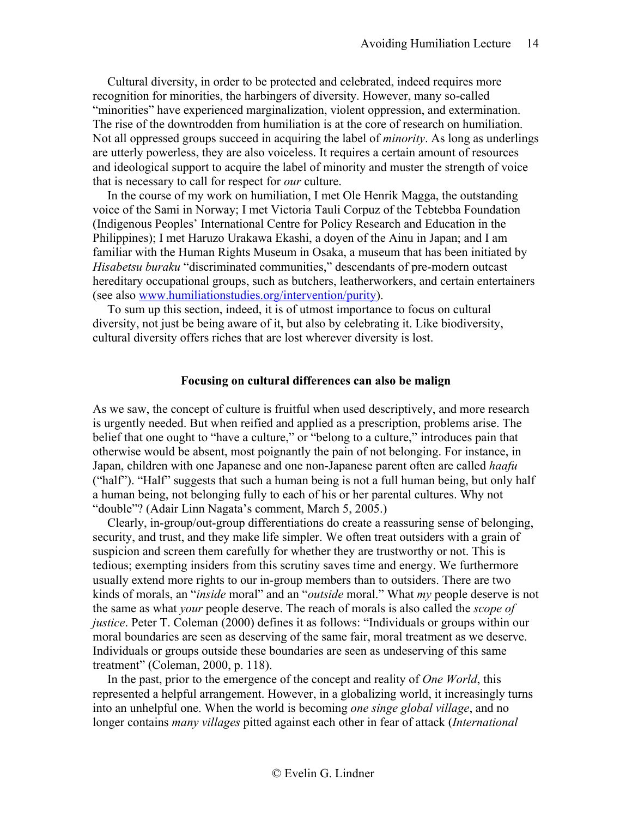Cultural diversity, in order to be protected and celebrated, indeed requires more recognition for minorities, the harbingers of diversity. However, many so-called "minorities" have experienced marginalization, violent oppression, and extermination. The rise of the downtrodden from humiliation is at the core of research on humiliation. Not all oppressed groups succeed in acquiring the label of *minority*. As long as underlings are utterly powerless, they are also voiceless. It requires a certain amount of resources and ideological support to acquire the label of minority and muster the strength of voice that is necessary to call for respect for *our* culture.

In the course of my work on humiliation, I met Ole Henrik Magga, the outstanding voice of the Sami in Norway; I met Victoria Tauli Corpuz of the Tebtebba Foundation (Indigenous Peoples' International Centre for Policy Research and Education in the Philippines); I met Haruzo Urakawa Ekashi, a doyen of the Ainu in Japan; and I am familiar with the Human Rights Museum in Osaka, a museum that has been initiated by *Hisabetsu buraku* "discriminated communities," descendants of pre-modern outcast hereditary occupational groups, such as butchers, leatherworkers, and certain entertainers (see also [www.humiliationstudies.org/intervention/purity\)](http://www.humiliationstudies.org/intervention/purity).

To sum up this section, indeed, it is of utmost importance to focus on cultural diversity, not just be being aware of it, but also by celebrating it. Like biodiversity, cultural diversity offers riches that are lost wherever diversity is lost.

#### **Focusing on cultural differences can also be malign**

<span id="page-13-0"></span>As we saw, the concept of culture is fruitful when used descriptively, and more research is urgently needed. But when reified and applied as a prescription, problems arise. The belief that one ought to "have a culture," or "belong to a culture," introduces pain that otherwise would be absent, most poignantly the pain of not belonging. For instance, in Japan, children with one Japanese and one non-Japanese parent often are called *haafu* ("half"). "Half" suggests that such a human being is not a full human being, but only half a human being, not belonging fully to each of his or her parental cultures. Why not "double"? (Adair Linn Nagata's comment, March 5, 2005.)

Clearly, in-group/out-group differentiations do create a reassuring sense of belonging, security, and trust, and they make life simpler. We often treat outsiders with a grain of suspicion and screen them carefully for whether they are trustworthy or not. This is tedious; exempting insiders from this scrutiny saves time and energy. We furthermore usually extend more rights to our in-group members than to outsiders. There are two kinds of morals, an "*inside* moral" and an "*outside* moral." What *my* people deserve is not the same as what *your* people deserve. The reach of morals is also called the *scope of justice*. Peter T. Coleman (2000) defines it as follows: "Individuals or groups within our moral boundaries are seen as deserving of the same fair, moral treatment as we deserve. Individuals or groups outside these boundaries are seen as undeserving of this same treatment" (Coleman, 2000, p. 118).

In the past, prior to the emergence of the concept and reality of *One World*, this represented a helpful arrangement. However, in a globalizing world, it increasingly turns into an unhelpful one. When the world is becoming *one singe global village*, and no longer contains *many villages* pitted against each other in fear of attack (*International*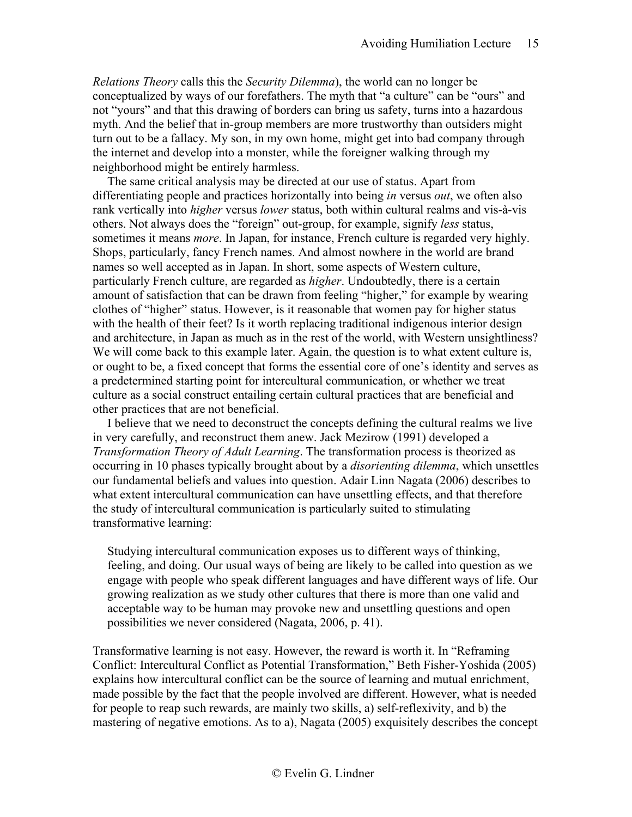*Relations Theory* calls this the *Security Dilemma*), the world can no longer be conceptualized by ways of our forefathers. The myth that "a culture" can be "ours" and not "yours" and that this drawing of borders can bring us safety, turns into a hazardous myth. And the belief that in-group members are more trustworthy than outsiders might turn out to be a fallacy. My son, in my own home, might get into bad company through the internet and develop into a monster, while the foreigner walking through my neighborhood might be entirely harmless.

The same critical analysis may be directed at our use of status. Apart from differentiating people and practices horizontally into being *in* versus *out*, we often also rank vertically into *higher* versus *lower* status, both within cultural realms and vis-à-vis others. Not always does the "foreign" out-group, for example, signify *less* status, sometimes it means *more*. In Japan, for instance, French culture is regarded very highly. Shops, particularly, fancy French names. And almost nowhere in the world are brand names so well accepted as in Japan. In short, some aspects of Western culture, particularly French culture, are regarded as *higher*. Undoubtedly, there is a certain amount of satisfaction that can be drawn from feeling "higher," for example by wearing clothes of "higher" status. However, is it reasonable that women pay for higher status with the health of their feet? Is it worth replacing traditional indigenous interior design and architecture, in Japan as much as in the rest of the world, with Western unsightliness? We will come back to this example later. Again, the question is to what extent culture is, or ought to be, a fixed concept that forms the essential core of one's identity and serves as a predetermined starting point for intercultural communication, or whether we treat culture as a social construct entailing certain cultural practices that are beneficial and other practices that are not beneficial.

I believe that we need to deconstruct the concepts defining the cultural realms we live in very carefully, and reconstruct them anew. Jack Mezirow (1991) developed a *Transformation Theory of Adult Learning*. The transformation process is theorized as occurring in 10 phases typically brought about by a *disorienting dilemma*, which unsettles our fundamental beliefs and values into question. Adair Linn Nagata (2006) describes to what extent intercultural communication can have unsettling effects, and that therefore the study of intercultural communication is particularly suited to stimulating transformative learning:

Studying intercultural communication exposes us to different ways of thinking, feeling, and doing. Our usual ways of being are likely to be called into question as we engage with people who speak different languages and have different ways of life. Our growing realization as we study other cultures that there is more than one valid and acceptable way to be human may provoke new and unsettling questions and open possibilities we never considered (Nagata, 2006, p. 41).

Transformative learning is not easy. However, the reward is worth it. In "Reframing Conflict: Intercultural Conflict as Potential Transformation," Beth Fisher-Yoshida (2005) explains how intercultural conflict can be the source of learning and mutual enrichment, made possible by the fact that the people involved are different. However, what is needed for people to reap such rewards, are mainly two skills, a) self-reflexivity, and b) the mastering of negative emotions. As to a), Nagata (2005) exquisitely describes the concept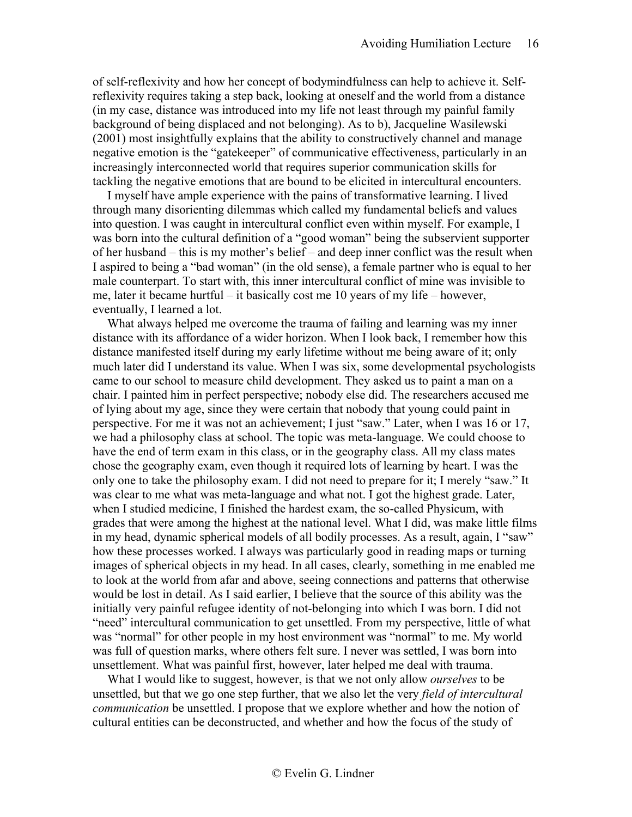of self-reflexivity and how her concept of bodymindfulness can help to achieve it. Selfreflexivity requires taking a step back, looking at oneself and the world from a distance (in my case, distance was introduced into my life not least through my painful family background of being displaced and not belonging). As to b), Jacqueline Wasilewski (2001) most insightfully explains that the ability to constructively channel and manage negative emotion is the "gatekeeper" of communicative effectiveness, particularly in an increasingly interconnected world that requires superior communication skills for tackling the negative emotions that are bound to be elicited in intercultural encounters.

I myself have ample experience with the pains of transformative learning. I lived through many disorienting dilemmas which called my fundamental beliefs and values into question. I was caught in intercultural conflict even within myself. For example, I was born into the cultural definition of a "good woman" being the subservient supporter of her husband – this is my mother's belief – and deep inner conflict was the result when I aspired to being a "bad woman" (in the old sense), a female partner who is equal to her male counterpart. To start with, this inner intercultural conflict of mine was invisible to me, later it became hurtful – it basically cost me 10 years of my life – however, eventually, I learned a lot.

What always helped me overcome the trauma of failing and learning was my inner distance with its affordance of a wider horizon. When I look back, I remember how this distance manifested itself during my early lifetime without me being aware of it; only much later did I understand its value. When I was six, some developmental psychologists came to our school to measure child development. They asked us to paint a man on a chair. I painted him in perfect perspective; nobody else did. The researchers accused me of lying about my age, since they were certain that nobody that young could paint in perspective. For me it was not an achievement; I just "saw." Later, when I was 16 or 17, we had a philosophy class at school. The topic was meta-language. We could choose to have the end of term exam in this class, or in the geography class. All my class mates chose the geography exam, even though it required lots of learning by heart. I was the only one to take the philosophy exam. I did not need to prepare for it; I merely "saw." It was clear to me what was meta-language and what not. I got the highest grade. Later, when I studied medicine, I finished the hardest exam, the so-called Physicum, with grades that were among the highest at the national level. What I did, was make little films in my head, dynamic spherical models of all bodily processes. As a result, again, I "saw" how these processes worked. I always was particularly good in reading maps or turning images of spherical objects in my head. In all cases, clearly, something in me enabled me to look at the world from afar and above, seeing connections and patterns that otherwise would be lost in detail. As I said earlier, I believe that the source of this ability was the initially very painful refugee identity of not-belonging into which I was born. I did not "need" intercultural communication to get unsettled. From my perspective, little of what was "normal" for other people in my host environment was "normal" to me. My world was full of question marks, where others felt sure. I never was settled, I was born into unsettlement. What was painful first, however, later helped me deal with trauma.

What I would like to suggest, however, is that we not only allow *ourselves* to be unsettled, but that we go one step further, that we also let the very *field of intercultural communication* be unsettled. I propose that we explore whether and how the notion of cultural entities can be deconstructed, and whether and how the focus of the study of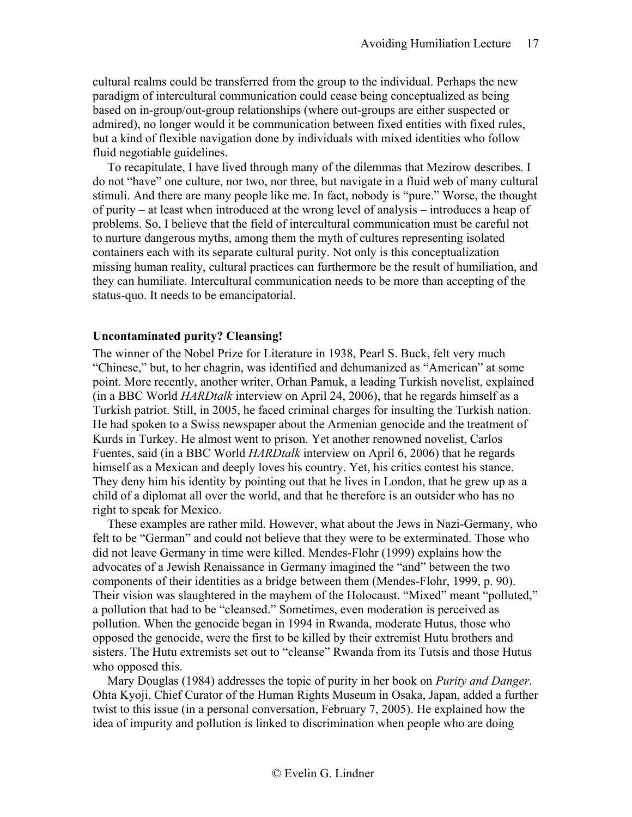cultural realms could be transferred from the group to the individual. Perhaps the new paradigm of intercultural communication could cease being conceptualized as being based on in-group/out-group relationships (where out-groups are either suspected or admired), no longer would it be communication between fixed entities with fixed rules, but a kind of flexible navigation done by individuals with mixed identities who follow fluid negotiable guidelines.

To recapitulate, I have lived through many of the dilemmas that Mezirow describes. I do not "have" one culture, nor two, nor three, but navigate in a fluid web of many cultural stimuli. And there are many people like me. In fact, nobody is "pure." Worse, the thought of purity – at least when introduced at the wrong level of analysis – introduces a heap of problems. So, I believe that the field of intercultural communication must be careful not to nurture dangerous myths, among them the myth of cultures representing isolated containers each with its separate cultural purity. Not only is this conceptualization missing human reality, cultural practices can furthermore be the result of humiliation, and they can humiliate. Intercultural communication needs to be more than accepting of the status-quo. It needs to be emancipatorial.

### <span id="page-16-0"></span>**Uncontaminated purity? Cleansing!**

The winner of the Nobel Prize for Literature in 1938, Pearl S. Buck, felt very much "Chinese," but, to her chagrin, was identified and dehumanized as "American" at some point. More recently, another writer, Orhan Pamuk, a leading Turkish novelist, explained (in a BBC World *HARDtalk* interview on April 24, 2006), that he regards himself as a Turkish patriot. Still, in 2005, he faced criminal charges for insulting the Turkish nation. He had spoken to a Swiss newspaper about the Armenian genocide and the treatment of Kurds in Turkey. He almost went to prison. Yet another renowned novelist, Carlos Fuentes, said (in a BBC World *HARDtalk* interview on April 6, 2006) that he regards himself as a Mexican and deeply loves his country. Yet, his critics contest his stance. They deny him his identity by pointing out that he lives in London, that he grew up as a child of a diplomat all over the world, and that he therefore is an outsider who has no right to speak for Mexico.

These examples are rather mild. However, what about the Jews in Nazi-Germany, who felt to be "German" and could not believe that they were to be exterminated. Those who did not leave Germany in time were killed. Mendes-Flohr (1999) explains how the advocates of a Jewish Renaissance in Germany imagined the "and" between the two components of their identities as a bridge between them (Mendes-Flohr, 1999, p. 90). Their vision was slaughtered in the mayhem of the Holocaust. "Mixed" meant "polluted," a pollution that had to be "cleansed." Sometimes, even moderation is perceived as pollution. When the genocide began in 1994 in Rwanda, moderate Hutus, those who opposed the genocide, were the first to be killed by their extremist Hutu brothers and sisters. The Hutu extremists set out to "cleanse" Rwanda from its Tutsis and those Hutus who opposed this.

Mary Douglas (1984) addresses the topic of purity in her book on *Purity and Danger*. Ohta Kyoji, Chief Curator of the Human Rights Museum in Osaka, Japan, added a further twist to this issue (in a personal conversation, February 7, 2005). He explained how the idea of impurity and pollution is linked to discrimination when people who are doing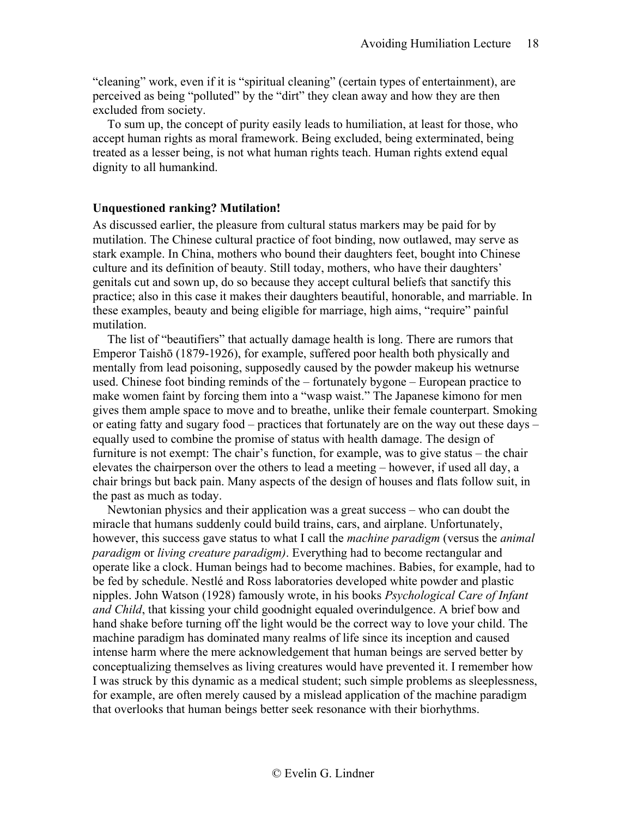"cleaning" work, even if it is "spiritual cleaning" (certain types of entertainment), are perceived as being "polluted" by the "dirt" they clean away and how they are then excluded from society.

To sum up, the concept of purity easily leads to humiliation, at least for those, who accept human rights as moral framework. Being excluded, being exterminated, being treated as a lesser being, is not what human rights teach. Human rights extend equal dignity to all humankind.

### <span id="page-17-0"></span>**Unquestioned ranking? Mutilation!**

As discussed earlier, the pleasure from cultural status markers may be paid for by mutilation. The Chinese cultural practice of foot binding, now outlawed, may serve as stark example. In China, mothers who bound their daughters feet, bought into Chinese culture and its definition of beauty. Still today, mothers, who have their daughters' genitals cut and sown up, do so because they accept cultural beliefs that sanctify this practice; also in this case it makes their daughters beautiful, honorable, and marriable. In these examples, beauty and being eligible for marriage, high aims, "require" painful mutilation.

The list of "beautifiers" that actually damage health is long. There are rumors that Emperor Taishō (1879-1926), for example, suffered poor health both physically and mentally from [lead poisoning,](http://en.wikipedia.org/wiki/Lead_poisoning) supposedly caused by the powder makeup his [wetnurse](http://en.wikipedia.org/wiki/Wetnurse) used. Chinese foot binding reminds of the – fortunately bygone – European practice to make women faint by forcing them into a "wasp waist." The Japanese kimono for men gives them ample space to move and to breathe, unlike their female counterpart. Smoking or eating fatty and sugary food – practices that fortunately are on the way out these days – equally used to combine the promise of status with health damage. The design of furniture is not exempt: The chair's function, for example, was to give status – the chair elevates the chairperson over the others to lead a meeting – however, if used all day, a chair brings but back pain. Many aspects of the design of houses and flats follow suit, in the past as much as today.

Newtonian physics and their application was a great success – who can doubt the miracle that humans suddenly could build trains, cars, and airplane. Unfortunately, however, this success gave status to what I call the *machine paradigm* (versus the *animal paradigm* or *living creature paradigm)*. Everything had to become rectangular and operate like a clock. Human beings had to become machines. Babies, for example, had to be fed by schedule. Nestlé and Ross laboratories developed white powder and plastic nipples. John Watson (1928) famously wrote, in his books *Psychological Care of Infant and Child*, that kissing your child goodnight equaled overindulgence. A brief bow and hand shake before turning off the light would be the correct way to love your child. The machine paradigm has dominated many realms of life since its inception and caused intense harm where the mere acknowledgement that human beings are served better by conceptualizing themselves as living creatures would have prevented it. I remember how I was struck by this dynamic as a medical student; such simple problems as sleeplessness, for example, are often merely caused by a mislead application of the machine paradigm that overlooks that human beings better seek resonance with their biorhythms.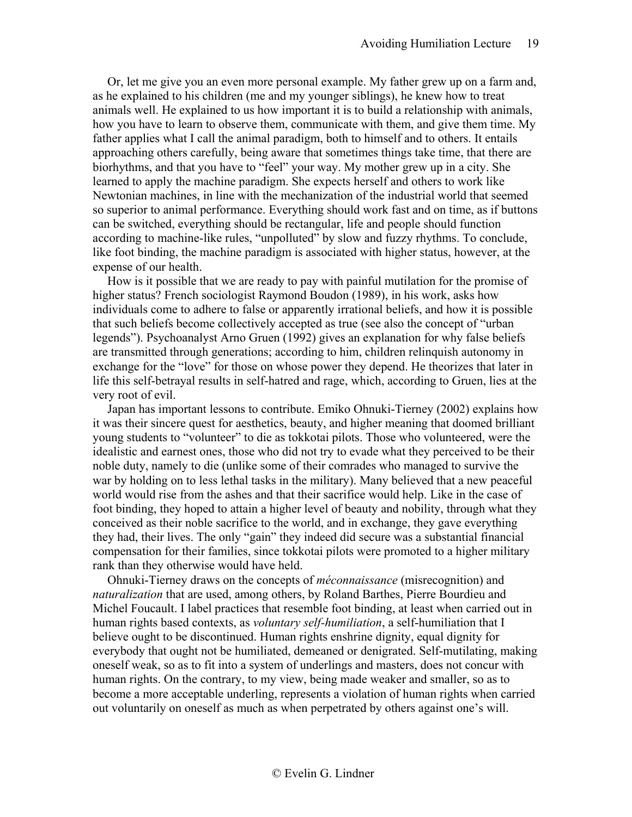Or, let me give you an even more personal example. My father grew up on a farm and, as he explained to his children (me and my younger siblings), he knew how to treat animals well. He explained to us how important it is to build a relationship with animals, how you have to learn to observe them, communicate with them, and give them time. My father applies what I call the animal paradigm, both to himself and to others. It entails approaching others carefully, being aware that sometimes things take time, that there are biorhythms, and that you have to "feel" your way. My mother grew up in a city. She learned to apply the machine paradigm. She expects herself and others to work like Newtonian machines, in line with the mechanization of the industrial world that seemed so superior to animal performance. Everything should work fast and on time, as if buttons can be switched, everything should be rectangular, life and people should function according to machine-like rules, "unpolluted" by slow and fuzzy rhythms. To conclude, like foot binding, the machine paradigm is associated with higher status, however, at the expense of our health.

How is it possible that we are ready to pay with painful mutilation for the promise of higher status? French sociologist Raymond Boudon (1989), in his work, asks how individuals come to adhere to false or apparently irrational beliefs, and how it is possible that such beliefs become collectively accepted as true (see also the concept of "urban legends"). Psychoanalyst Arno Gruen (1992) gives an explanation for why false beliefs are transmitted through generations; according to him, children relinquish autonomy in exchange for the "love" for those on whose power they depend. He theorizes that later in life this self-betrayal results in self-hatred and rage, which, according to Gruen, lies at the very root of evil.

Japan has important lessons to contribute. Emiko Ohnuki-Tierney (2002) explains how it was their sincere quest for aesthetics, beauty, and higher meaning that doomed brilliant young students to "volunteer" to die as tokkotai pilots. Those who volunteered, were the idealistic and earnest ones, those who did not try to evade what they perceived to be their noble duty, namely to die (unlike some of their comrades who managed to survive the war by holding on to less lethal tasks in the military). Many believed that a new peaceful world would rise from the ashes and that their sacrifice would help. Like in the case of foot binding, they hoped to attain a higher level of beauty and nobility, through what they conceived as their noble sacrifice to the world, and in exchange, they gave everything they had, their lives. The only "gain" they indeed did secure was a substantial financial compensation for their families, since tokkotai pilots were promoted to a higher military rank than they otherwise would have held.

Ohnuki-Tierney draws on the concepts of *méconnaissance* (misrecognition) and *naturalization* that are used, among others, by Roland Barthes, Pierre Bourdieu and Michel Foucault. I label practices that resemble foot binding, at least when carried out in human rights based contexts, as *voluntary self-humiliation*, a self-humiliation that I believe ought to be discontinued. Human rights enshrine dignity, equal dignity for everybody that ought not be humiliated, demeaned or denigrated. Self-mutilating, making oneself weak, so as to fit into a system of underlings and masters, does not concur with human rights. On the contrary, to my view, being made weaker and smaller, so as to become a more acceptable underling, represents a violation of human rights when carried out voluntarily on oneself as much as when perpetrated by others against one's will.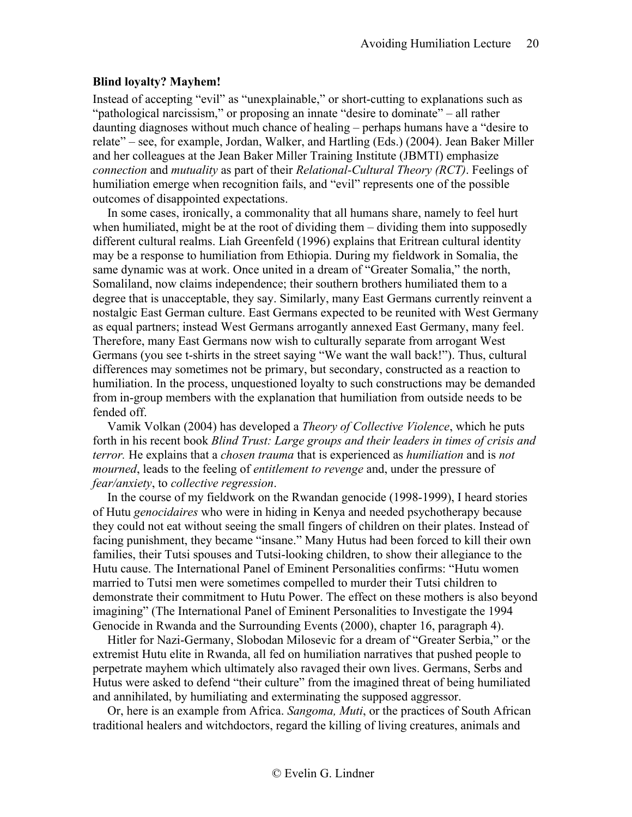# <span id="page-19-0"></span>**Blind loyalty? Mayhem!**

Instead of accepting "evil" as "unexplainable," or short-cutting to explanations such as "pathological narcissism," or proposing an innate "desire to dominate" – all rather daunting diagnoses without much chance of healing – perhaps humans have a "desire to relate" – see, for example, Jordan, Walker, and Hartling (Eds.) (2004). Jean Baker Miller and her colleagues at the Jean Baker Miller Training Institute (JBMTI) emphasize *connection* and *mutuality* as part of their *Relational-Cultural Theory (RCT)*. Feelings of humiliation emerge when recognition fails, and "evil" represents one of the possible outcomes of disappointed expectations.

In some cases, ironically, a commonality that all humans share, namely to feel hurt when humiliated, might be at the root of dividing them – dividing them into supposedly different cultural realms. Liah Greenfeld (1996) explains that Eritrean cultural identity may be a response to humiliation from Ethiopia. During my fieldwork in Somalia, the same dynamic was at work. Once united in a dream of "Greater Somalia," the north, Somaliland, now claims independence; their southern brothers humiliated them to a degree that is unacceptable, they say. Similarly, many East Germans currently reinvent a nostalgic East German culture. East Germans expected to be reunited with West Germany as equal partners; instead West Germans arrogantly annexed East Germany, many feel. Therefore, many East Germans now wish to culturally separate from arrogant West Germans (you see t-shirts in the street saying "We want the wall back!"). Thus, cultural differences may sometimes not be primary, but secondary, constructed as a reaction to humiliation. In the process, unquestioned loyalty to such constructions may be demanded from in-group members with the explanation that humiliation from outside needs to be fended off.

Vamik Volkan (2004) has developed a *Theory of Collective Violence*, which he puts forth in his recent book *Blind Trust: Large groups and their leaders in times of crisis and terror.* He explains that a *chosen trauma* that is experienced as *humiliation* and is *not mourned*, leads to the feeling of *entitlement to revenge* and, under the pressure of *fear/anxiety*, to *collective regression*.

In the course of my fieldwork on the Rwandan genocide (1998-1999), I heard stories of Hutu *genocidaires* who were in hiding in Kenya and needed psychotherapy because they could not eat without seeing the small fingers of children on their plates. Instead of facing punishment, they became "insane." Many Hutus had been forced to kill their own families, their Tutsi spouses and Tutsi-looking children, to show their allegiance to the Hutu cause. The International Panel of Eminent Personalities confirms: "Hutu women married to Tutsi men were sometimes compelled to murder their Tutsi children to demonstrate their commitment to Hutu Power. The effect on these mothers is also beyond imagining" (The International Panel of Eminent Personalities to Investigate the 1994 Genocide in Rwanda and the Surrounding Events (2000), chapter 16, paragraph 4).

Hitler for Nazi-Germany, Slobodan Milosevic for a dream of "Greater Serbia," or the extremist Hutu elite in Rwanda, all fed on humiliation narratives that pushed people to perpetrate mayhem which ultimately also ravaged their own lives. Germans, Serbs and Hutus were asked to defend "their culture" from the imagined threat of being humiliated and annihilated, by humiliating and exterminating the supposed aggressor.

Or, here is an example from Africa. *Sangoma, Muti*, or the practices of South African traditional healers and witchdoctors, regard the killing of living creatures, animals and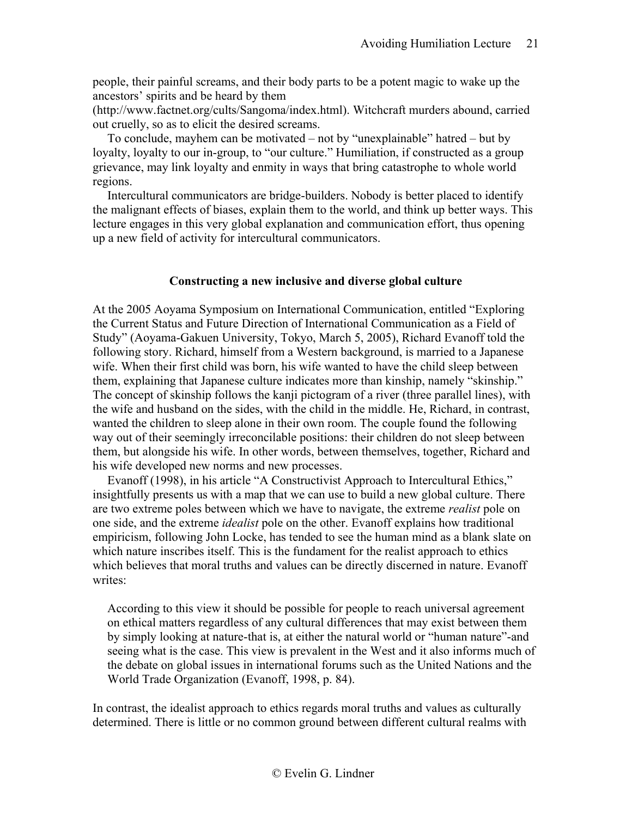people, their painful screams, and their body parts to be a potent magic to wake up the ancestors' spirits and be heard by them

(http://www.factnet.org/cults/Sangoma/index.html). Witchcraft murders abound, carried out cruelly, so as to elicit the desired screams.

To conclude, mayhem can be motivated – not by "unexplainable" hatred – but by loyalty, loyalty to our in-group, to "our culture." Humiliation, if constructed as a group grievance, may link loyalty and enmity in ways that bring catastrophe to whole world regions.

Intercultural communicators are bridge-builders. Nobody is better placed to identify the malignant effects of biases, explain them to the world, and think up better ways. This lecture engages in this very global explanation and communication effort, thus opening up a new field of activity for intercultural communicators.

### **Constructing a new inclusive and diverse global culture**

<span id="page-20-0"></span>At the 2005 Aoyama Symposium on International Communication, entitled "Exploring the Current Status and Future Direction of International Communication as a Field of Study" (Aoyama-Gakuen University, Tokyo, March 5, 2005), Richard Evanoff told the following story. Richard, himself from a Western background, is married to a Japanese wife. When their first child was born, his wife wanted to have the child sleep between them, explaining that Japanese culture indicates more than kinship, namely "skinship." The concept of skinship follows the kanji pictogram of a river (three parallel lines), with the wife and husband on the sides, with the child in the middle. He, Richard, in contrast, wanted the children to sleep alone in their own room. The couple found the following way out of their seemingly irreconcilable positions: their children do not sleep between them, but alongside his wife. In other words, between themselves, together, Richard and his wife developed new norms and new processes.

Evanoff (1998), in his article "A Constructivist Approach to Intercultural Ethics," insightfully presents us with a map that we can use to build a new global culture. There are two extreme poles between which we have to navigate, the extreme *realist* pole on one side, and the extreme *idealist* pole on the other. Evanoff explains how traditional empiricism, following John Locke, has tended to see the human mind as a blank slate on which nature inscribes itself. This is the fundament for the realist approach to ethics which believes that moral truths and values can be directly discerned in nature. Evanoff writes:

According to this view it should be possible for people to reach universal agreement on ethical matters regardless of any cultural differences that may exist between them by simply looking at nature-that is, at either the natural world or "human nature"-and seeing what is the case. This view is prevalent in the West and it also informs much of the debate on global issues in international forums such as the United Nations and the World Trade Organization (Evanoff, 1998, p. 84).

In contrast, the idealist approach to ethics regards moral truths and values as culturally determined. There is little or no common ground between different cultural realms with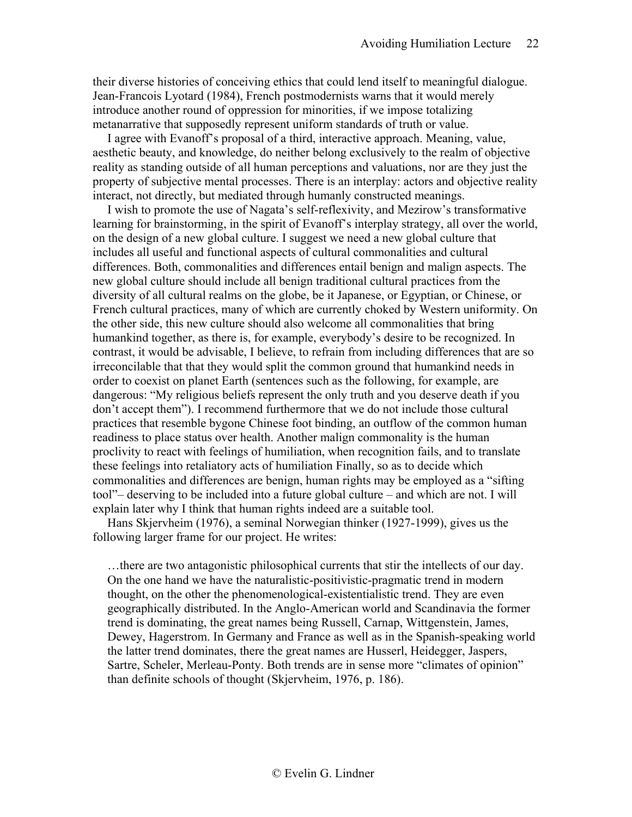their diverse histories of conceiving ethics that could lend itself to meaningful dialogue. Jean-Francois Lyotard (1984), French postmodernists warns that it would merely introduce another round of oppression for minorities, if we impose totalizing metanarrative that supposedly represent uniform standards of truth or value.

I agree with Evanoff's proposal of a third, interactive approach. Meaning, value, aesthetic beauty, and knowledge, do neither belong exclusively to the realm of objective reality as standing outside of all human perceptions and valuations, nor are they just the property of subjective mental processes. There is an interplay: actors and objective reality interact, not directly, but mediated through humanly constructed meanings.

I wish to promote the use of Nagata's self-reflexivity, and Mezirow's transformative learning for brainstorming, in the spirit of Evanoff's interplay strategy, all over the world, on the design of a new global culture. I suggest we need a new global culture that includes all useful and functional aspects of cultural commonalities and cultural differences. Both, commonalities and differences entail benign and malign aspects. The new global culture should include all benign traditional cultural practices from the diversity of all cultural realms on the globe, be it Japanese, or Egyptian, or Chinese, or French cultural practices, many of which are currently choked by Western uniformity. On the other side, this new culture should also welcome all commonalities that bring humankind together, as there is, for example, everybody's desire to be recognized. In contrast, it would be advisable, I believe, to refrain from including differences that are so irreconcilable that that they would split the common ground that humankind needs in order to coexist on planet Earth (sentences such as the following, for example, are dangerous: "My religious beliefs represent the only truth and you deserve death if you don't accept them"). I recommend furthermore that we do not include those cultural practices that resemble bygone Chinese foot binding, an outflow of the common human readiness to place status over health. Another malign commonality is the human proclivity to react with feelings of humiliation, when recognition fails, and to translate these feelings into retaliatory acts of humiliation Finally, so as to decide which commonalities and differences are benign, human rights may be employed as a "sifting tool"– deserving to be included into a future global culture – and which are not. I will explain later why I think that human rights indeed are a suitable tool.

Hans Skjervheim (1976), a seminal Norwegian thinker (1927-1999), gives us the following larger frame for our project. He writes:

…there are two antagonistic philosophical currents that stir the intellects of our day. On the one hand we have the naturalistic-positivistic-pragmatic trend in modern thought, on the other the phenomenological-existentialistic trend. They are even geographically distributed. In the Anglo-American world and Scandinavia the former trend is dominating, the great names being Russell, Carnap, Wittgenstein, James, Dewey, Hagerstrom. In Germany and France as well as in the Spanish-speaking world the latter trend dominates, there the great names are Husserl, Heidegger, Jaspers, Sartre, Scheler, Merleau-Ponty. Both trends are in sense more "climates of opinion" than definite schools of thought (Skjervheim, 1976, p. 186).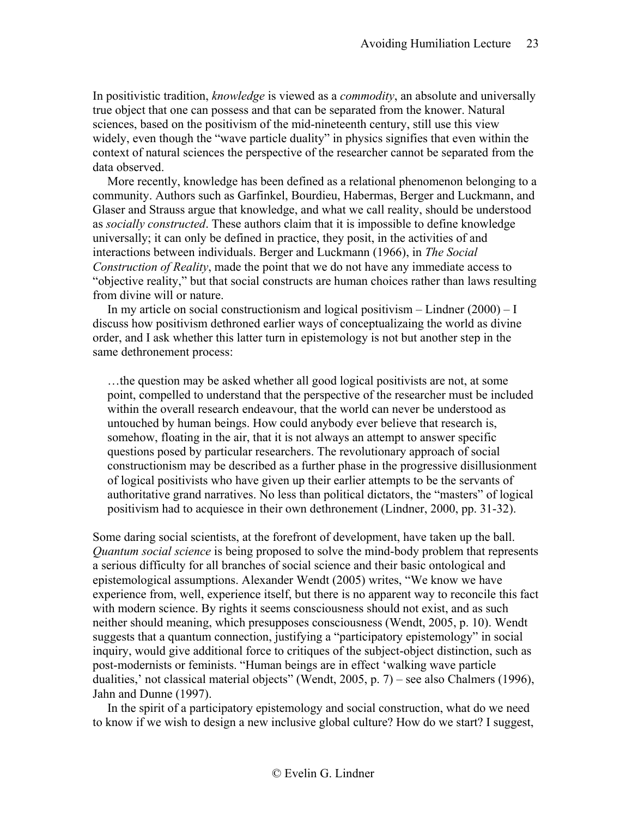In positivistic tradition, *knowledge* is viewed as a *commodity*, an absolute and universally true object that one can possess and that can be separated from the knower. Natural sciences, based on the positivism of the mid-nineteenth century, still use this view widely, even though the "wave particle duality" in physics signifies that even within the context of natural sciences the perspective of the researcher cannot be separated from the data observed.

More recently, knowledge has been defined as a relational phenomenon belonging to a community. Authors such as Garfinkel, Bourdieu, Habermas, Berger and Luckmann, and Glaser and Strauss argue that knowledge, and what we call reality, should be understood as *socially constructed*. These authors claim that it is impossible to define knowledge universally; it can only be defined in practice, they posit, in the activities of and interactions between individuals. Berger and Luckmann (1966), in *The Social Construction of Reality*, made the point that we do not have any immediate access to "objective reality," but that social constructs are human choices rather than laws resulting from divine will or nature.

In my article on social constructionism and logical positivism – Lindner  $(2000) - I$ discuss how positivism dethroned earlier ways of conceptualizaing the world as divine order, and I ask whether this latter turn in epistemology is not but another step in the same dethronement process:

…the question may be asked whether all good logical positivists are not, at some point, compelled to understand that the perspective of the researcher must be included within the overall research endeavour, that the world can never be understood as untouched by human beings. How could anybody ever believe that research is, somehow, floating in the air, that it is not always an attempt to answer specific questions posed by particular researchers. The revolutionary approach of social constructionism may be described as a further phase in the progressive disillusionment of logical positivists who have given up their earlier attempts to be the servants of authoritative grand narratives. No less than political dictators, the "masters" of logical positivism had to acquiesce in their own dethronement (Lindner, 2000, pp. 31-32).

Some daring social scientists, at the forefront of development, have taken up the ball. *Quantum social science* is being proposed to solve the mind-body problem that represents a serious difficulty for all branches of social science and their basic ontological and epistemological assumptions. Alexander Wendt (2005) writes, "We know we have experience from, well, experience itself, but there is no apparent way to reconcile this fact with modern science. By rights it seems consciousness should not exist, and as such neither should meaning, which presupposes consciousness (Wendt, 2005, p. 10). Wendt suggests that a quantum connection, justifying a "participatory epistemology" in social inquiry, would give additional force to critiques of the subject-object distinction, such as post-modernists or feminists. "Human beings are in effect 'walking wave particle dualities,' not classical material objects" (Wendt, 2005, p. 7) – see also Chalmers (1996), Jahn and Dunne (1997).

In the spirit of a participatory epistemology and social construction, what do we need to know if we wish to design a new inclusive global culture? How do we start? I suggest,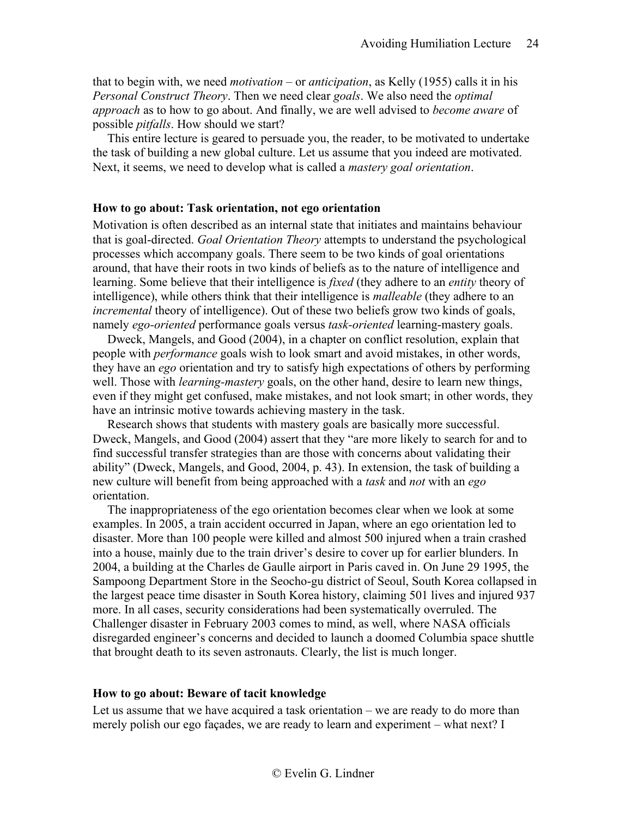that to begin with, we need *motivation* – or *anticipation*, as Kelly (1955) calls it in his *Personal Construct Theory*. Then we need clear *goals*. We also need the *optimal approach* as to how to go about. And finally, we are well advised to *become aware* of possible *pitfalls*. How should we start?

This entire lecture is geared to persuade you, the reader, to be motivated to undertake the task of building a new global culture. Let us assume that you indeed are motivated. Next, it seems, we need to develop what is called a *mastery goal orientation*.

### <span id="page-23-0"></span>**How to go about: Task orientation, not ego orientation**

Motivation is often described as an internal state that initiates and maintains behaviour that is goal-directed. *Goal Orientation Theory* attempts to understand the psychological processes which accompany goals. There seem to be two kinds of goal orientations around, that have their roots in two kinds of beliefs as to the nature of intelligence and learning. Some believe that their intelligence is *fixed* (they adhere to an *entity* theory of intelligence), while others think that their intelligence is *malleable* (they adhere to an *incremental* theory of intelligence). Out of these two beliefs grow two kinds of goals, namely *ego-oriented* performance goals versus *task-oriented* learning-mastery goals.

Dweck, Mangels, and Good (2004), in a chapter on conflict resolution, explain that people with *performance* goals wish to look smart and avoid mistakes, in other words, they have an *ego* orientation and try to satisfy high expectations of others by performing well. Those with *learning-mastery* goals, on the other hand, desire to learn new things, even if they might get confused, make mistakes, and not look smart; in other words, they have an intrinsic motive towards achieving mastery in the task.

Research shows that students with mastery goals are basically more successful. Dweck, Mangels, and Good (2004) assert that they "are more likely to search for and to find successful transfer strategies than are those with concerns about validating their ability" (Dweck, Mangels, and Good, 2004, p. 43). In extension, the task of building a new culture will benefit from being approached with a *task* and *not* with an *ego* orientation.

The inappropriateness of the ego orientation becomes clear when we look at some examples. In 2005, a train accident occurred in Japan, where an ego orientation led to disaster. More than 100 people were killed and almost 500 injured when a train crashed into a house, mainly due to the train driver's desire to cover up for earlier blunders. In 2004, a building at the Charles de Gaulle airport in Paris caved in. On June 29 1995, the Sampoong Department Store in the Seocho-gu district of Seoul, South Korea collapsed in the largest peace time disaster in South Korea history, claiming 501 lives and injured 937 more. In all cases, security considerations had been systematically overruled. The Challenger disaster in February 2003 comes to mind, as well, where NASA officials disregarded engineer's concerns and decided to launch a doomed Columbia space shuttle that brought death to its seven astronauts. Clearly, the list is much longer.

### <span id="page-23-1"></span>**How to go about: Beware of tacit knowledge**

Let us assume that we have acquired a task orientation – we are ready to do more than merely polish our ego façades, we are ready to learn and experiment – what next? I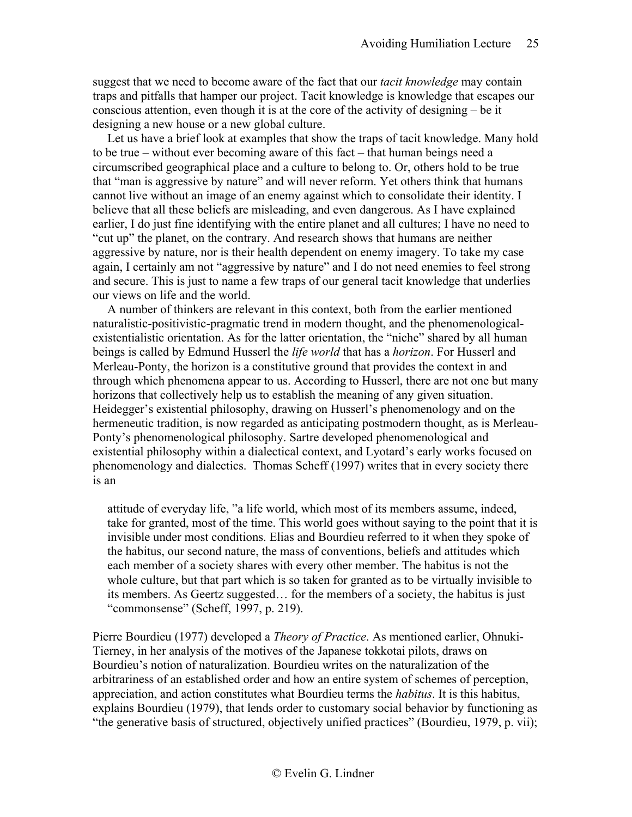suggest that we need to become aware of the fact that our *tacit knowledge* may contain traps and pitfalls that hamper our project. Tacit knowledge is knowledge that escapes our conscious attention, even though it is at the core of the activity of designing – be it designing a new house or a new global culture.

Let us have a brief look at examples that show the traps of tacit knowledge. Many hold to be true – without ever becoming aware of this fact – that human beings need a circumscribed geographical place and a culture to belong to. Or, others hold to be true that "man is aggressive by nature" and will never reform. Yet others think that humans cannot live without an image of an enemy against which to consolidate their identity. I believe that all these beliefs are misleading, and even dangerous. As I have explained earlier, I do just fine identifying with the entire planet and all cultures; I have no need to "cut up" the planet, on the contrary. And research shows that humans are neither aggressive by nature, nor is their health dependent on enemy imagery. To take my case again, I certainly am not "aggressive by nature" and I do not need enemies to feel strong and secure. This is just to name a few traps of our general tacit knowledge that underlies our views on life and the world.

A number of thinkers are relevant in this context, both from the earlier mentioned naturalistic-positivistic-pragmatic trend in modern thought, and the phenomenologicalexistentialistic orientation. As for the latter orientation, the "niche" shared by all human beings is called by Edmund Husserl the *life world* that has a *horizon*. For Husserl and Merleau-Ponty, the horizon is a constitutive ground that provides the context in and through which phenomena appear to us. According to Husserl, there are not one but many horizons that collectively help us to establish the meaning of any given situation. Heidegger's existential philosophy, drawing on Husserl's phenomenology and on the hermeneutic tradition, is now regarded as anticipating postmodern thought, as is Merleau-Ponty's phenomenological philosophy. Sartre developed phenomenological and existential philosophy within a dialectical context, and Lyotard's early works focused on phenomenology and dialectics. Thomas Scheff (1997) writes that in every society there is an

attitude of everyday life, "a life world, which most of its members assume, indeed, take for granted, most of the time. This world goes without saying to the point that it is invisible under most conditions. Elias and Bourdieu referred to it when they spoke of the habitus, our second nature, the mass of conventions, beliefs and attitudes which each member of a society shares with every other member. The habitus is not the whole culture, but that part which is so taken for granted as to be virtually invisible to its members. As Geertz suggested… for the members of a society, the habitus is just "commonsense" (Scheff, 1997, p. 219).

Pierre Bourdieu (1977) developed a *Theory of Practice*. As mentioned earlier, Ohnuki-Tierney, in her analysis of the motives of the Japanese tokkotai pilots, draws on Bourdieu's notion of naturalization. Bourdieu writes on the naturalization of the arbitrariness of an established order and how an entire system of schemes of perception, appreciation, and action constitutes what Bourdieu terms the *habitus*. It is this habitus, explains Bourdieu (1979), that lends order to customary social behavior by functioning as "the generative basis of structured, objectively unified practices" (Bourdieu, 1979, p. vii);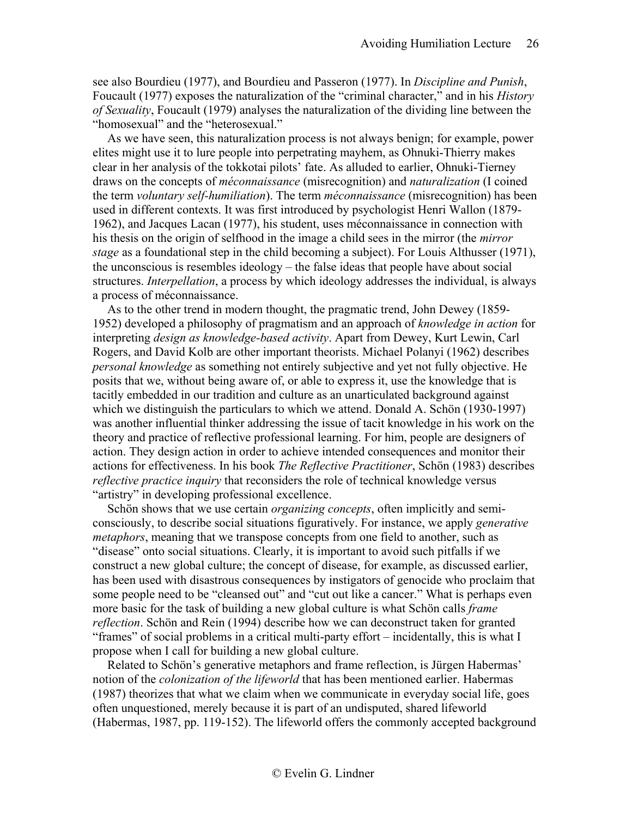see also Bourdieu (1977), and Bourdieu and Passeron (1977). In *Discipline and Punish*, Foucault (1977) exposes the naturalization of the "criminal character," and in his *History of Sexuality*, Foucault (1979) analyses the naturalization of the dividing line between the "homosexual" and the "heterosexual."

As we have seen, this naturalization process is not always benign; for example, power elites might use it to lure people into perpetrating mayhem, as Ohnuki-Thierry makes clear in her analysis of the tokkotai pilots' fate. As alluded to earlier, Ohnuki-Tierney draws on the concepts of *méconnaissance* (misrecognition) and *naturalization* (I coined the term *voluntary self-humiliation*). The term *méconnaissance* (misrecognition) has been used in different contexts. It was first introduced by psychologist Henri Wallon (1879- 1962), and Jacques Lacan (1977), his student, uses méconnaissance in connection with his thesis on the origin of selfhood in the image a child sees in the mirror (the *mirror stage* as a foundational step in the child becoming a subject). For Louis Althusser (1971), the unconscious is resembles ideology – the false ideas that people have about social structures. *Interpellation*, a process by which ideology addresses the individual, is always a process of méconnaissance.

As to the other trend in modern thought, the pragmatic trend, John Dewey (1859- 1952) developed a philosophy of pragmatism and an approach of *knowledge in action* for interpreting *design as knowledge-based activity*. Apart from Dewey, Kurt Lewin, Carl Rogers, and David Kolb are other important theorists. Michael Polanyi (1962) describes *personal knowledge* as something not entirely subjective and yet not fully objective. He posits that we, without being aware of, or able to express it, use the knowledge that is tacitly embedded in our tradition and culture as an unarticulated background against which we distinguish the particulars to which we attend. Donald A. Schön (1930-1997) was another influential thinker addressing the issue of tacit knowledge in his work on the theory and practice of reflective professional learning. For him, people are designers of action. They design action in order to achieve intended consequences and monitor their actions for effectiveness. In his book *The Reflective Practitioner*, Schön (1983) describes *reflective practice inquiry* that reconsiders the role of technical knowledge versus "artistry" in developing professional excellence.

Schön shows that we use certain *organizing concepts*, often implicitly and semiconsciously, to describe social situations figuratively. For instance, we apply *generative metaphors*, meaning that we transpose concepts from one field to another, such as "disease" onto social situations. Clearly, it is important to avoid such pitfalls if we construct a new global culture; the concept of disease, for example, as discussed earlier, has been used with disastrous consequences by instigators of genocide who proclaim that some people need to be "cleansed out" and "cut out like a cancer." What is perhaps even more basic for the task of building a new global culture is what Schön calls *frame reflection*. Schön and Rein (1994) describe how we can deconstruct taken for granted "frames" of social problems in a critical multi-party effort – incidentally, this is what I propose when I call for building a new global culture.

Related to Schön's generative metaphors and frame reflection, is Jürgen Habermas' notion of the *colonization of the lifeworld* that has been mentioned earlier. Habermas (1987) theorizes that what we claim when we communicate in everyday social life, goes often unquestioned, merely because it is part of an undisputed, shared lifeworld (Habermas, 1987, pp. 119-152). The lifeworld offers the commonly accepted background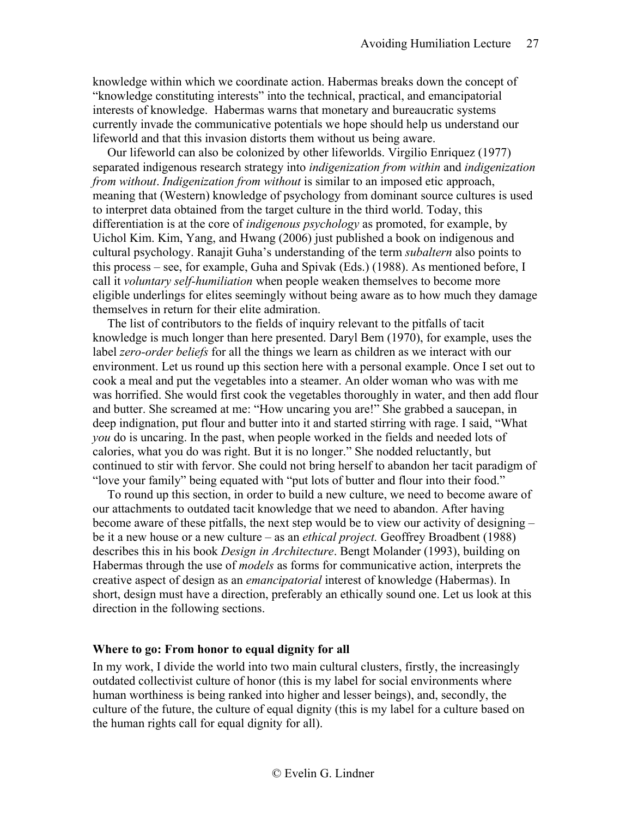knowledge within which we coordinate action. Habermas breaks down the concept of "knowledge constituting interests" into the technical, practical, and emancipatorial interests of knowledge. Habermas warns that monetary and bureaucratic systems currently invade the communicative potentials we hope should help us understand our lifeworld and that this invasion distorts them without us being aware.

Our lifeworld can also be colonized by other lifeworlds. Virgilio Enriquez (1977) separated indigenous research strategy into *indigenization from within* and *indigenization from without*. *Indigenization from without* is similar to an imposed etic approach, meaning that (Western) knowledge of psychology from dominant source cultures is used to interpret data obtained from the target culture in the third world. Today, this differentiation is at the core of *indigenous psychology* as promoted, for example, by Uichol Kim. Kim, Yang, and Hwang (2006) just published a book on indigenous and cultural psychology. Ranajit Guha's understanding of the term *subaltern* also points to this process – see, for example, Guha and Spivak (Eds.) (1988). As mentioned before, I call it *voluntary self-humiliation* when people weaken themselves to become more eligible underlings for elites seemingly without being aware as to how much they damage themselves in return for their elite admiration.

The list of contributors to the fields of inquiry relevant to the pitfalls of tacit knowledge is much longer than here presented. Daryl Bem (1970), for example, uses the label *zero-order beliefs* for all the things we learn as children as we interact with our environment. Let us round up this section here with a personal example. Once I set out to cook a meal and put the vegetables into a steamer. An older woman who was with me was horrified. She would first cook the vegetables thoroughly in water, and then add flour and butter. She screamed at me: "How uncaring you are!" She grabbed a saucepan, in deep indignation, put flour and butter into it and started stirring with rage. I said, "What *you* do is uncaring. In the past, when people worked in the fields and needed lots of calories, what you do was right. But it is no longer." She nodded reluctantly, but continued to stir with fervor. She could not bring herself to abandon her tacit paradigm of "love your family" being equated with "put lots of butter and flour into their food."

To round up this section, in order to build a new culture, we need to become aware of our attachments to outdated tacit knowledge that we need to abandon. After having become aware of these pitfalls, the next step would be to view our activity of designing – be it a new house or a new culture – as an *ethical project.* Geoffrey Broadbent (1988) describes this in his book *Design in Architecture*. Bengt Molander (1993), building on Habermas through the use of *models* as forms for communicative action, interprets the creative aspect of design as an *emancipatorial* interest of knowledge (Habermas). In short, design must have a direction, preferably an ethically sound one. Let us look at this direction in the following sections.

### <span id="page-26-0"></span>**Where to go: From honor to equal dignity for all**

In my work, I divide the world into two main cultural clusters, firstly, the increasingly outdated collectivist culture of honor (this is my label for social environments where human worthiness is being ranked into higher and lesser beings), and, secondly, the culture of the future, the culture of equal dignity (this is my label for a culture based on the human rights call for equal dignity for all).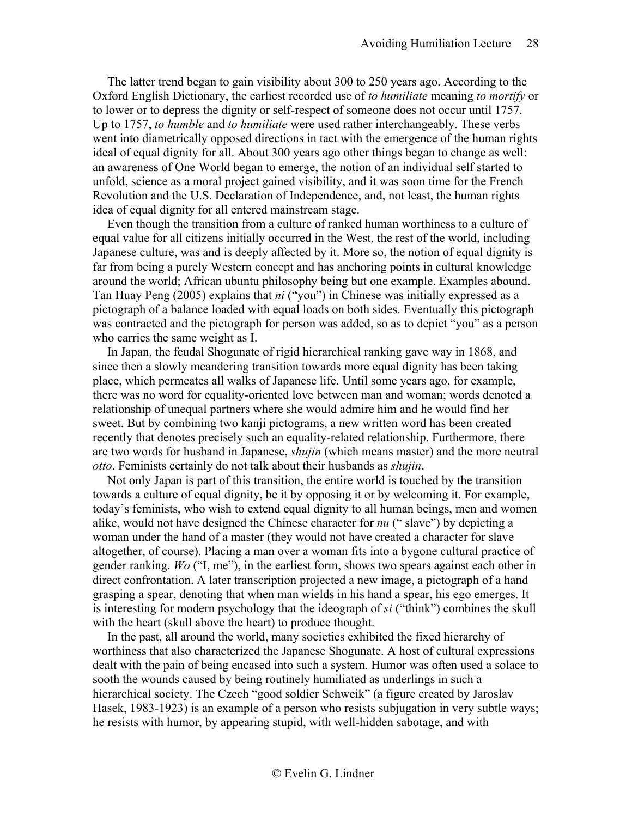The latter trend began to gain visibility about 300 to 250 years ago. According to the Oxford English Dictionary, the earliest recorded use of *to humiliate* meaning *to mortify* or to lower or to depress the dignity or self-respect of someone does not occur until 1757. Up to 1757, *to humble* and *to humiliate* were used rather interchangeably. These verbs went into diametrically opposed directions in tact with the emergence of the human rights ideal of equal dignity for all. About 300 years ago other things began to change as well: an awareness of One World began to emerge, the notion of an individual self started to unfold, science as a moral project gained visibility, and it was soon time for the French Revolution and the U.S. Declaration of Independence, and, not least, the human rights idea of equal dignity for all entered mainstream stage.

Even though the transition from a culture of ranked human worthiness to a culture of equal value for all citizens initially occurred in the West, the rest of the world, including Japanese culture, was and is deeply affected by it. More so, the notion of equal dignity is far from being a purely Western concept and has anchoring points in cultural knowledge around the world; African ubuntu philosophy being but one example. Examples abound. Tan Huay Peng (2005) explains that *ni* ("you") in Chinese was initially expressed as a pictograph of a balance loaded with equal loads on both sides. Eventually this pictograph was contracted and the pictograph for person was added, so as to depict "you" as a person who carries the same weight as I.

In Japan, the feudal Shogunate of rigid hierarchical ranking gave way in 1868, and since then a slowly meandering transition towards more equal dignity has been taking place, which permeates all walks of Japanese life. Until some years ago, for example, there was no word for equality-oriented love between man and woman; words denoted a relationship of unequal partners where she would admire him and he would find her sweet. But by combining two kanji pictograms, a new written word has been created recently that denotes precisely such an equality-related relationship. Furthermore, there are two words for husband in Japanese, *shujin* (which means master) and the more neutral *otto*. Feminists certainly do not talk about their husbands as *shujin*.

Not only Japan is part of this transition, the entire world is touched by the transition towards a culture of equal dignity, be it by opposing it or by welcoming it. For example, today's feminists, who wish to extend equal dignity to all human beings, men and women alike, would not have designed the Chinese character for *nu* (" slave") by depicting a woman under the hand of a master (they would not have created a character for slave altogether, of course). Placing a man over a woman fits into a bygone cultural practice of gender ranking. *Wo* ("I, me"), in the earliest form, shows two spears against each other in direct confrontation. A later transcription projected a new image, a pictograph of a hand grasping a spear, denoting that when man wields in his hand a spear, his ego emerges. It is interesting for modern psychology that the ideograph of *si* ("think") combines the skull with the heart (skull above the heart) to produce thought.

In the past, all around the world, many societies exhibited the fixed hierarchy of worthiness that also characterized the Japanese Shogunate. A host of cultural expressions dealt with the pain of being encased into such a system. Humor was often used a solace to sooth the wounds caused by being routinely humiliated as underlings in such a hierarchical society. The Czech "good soldier Schweik" (a figure created by Jaroslav Hasek, 1983-1923) is an example of a person who resists subjugation in very subtle ways; he resists with humor, by appearing stupid, with well-hidden sabotage, and with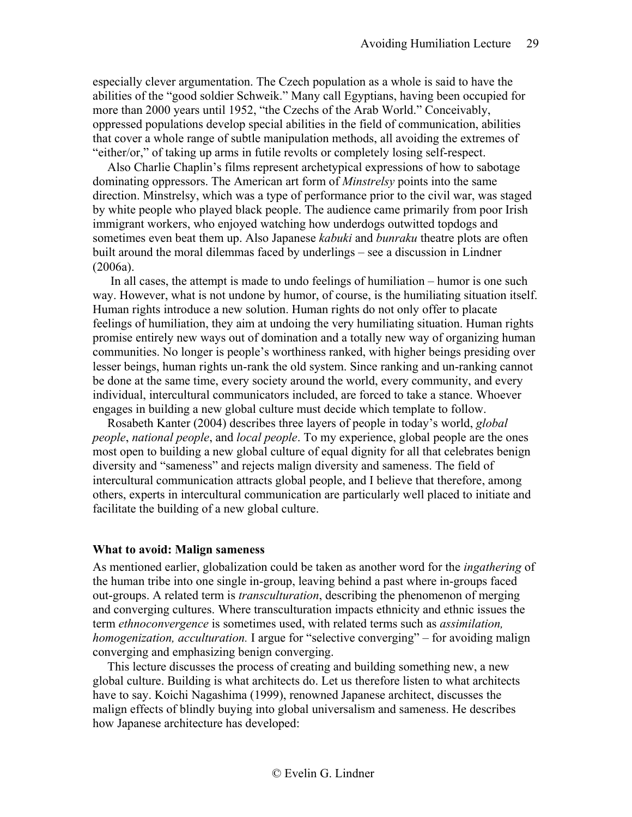especially clever argumentation. The Czech population as a whole is said to have the abilities of the "good soldier Schweik." Many call Egyptians, having been occupied for more than 2000 years until 1952, "the Czechs of the Arab World." Conceivably, oppressed populations develop special abilities in the field of communication, abilities that cover a whole range of subtle manipulation methods, all avoiding the extremes of "either/or," of taking up arms in futile revolts or completely losing self-respect.

Also Charlie Chaplin's films represent archetypical expressions of how to sabotage dominating oppressors. The American art form of *Minstrelsy* points into the same direction. Minstrelsy, which was a type of performance prior to the civil war, was staged by white people who played black people. The audience came primarily from poor Irish immigrant workers, who enjoyed watching how underdogs outwitted topdogs and sometimes even beat them up. Also Japanese *kabuki* and *bunraku* theatre plots are often built around the moral dilemmas faced by underlings – see a discussion in Lindner (2006a).

In all cases, the attempt is made to undo feelings of humiliation – humor is one such way. However, what is not undone by humor, of course, is the humiliating situation itself. Human rights introduce a new solution. Human rights do not only offer to placate feelings of humiliation, they aim at undoing the very humiliating situation. Human rights promise entirely new ways out of domination and a totally new way of organizing human communities. No longer is people's worthiness ranked, with higher beings presiding over lesser beings, human rights un-rank the old system. Since ranking and un-ranking cannot be done at the same time, every society around the world, every community, and every individual, intercultural communicators included, are forced to take a stance. Whoever engages in building a new global culture must decide which template to follow.

Rosabeth Kanter (2004) describes three layers of people in today's world, *global people*, *national people*, and *local people*. To my experience, global people are the ones most open to building a new global culture of equal dignity for all that celebrates benign diversity and "sameness" and rejects malign diversity and sameness. The field of intercultural communication attracts global people, and I believe that therefore, among others, experts in intercultural communication are particularly well placed to initiate and facilitate the building of a new global culture.

# <span id="page-28-0"></span>**What to avoid: Malign sameness**

As mentioned earlier, globalization could be taken as another word for the *ingathering* of the human tribe into one single in-group, leaving behind a past where in-groups faced out-groups. A related term is *transculturation*, describing the phenomenon of merging and converging cultures. Where transculturation impacts ethnicity and ethnic issues the term *ethnoconvergence* is sometimes used, with related terms such as *assimilation, homogenization, acculturation.* I argue for "selective converging" – for avoiding malign converging and emphasizing benign converging.

This lecture discusses the process of creating and building something new, a new global culture. Building is what architects do. Let us therefore listen to what architects have to say. Koichi Nagashima (1999), renowned Japanese architect, discusses the malign effects of blindly buying into global universalism and sameness. He describes how Japanese architecture has developed: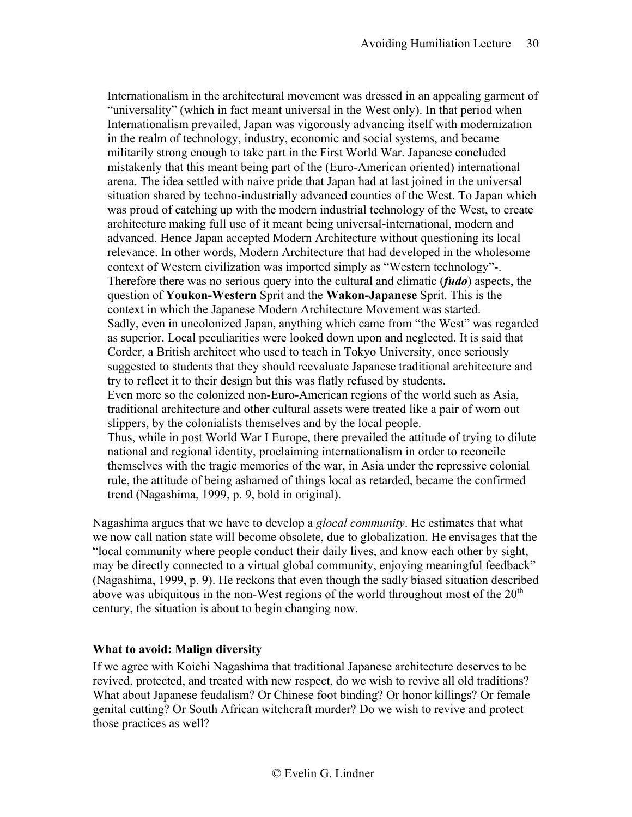Internationalism in the architectural movement was dressed in an appealing garment of "universality" (which in fact meant universal in the West only). In that period when Internationalism prevailed, Japan was vigorously advancing itself with modernization in the realm of technology, industry, economic and social systems, and became militarily strong enough to take part in the First World War. Japanese concluded mistakenly that this meant being part of the (Euro-American oriented) international arena. The idea settled with naive pride that Japan had at last joined in the universal situation shared by techno-industrially advanced counties of the West. To Japan which was proud of catching up with the modern industrial technology of the West, to create architecture making full use of it meant being universal-international, modern and advanced. Hence Japan accepted Modern Architecture without questioning its local relevance. In other words, Modern Architecture that had developed in the wholesome context of Western civilization was imported simply as "Western technology"-. Therefore there was no serious query into the cultural and climatic (*fudo*) aspects, the question of **Youkon-Western** Sprit and the **Wakon-Japanese** Sprit. This is the context in which the Japanese Modern Architecture Movement was started. Sadly, even in uncolonized Japan, anything which came from "the West" was regarded as superior. Local peculiarities were looked down upon and neglected. It is said that Corder, a British architect who used to teach in Tokyo University, once seriously suggested to students that they should reevaluate Japanese traditional architecture and try to reflect it to their design but this was flatly refused by students. Even more so the colonized non-Euro-American regions of the world such as Asia, traditional architecture and other cultural assets were treated like a pair of worn out slippers, by the colonialists themselves and by the local people. Thus, while in post World War I Europe, there prevailed the attitude of trying to dilute national and regional identity, proclaiming internationalism in order to reconcile themselves with the tragic memories of the war, in Asia under the repressive colonial rule, the attitude of being ashamed of things local as retarded, became the confirmed trend (Nagashima, 1999, p. 9, bold in original).

Nagashima argues that we have to develop a *glocal community*. He estimates that what we now call nation state will become obsolete, due to globalization. He envisages that the "local community where people conduct their daily lives, and know each other by sight, may be directly connected to a virtual global community, enjoying meaningful feedback" (Nagashima, 1999, p. 9). He reckons that even though the sadly biased situation described above was ubiquitous in the non-West regions of the world throughout most of the  $20<sup>th</sup>$ century, the situation is about to begin changing now.

# <span id="page-29-0"></span>**What to avoid: Malign diversity**

If we agree with Koichi Nagashima that traditional Japanese architecture deserves to be revived, protected, and treated with new respect, do we wish to revive all old traditions? What about Japanese feudalism? Or Chinese foot binding? Or honor killings? Or female genital cutting? Or South African witchcraft murder? Do we wish to revive and protect those practices as well?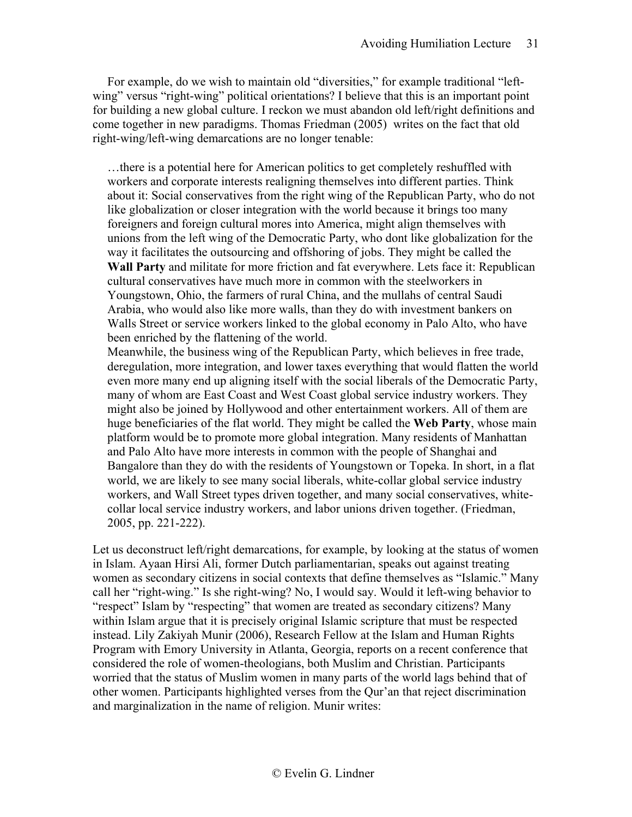For example, do we wish to maintain old "diversities," for example traditional "leftwing" versus "right-wing" political orientations? I believe that this is an important point for building a new global culture. I reckon we must abandon old left/right definitions and come together in new paradigms. Thomas Friedman (2005) writes on the fact that old right-wing/left-wing demarcations are no longer tenable:

…there is a potential here for American politics to get completely reshuffled with workers and corporate interests realigning themselves into different parties. Think about it: Social conservatives from the right wing of the Republican Party, who do not like globalization or closer integration with the world because it brings too many foreigners and foreign cultural mores into America, might align themselves with unions from the left wing of the Democratic Party, who dont like globalization for the way it facilitates the outsourcing and offshoring of jobs. They might be called the **Wall Party** and militate for more friction and fat everywhere. Lets face it: Republican cultural conservatives have much more in common with the steelworkers in Youngstown, Ohio, the farmers of rural China, and the mullahs of central Saudi Arabia, who would also like more walls, than they do with investment bankers on Walls Street or service workers linked to the global economy in Palo Alto, who have been enriched by the flattening of the world.

Meanwhile, the business wing of the Republican Party, which believes in free trade, deregulation, more integration, and lower taxes everything that would flatten the world even more many end up aligning itself with the social liberals of the Democratic Party, many of whom are East Coast and West Coast global service industry workers. They might also be joined by Hollywood and other entertainment workers. All of them are huge beneficiaries of the flat world. They might be called the **Web Party**, whose main platform would be to promote more global integration. Many residents of Manhattan and Palo Alto have more interests in common with the people of Shanghai and Bangalore than they do with the residents of Youngstown or Topeka. In short, in a flat world, we are likely to see many social liberals, white-collar global service industry workers, and Wall Street types driven together, and many social conservatives, whitecollar local service industry workers, and labor unions driven together. (Friedman, 2005, pp. 221-222).

Let us deconstruct left/right demarcations, for example, by looking at the status of women in Islam. Ayaan Hirsi Ali, former Dutch parliamentarian, speaks out against treating women as secondary citizens in social contexts that define themselves as "Islamic." Many call her "right-wing." Is she right-wing? No, I would say. Would it left-wing behavior to "respect" Islam by "respecting" that women are treated as secondary citizens? Many within Islam argue that it is precisely original Islamic scripture that must be respected instead. Lily Zakiyah Munir (2006), Research Fellow at the Islam and Human Rights Program with Emory University in Atlanta, Georgia, reports on a recent conference that considered the role of women-theologians, both Muslim and Christian. Participants worried that the status of Muslim women in many parts of the world lags behind that of other women. Participants highlighted verses from the Qur'an that reject discrimination and marginalization in the name of religion. Munir writes: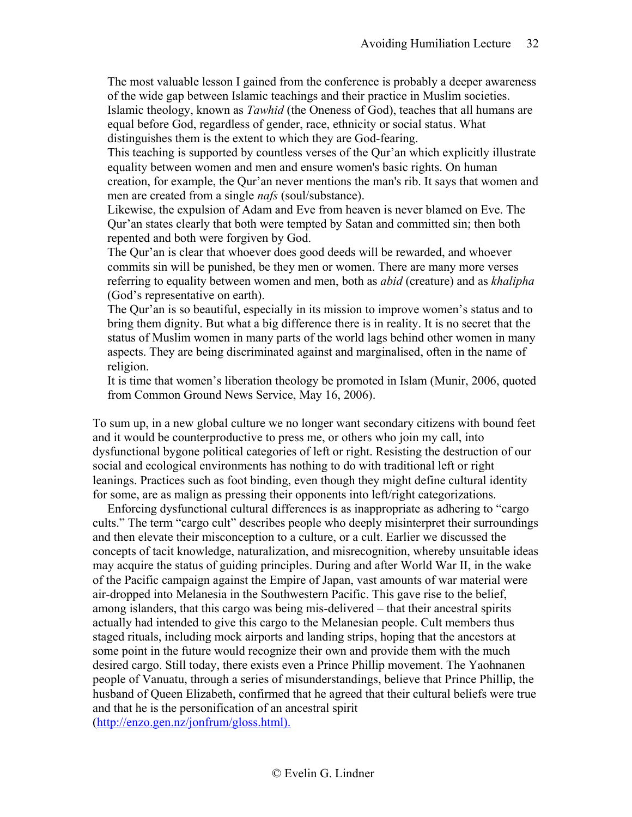The most valuable lesson I gained from the conference is probably a deeper awareness of the wide gap between Islamic teachings and their practice in Muslim societies.

Islamic theology, known as *Tawhid* (the Oneness of God), teaches that all humans are equal before God, regardless of gender, race, ethnicity or social status. What distinguishes them is the extent to which they are God-fearing.

This teaching is supported by countless verses of the Qur'an which explicitly illustrate equality between women and men and ensure women's basic rights. On human creation, for example, the Qur'an never mentions the man's rib. It says that women and men are created from a single *nafs* (soul/substance).

Likewise, the expulsion of Adam and Eve from heaven is never blamed on Eve. The Qur'an states clearly that both were tempted by Satan and committed sin; then both repented and both were forgiven by God.

The Qur'an is clear that whoever does good deeds will be rewarded, and whoever commits sin will be punished, be they men or women. There are many more verses referring to equality between women and men, both as *abid* (creature) and as *khalipha* (God's representative on earth).

The Qur'an is so beautiful, especially in its mission to improve women's status and to bring them dignity. But what a big difference there is in reality. It is no secret that the status of Muslim women in many parts of the world lags behind other women in many aspects. They are being discriminated against and marginalised, often in the name of religion.

It is time that women's liberation theology be promoted in Islam (Munir, 2006, quoted from Common Ground News Service, May 16, 2006).

To sum up, in a new global culture we no longer want secondary citizens with bound feet and it would be counterproductive to press me, or others who join my call, into dysfunctional bygone political categories of left or right. Resisting the destruction of our social and ecological environments has nothing to do with traditional left or right leanings. Practices such as foot binding, even though they might define cultural identity for some, are as malign as pressing their opponents into left/right categorizations.

Enforcing dysfunctional cultural differences is as inappropriate as adhering to "cargo cults." The term "cargo cult" describes people who deeply misinterpret their surroundings and then elevate their misconception to a culture, or a cult. Earlier we discussed the concepts of tacit knowledge, naturalization, and misrecognition, whereby unsuitable ideas may acquire the status of guiding principles. During and after World War II, in the wake of the Pacific campaign against the Empire of Japan, vast amounts of war material were air-dropped into [Melanesia](http://en.wikipedia.org/wiki/Melanesia) in the Southwestern Pacific. This gave rise to the belief, among islanders, that this cargo was being mis-delivered – that their ancestral spirits actually had intended to give this cargo to the Melanesian people. Cult members thus staged rituals, including mock airports and landing strips, hoping that the ancestors at some point in the future would recognize their own and provide them with the much desired cargo. Still today, there exists even a Prince Phillip movement. The Yaohnanen people of Vanuatu, through a series of misunderstandings, believe that Prince Phillip, the husband of Queen Elizabeth, confirmed that he agreed that their cultural beliefs were true and that he is the personification of an ancestral spirit [\(http://enzo.gen.nz/jonfrum/gloss.html\).](http://enzo.gen.nz/jonfrum/gloss.html)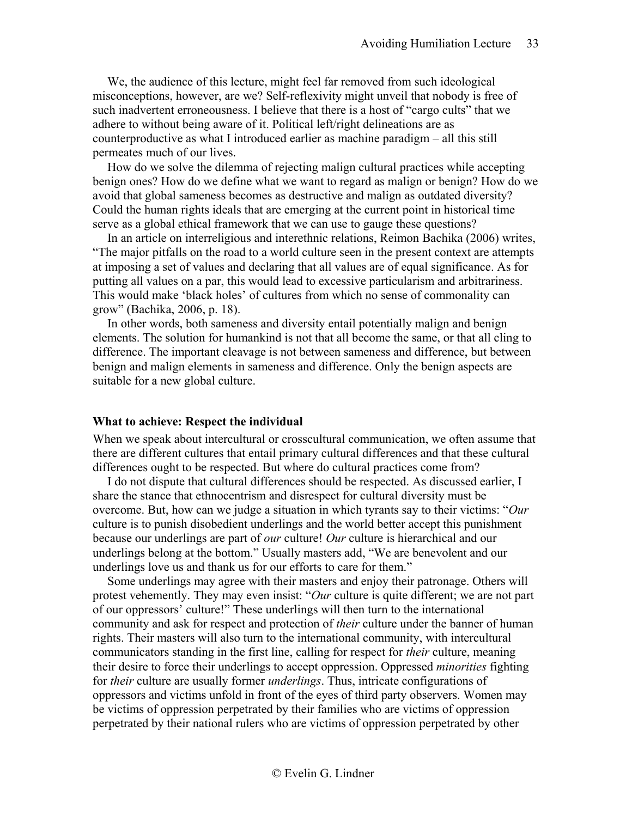We, the audience of this lecture, might feel far removed from such ideological misconceptions, however, are we? Self-reflexivity might unveil that nobody is free of such inadvertent erroneousness. I believe that there is a host of "cargo cults" that we adhere to without being aware of it. Political left/right delineations are as counterproductive as what I introduced earlier as machine paradigm – all this still permeates much of our lives.

How do we solve the dilemma of rejecting malign cultural practices while accepting benign ones? How do we define what we want to regard as malign or benign? How do we avoid that global sameness becomes as destructive and malign as outdated diversity? Could the human rights ideals that are emerging at the current point in historical time serve as a global ethical framework that we can use to gauge these questions?

In an article on interreligious and interethnic relations, Reimon Bachika (2006) writes, "The major pitfalls on the road to a world culture seen in the present context are attempts at imposing a set of values and declaring that all values are of equal significance. As for putting all values on a par, this would lead to excessive particularism and arbitrariness. This would make 'black holes' of cultures from which no sense of commonality can grow" (Bachika, 2006, p. 18).

In other words, both sameness and diversity entail potentially malign and benign elements. The solution for humankind is not that all become the same, or that all cling to difference. The important cleavage is not between sameness and difference, but between benign and malign elements in sameness and difference. Only the benign aspects are suitable for a new global culture.

#### <span id="page-32-0"></span>**What to achieve: Respect the individual**

When we speak about intercultural or crosscultural communication, we often assume that there are different cultures that entail primary cultural differences and that these cultural differences ought to be respected. But where do cultural practices come from?

I do not dispute that cultural differences should be respected. As discussed earlier, I share the stance that ethnocentrism and disrespect for cultural diversity must be overcome. But, how can we judge a situation in which tyrants say to their victims: "*Our*  culture is to punish disobedient underlings and the world better accept this punishment because our underlings are part of *our* culture! *Our* culture is hierarchical and our underlings belong at the bottom." Usually masters add, "We are benevolent and our underlings love us and thank us for our efforts to care for them."

Some underlings may agree with their masters and enjoy their patronage. Others will protest vehemently. They may even insist: "*Our* culture is quite different; we are not part of our oppressors' culture!" These underlings will then turn to the international community and ask for respect and protection of *their* culture under the banner of human rights. Their masters will also turn to the international community, with intercultural communicators standing in the first line, calling for respect for *their* culture, meaning their desire to force their underlings to accept oppression. Oppressed *minorities* fighting for *their* culture are usually former *underlings*. Thus, intricate configurations of oppressors and victims unfold in front of the eyes of third party observers. Women may be victims of oppression perpetrated by their families who are victims of oppression perpetrated by their national rulers who are victims of oppression perpetrated by other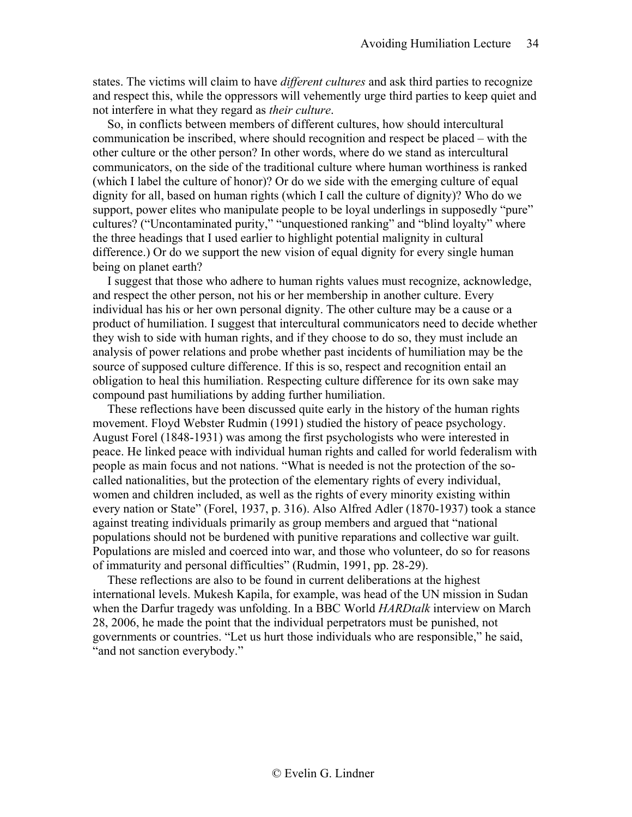states. The victims will claim to have *different cultures* and ask third parties to recognize and respect this, while the oppressors will vehemently urge third parties to keep quiet and not interfere in what they regard as *their culture*.

So, in conflicts between members of different cultures, how should intercultural communication be inscribed, where should recognition and respect be placed – with the other culture or the other person? In other words, where do we stand as intercultural communicators, on the side of the traditional culture where human worthiness is ranked (which I label the culture of honor)? Or do we side with the emerging culture of equal dignity for all, based on human rights (which I call the culture of dignity)? Who do we support, power elites who manipulate people to be loyal underlings in supposedly "pure" cultures? ("Uncontaminated purity," "unquestioned ranking" and "blind loyalty" where the three headings that I used earlier to highlight potential malignity in cultural difference.) Or do we support the new vision of equal dignity for every single human being on planet earth?

I suggest that those who adhere to human rights values must recognize, acknowledge, and respect the other person, not his or her membership in another culture. Every individual has his or her own personal dignity. The other culture may be a cause or a product of humiliation. I suggest that intercultural communicators need to decide whether they wish to side with human rights, and if they choose to do so, they must include an analysis of power relations and probe whether past incidents of humiliation may be the source of supposed culture difference. If this is so, respect and recognition entail an obligation to heal this humiliation. Respecting culture difference for its own sake may compound past humiliations by adding further humiliation.

These reflections have been discussed quite early in the history of the human rights movement. Floyd Webster Rudmin (1991) studied the history of peace psychology. August Forel (1848-1931) was among the first psychologists who were interested in peace. He linked peace with individual human rights and called for world federalism with people as main focus and not nations. "What is needed is not the protection of the socalled nationalities, but the protection of the elementary rights of every individual, women and children included, as well as the rights of every minority existing within every nation or State" (Forel, 1937, p. 316). Also Alfred Adler (1870-1937) took a stance against treating individuals primarily as group members and argued that "national populations should not be burdened with punitive reparations and collective war guilt. Populations are misled and coerced into war, and those who volunteer, do so for reasons of immaturity and personal difficulties" (Rudmin, 1991, pp. 28-29).

These reflections are also to be found in current deliberations at the highest international levels. Mukesh Kapila, for example, was head of the UN mission in Sudan when the Darfur tragedy was unfolding. In a BBC World *HARDtalk* interview on March 28, 2006, he made the point that the individual perpetrators must be punished, not governments or countries. "Let us hurt those individuals who are responsible," he said, "and not sanction everybody."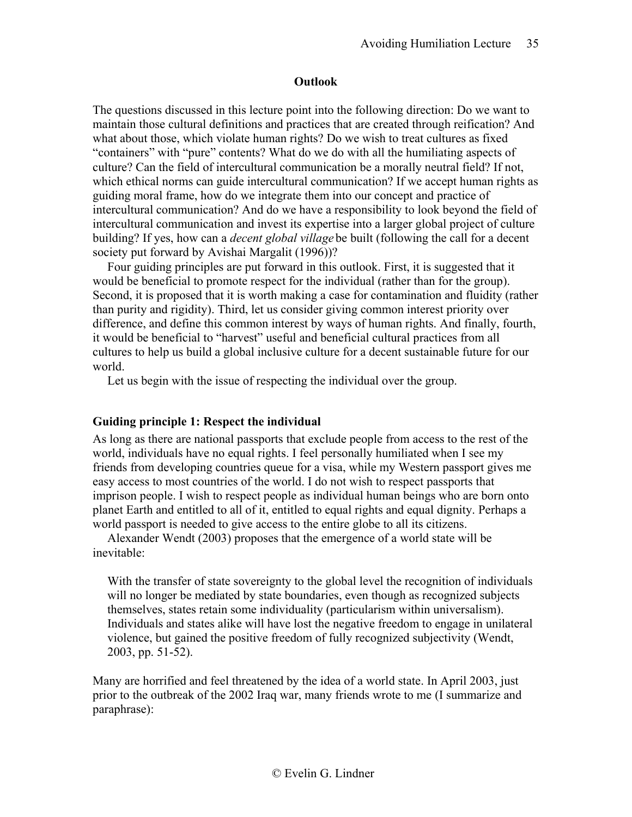### **Outlook**

<span id="page-34-0"></span>The questions discussed in this lecture point into the following direction: Do we want to maintain those cultural definitions and practices that are created through reification? And what about those, which violate human rights? Do we wish to treat cultures as fixed "containers" with "pure" contents? What do we do with all the humiliating aspects of culture? Can the field of intercultural communication be a morally neutral field? If not, which ethical norms can guide intercultural communication? If we accept human rights as guiding moral frame, how do we integrate them into our concept and practice of intercultural communication? And do we have a responsibility to look beyond the field of intercultural communication and invest its expertise into a larger global project of culture building? If yes, how can a *decent global village* be built (following the call for a decent society put forward by Avishai Margalit (1996))?

Four guiding principles are put forward in this outlook. First, it is suggested that it would be beneficial to promote respect for the individual (rather than for the group). Second, it is proposed that it is worth making a case for contamination and fluidity (rather than purity and rigidity). Third, let us consider giving common interest priority over difference, and define this common interest by ways of human rights. And finally, fourth, it would be beneficial to "harvest" useful and beneficial cultural practices from all cultures to help us build a global inclusive culture for a decent sustainable future for our world.

Let us begin with the issue of respecting the individual over the group.

# <span id="page-34-1"></span>**Guiding principle 1: Respect the individual**

As long as there are national passports that exclude people from access to the rest of the world, individuals have no equal rights. I feel personally humiliated when I see my friends from developing countries queue for a visa, while my Western passport gives me easy access to most countries of the world. I do not wish to respect passports that imprison people. I wish to respect people as individual human beings who are born onto planet Earth and entitled to all of it, entitled to equal rights and equal dignity. Perhaps a world passport is needed to give access to the entire globe to all its citizens.

Alexander Wendt (2003) proposes that the emergence of a world state will be inevitable:

With the transfer of state sovereignty to the global level the recognition of individuals will no longer be mediated by state boundaries, even though as recognized subjects themselves, states retain some individuality (particularism within universalism). Individuals and states alike will have lost the negative freedom to engage in unilateral violence, but gained the positive freedom of fully recognized subjectivity (Wendt, 2003, pp. 51-52).

Many are horrified and feel threatened by the idea of a world state. In April 2003, just prior to the outbreak of the 2002 Iraq war, many friends wrote to me (I summarize and paraphrase):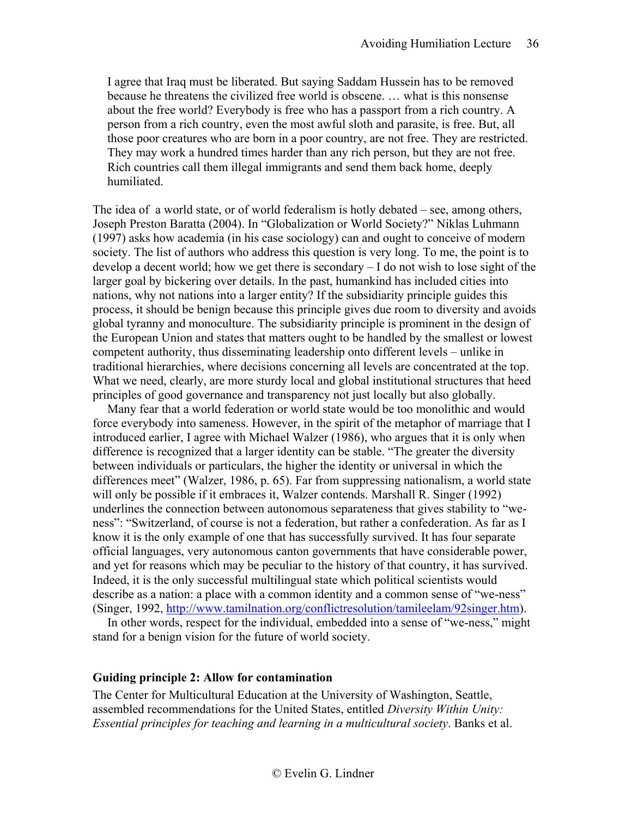I agree that Iraq must be liberated. But saying Saddam Hussein has to be removed because he threatens the civilized free world is obscene. … what is this nonsense about the free world? Everybody is free who has a passport from a rich country. A person from a rich country, even the most awful sloth and parasite, is free. But, all those poor creatures who are born in a poor country, are not free. They are restricted. They may work a hundred times harder than any rich person, but they are not free. Rich countries call them illegal immigrants and send them back home, deeply humiliated.

The idea of a world state, or of world federalism is hotly debated – see, among others, Joseph Preston Baratta (2004). In "Globalization or World Society?" Niklas Luhmann (1997) asks how academia (in his case sociology) can and ought to conceive of modern society. The list of authors who address this question is very long. To me, the point is to develop a decent world; how we get there is secondary – I do not wish to lose sight of the larger goal by bickering over details. In the past, humankind has included cities into nations, why not nations into a larger entity? If the subsidiarity principle guides this process, it should be benign because this principle gives due room to diversity and avoids global tyranny and monoculture. The subsidiarity principle is prominent in the design of the European Union and states that matters ought to be handled by the smallest or lowest competent authority, thus disseminating leadership onto different levels – unlike in traditional hierarchies, where decisions concerning all levels are concentrated at the top. What we need, clearly, are more sturdy local and global institutional structures that heed principles of good governance and transparency not just locally but also globally.

Many fear that a world federation or world state would be too monolithic and would force everybody into sameness. However, in the spirit of the metaphor of marriage that I introduced earlier, I agree with Michael Walzer (1986), who argues that it is only when difference is recognized that a larger identity can be stable. "The greater the diversity between individuals or particulars, the higher the identity or universal in which the differences meet" (Walzer, 1986, p. 65). Far from suppressing nationalism, a world state will only be possible if it embraces it, Walzer contends. Marshall R. Singer (1992) underlines the connection between autonomous separateness that gives stability to "weness": "Switzerland, of course is not a federation, but rather a confederation. As far as I know it is the only example of one that has successfully survived. It has four separate official languages, very autonomous canton governments that have considerable power, and yet for reasons which may be peculiar to the history of that country, it has survived. Indeed, it is the only successful multilingual state which political scientists would describe as a nation: a place with a common identity and a common sense of "we-ness" (Singer, 1992, [http://www.tamilnation.org/conflictresolution/tamileelam/92singer.htm\)](http://www.tamilnation.org/conflictresolution/tamileelam/92singer.htm).

In other words, respect for the individual, embedded into a sense of "we-ness," might stand for a benign vision for the future of world society.

#### <span id="page-35-0"></span>**Guiding principle 2: Allow for contamination**

The Center for Multicultural Education at the University of Washington, Seattle, assembled recommendations for the United States, entitled *Diversity Within Unity: Essential principles for teaching and learning in a multicultural society*. Banks et al.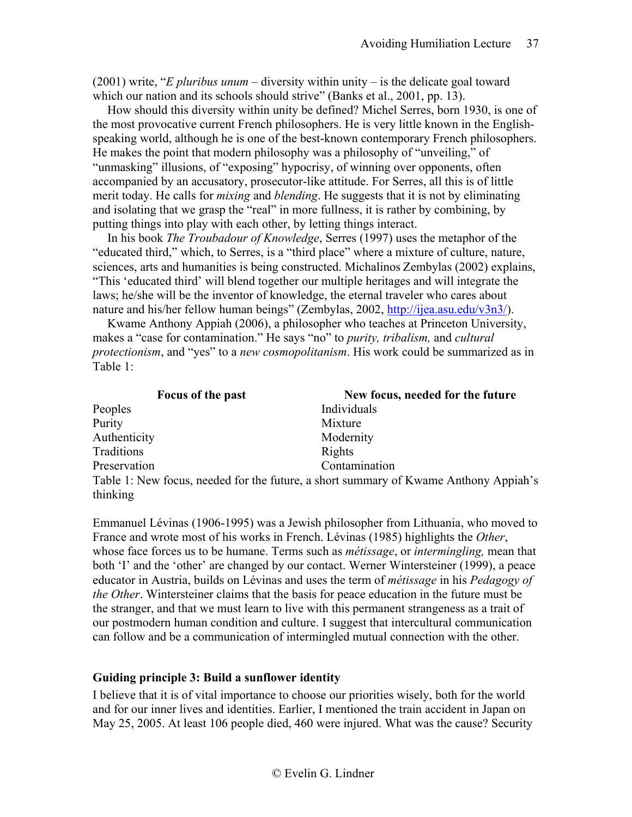(2001) write, "*E pluribus unum* – diversity within unity – is the delicate goal toward which our nation and its schools should strive" (Banks et al., 2001, pp. 13).

How should this diversity within unity be defined? Michel Serres, born 1930, is one of the most provocative current French philosophers. He is very little known in the Englishspeaking world, although he is one of the best-known contemporary French philosophers. He makes the point that modern philosophy was a philosophy of "unveiling," of "unmasking" illusions, of "exposing" hypocrisy, of winning over opponents, often accompanied by an accusatory, prosecutor-like attitude. For Serres, all this is of little merit today. He calls for *mixing* and *blending*. He suggests that it is not by eliminating and isolating that we grasp the "real" in more fullness, it is rather by combining, by putting things into play with each other, by letting things interact.

In his book *The Troubadour of Knowledge*, Serres (1997) uses the metaphor of the "educated third," which, to Serres, is a "third place" where a mixture of culture, nature, sciences, arts and humanities is being constructed. Michalinos Zembylas (2002) explains, "This 'educated third' will blend together our multiple heritages and will integrate the laws; he/she will be the inventor of knowledge, the eternal traveler who cares about nature and his/her fellow human beings" (Zembylas, 2002, [http://ijea.asu.edu/v3n3/\)](http://ijea.asu.edu/v3n3/).

Kwame Anthony Appiah (2006), a philosopher who teaches at Princeton University, makes a "case for contamination." He says "no" to *purity, tribalism,* and *cultural protectionism*, and "yes" to a *new cosmopolitanism*. His work could be summarized as in Table 1:

| Focus of the past | New focus, needed for the future                                                     |
|-------------------|--------------------------------------------------------------------------------------|
| Peoples           | Individuals                                                                          |
| Purity            | Mixture                                                                              |
| Authenticity      | Modernity                                                                            |
| Traditions        | Rights                                                                               |
| Preservation      | Contamination                                                                        |
|                   | Table 1: New focus, needed for the future, a short summary of Kwame Anthony Appiah's |
| thinking          |                                                                                      |

Emmanuel Lévinas (1906-1995) was a Jewish philosopher from Lithuania, who moved to France and wrote most of his works in French. Lévinas (1985) highlights the *Other*, whose face forces us to be humane. Terms such as *métissage*, or *intermingling,* mean that both 'I' and the 'other' are changed by our contact. Werner Wintersteiner (1999), a peace educator in Austria, builds on Lévinas and uses the term of *métissage* in his *Pedagogy of the Other*. Wintersteiner claims that the basis for peace education in the future must be the stranger, and that we must learn to live with this permanent strangeness as a trait of our postmodern human condition and culture. I suggest that intercultural communication can follow and be a communication of intermingled mutual connection with the other.

# <span id="page-36-0"></span>**Guiding principle 3: Build a sunflower identity**

I believe that it is of vital importance to choose our priorities wisely, both for the world and for our inner lives and identities. Earlier, I mentioned the train accident in Japan on May 25, 2005. At least 106 people died, 460 were injured. What was the cause? Security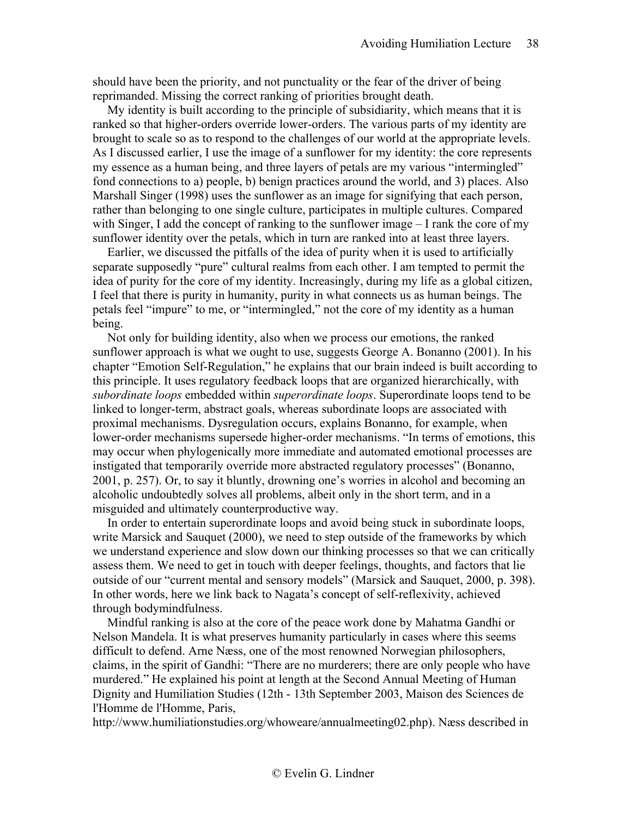should have been the priority, and not punctuality or the fear of the driver of being reprimanded. Missing the correct ranking of priorities brought death.

My identity is built according to the principle of subsidiarity, which means that it is ranked so that higher-orders override lower-orders. The various parts of my identity are brought to scale so as to respond to the challenges of our world at the appropriate levels. As I discussed earlier, I use the image of a sunflower for my identity: the core represents my essence as a human being, and three layers of petals are my various "intermingled" fond connections to a) people, b) benign practices around the world, and 3) places. Also Marshall Singer (1998) uses the sunflower as an image for signifying that each person, rather than belonging to one single culture, participates in multiple cultures. Compared with Singer, I add the concept of ranking to the sunflower image – I rank the core of my sunflower identity over the petals, which in turn are ranked into at least three layers.

Earlier, we discussed the pitfalls of the idea of purity when it is used to artificially separate supposedly "pure" cultural realms from each other. I am tempted to permit the idea of purity for the core of my identity. Increasingly, during my life as a global citizen, I feel that there is purity in humanity, purity in what connects us as human beings. The petals feel "impure" to me, or "intermingled," not the core of my identity as a human being.

Not only for building identity, also when we process our emotions, the ranked sunflower approach is what we ought to use, suggests George A. Bonanno (2001). In his chapter "Emotion Self-Regulation," he explains that our brain indeed is built according to this principle. It uses regulatory feedback loops that are organized hierarchically, with *subordinate loops* embedded within *superordinate loops*. Superordinate loops tend to be linked to longer-term, abstract goals, whereas subordinate loops are associated with proximal mechanisms. Dysregulation occurs, explains Bonanno, for example, when lower-order mechanisms supersede higher-order mechanisms. "In terms of emotions, this may occur when phylogenically more immediate and automated emotional processes are instigated that temporarily override more abstracted regulatory processes" (Bonanno, 2001, p. 257). Or, to say it bluntly, drowning one's worries in alcohol and becoming an alcoholic undoubtedly solves all problems, albeit only in the short term, and in a misguided and ultimately counterproductive way.

In order to entertain superordinate loops and avoid being stuck in subordinate loops, write Marsick and Sauquet (2000), we need to step outside of the frameworks by which we understand experience and slow down our thinking processes so that we can critically assess them. We need to get in touch with deeper feelings, thoughts, and factors that lie outside of our "current mental and sensory models" (Marsick and Sauquet, 2000, p. 398). In other words, here we link back to Nagata's concept of self-reflexivity, achieved through bodymindfulness.

Mindful ranking is also at the core of the peace work done by Mahatma Gandhi or Nelson Mandela. It is what preserves humanity particularly in cases where this seems difficult to defend. Arne Næss, one of the most renowned Norwegian philosophers, claims, in the spirit of Gandhi: "There are no murderers; there are only people who have murdered." He explained his point at length at the Second Annual Meeting of Human Dignity and Humiliation Studies (12th - 13th September 2003, Maison des Sciences de l'Homme de l'Homme, Paris,

http://www.humiliationstudies.org/whoweare/annualmeeting02.php). Næss described in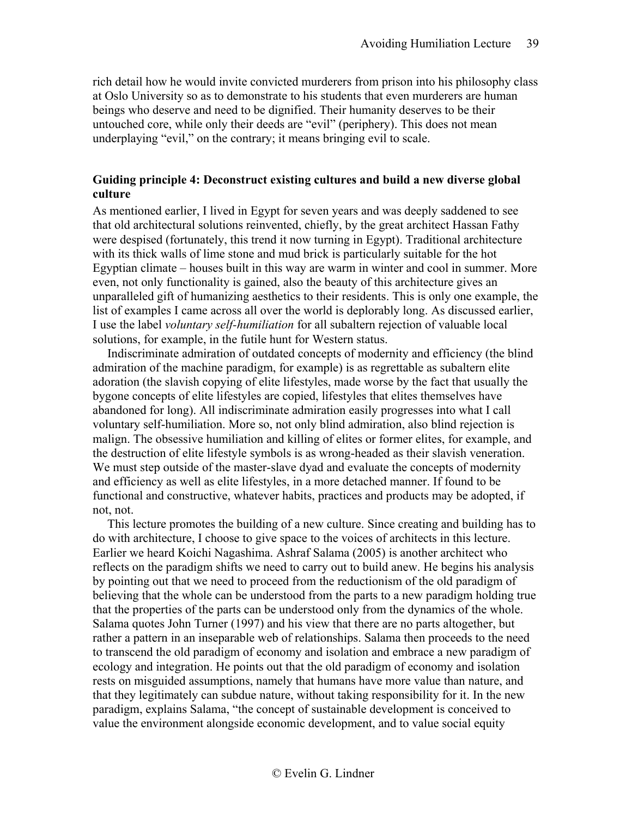rich detail how he would invite convicted murderers from prison into his philosophy class at Oslo University so as to demonstrate to his students that even murderers are human beings who deserve and need to be dignified. Their humanity deserves to be their untouched core, while only their deeds are "evil" (periphery). This does not mean underplaying "evil," on the contrary; it means bringing evil to scale.

# <span id="page-38-0"></span>**Guiding principle 4: Deconstruct existing cultures and build a new diverse global culture**

As mentioned earlier, I lived in Egypt for seven years and was deeply saddened to see that old architectural solutions reinvented, chiefly, by the great architect Hassan Fathy were despised (fortunately, this trend it now turning in Egypt). Traditional architecture with its thick walls of lime stone and mud brick is particularly suitable for the hot Egyptian climate – houses built in this way are warm in winter and cool in summer. More even, not only functionality is gained, also the beauty of this architecture gives an unparalleled gift of humanizing aesthetics to their residents. This is only one example, the list of examples I came across all over the world is deplorably long. As discussed earlier, I use the label *voluntary self-humiliation* for all subaltern rejection of valuable local solutions, for example, in the futile hunt for Western status.

Indiscriminate admiration of outdated concepts of modernity and efficiency (the blind admiration of the machine paradigm, for example) is as regrettable as subaltern elite adoration (the slavish copying of elite lifestyles, made worse by the fact that usually the bygone concepts of elite lifestyles are copied, lifestyles that elites themselves have abandoned for long). All indiscriminate admiration easily progresses into what I call voluntary self-humiliation. More so, not only blind admiration, also blind rejection is malign. The obsessive humiliation and killing of elites or former elites, for example, and the destruction of elite lifestyle symbols is as wrong-headed as their slavish veneration. We must step outside of the master-slave dyad and evaluate the concepts of modernity and efficiency as well as elite lifestyles, in a more detached manner. If found to be functional and constructive, whatever habits, practices and products may be adopted, if not, not.

This lecture promotes the building of a new culture. Since creating and building has to do with architecture, I choose to give space to the voices of architects in this lecture. Earlier we heard Koichi Nagashima. Ashraf Salama (2005) is another architect who reflects on the paradigm shifts we need to carry out to build anew. He begins his analysis by pointing out that we need to proceed from the reductionism of the old paradigm of believing that the whole can be understood from the parts to a new paradigm holding true that the properties of the parts can be understood only from the dynamics of the whole. Salama quotes John Turner (1997) and his view that there are no parts altogether, but rather a pattern in an inseparable web of relationships. Salama then proceeds to the need to transcend the old paradigm of economy and isolation and embrace a new paradigm of ecology and integration. He points out that the old paradigm of economy and isolation rests on misguided assumptions, namely that humans have more value than nature, and that they legitimately can subdue nature, without taking responsibility for it. In the new paradigm, explains Salama, "the concept of sustainable development is conceived to value the environment alongside economic development, and to value social equity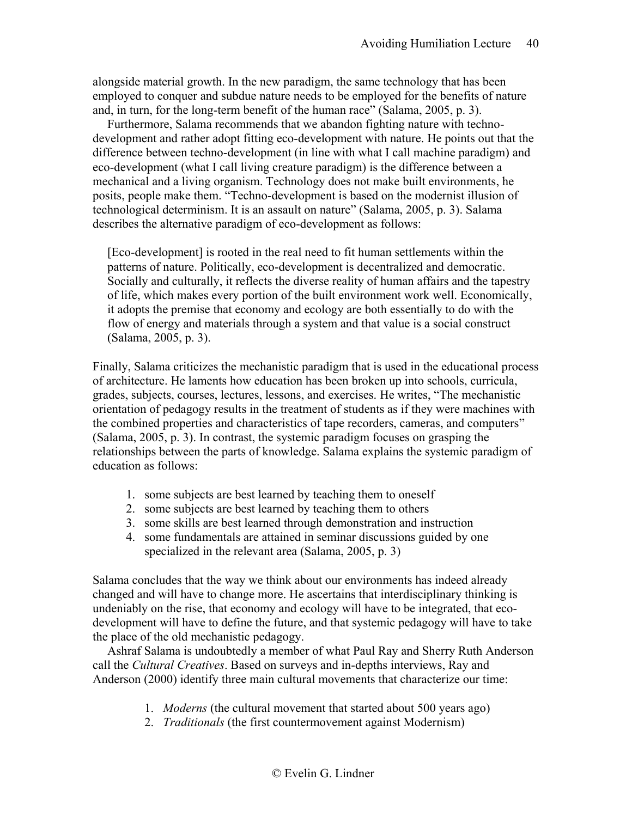alongside material growth. In the new paradigm, the same technology that has been employed to conquer and subdue nature needs to be employed for the benefits of nature and, in turn, for the long-term benefit of the human race" (Salama, 2005, p. 3).

Furthermore, Salama recommends that we abandon fighting nature with technodevelopment and rather adopt fitting eco-development with nature. He points out that the difference between techno-development (in line with what I call machine paradigm) and eco-development (what I call living creature paradigm) is the difference between a mechanical and a living organism. Technology does not make built environments, he posits, people make them. "Techno-development is based on the modernist illusion of technological determinism. It is an assault on nature" (Salama, 2005, p. 3). Salama describes the alternative paradigm of eco-development as follows:

[Eco-development] is rooted in the real need to fit human settlements within the patterns of nature. Politically, eco-development is decentralized and democratic. Socially and culturally, it reflects the diverse reality of human affairs and the tapestry of life, which makes every portion of the built environment work well. Economically, it adopts the premise that economy and ecology are both essentially to do with the flow of energy and materials through a system and that value is a social construct (Salama, 2005, p. 3).

Finally, Salama criticizes the mechanistic paradigm that is used in the educational process of architecture. He laments how education has been broken up into schools, curricula, grades, subjects, courses, lectures, lessons, and exercises. He writes, "The mechanistic orientation of pedagogy results in the treatment of students as if they were machines with the combined properties and characteristics of tape recorders, cameras, and computers" (Salama, 2005, p. 3). In contrast, the systemic paradigm focuses on grasping the relationships between the parts of knowledge. Salama explains the systemic paradigm of education as follows:

- 1. some subjects are best learned by teaching them to oneself
- 2. some subjects are best learned by teaching them to others
- 3. some skills are best learned through demonstration and instruction
- 4. some fundamentals are attained in seminar discussions guided by one specialized in the relevant area (Salama, 2005, p. 3)

Salama concludes that the way we think about our environments has indeed already changed and will have to change more. He ascertains that interdisciplinary thinking is undeniably on the rise, that economy and ecology will have to be integrated, that ecodevelopment will have to define the future, and that systemic pedagogy will have to take the place of the old mechanistic pedagogy.

Ashraf Salama is undoubtedly a member of what Paul Ray and Sherry Ruth Anderson call the *Cultural Creatives*. Based on surveys and in-depths interviews, Ray and Anderson (2000) identify three main cultural movements that characterize our time:

- 1. *Moderns* (the cultural movement that started about 500 years ago)
- 2. *Traditionals* (the first countermovement against Modernism)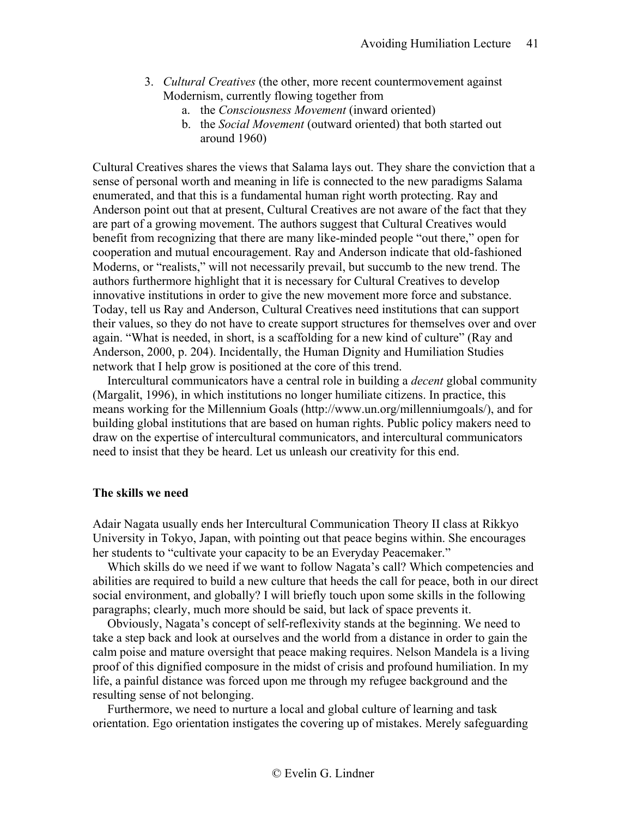- 3. *Cultural Creatives* (the other, more recent countermovement against Modernism, currently flowing together from
	- a. the *Consciousness Movement* (inward oriented)
	- b. the *Social Movement* (outward oriented) that both started out around 1960)

Cultural Creatives shares the views that Salama lays out. They share the conviction that a sense of personal worth and meaning in life is connected to the new paradigms Salama enumerated, and that this is a fundamental human right worth protecting. Ray and Anderson point out that at present, Cultural Creatives are not aware of the fact that they are part of a growing movement. The authors suggest that Cultural Creatives would benefit from recognizing that there are many like-minded people "out there," open for cooperation and mutual encouragement. Ray and Anderson indicate that old-fashioned Moderns, or "realists," will not necessarily prevail, but succumb to the new trend. The authors furthermore highlight that it is necessary for Cultural Creatives to develop innovative institutions in order to give the new movement more force and substance. Today, tell us Ray and Anderson, Cultural Creatives need institutions that can support their values, so they do not have to create support structures for themselves over and over again. "What is needed, in short, is a scaffolding for a new kind of culture" (Ray and Anderson, 2000, p. 204). Incidentally, the Human Dignity and Humiliation Studies network that I help grow is positioned at the core of this trend.

Intercultural communicators have a central role in building a *decent* global community (Margalit, 1996), in which institutions no longer humiliate citizens. In practice, this means working for the Millennium Goals (http://www.un.org/millenniumgoals/), and for building global institutions that are based on human rights. Public policy makers need to draw on the expertise of intercultural communicators, and intercultural communicators need to insist that they be heard. Let us unleash our creativity for this end.

### <span id="page-40-0"></span>**The skills we need**

Adair Nagata usually ends her Intercultural Communication Theory II class at Rikkyo University in Tokyo, Japan, with pointing out that peace begins within. She encourages her students to "cultivate your capacity to be an Everyday Peacemaker."

Which skills do we need if we want to follow Nagata's call? Which competencies and abilities are required to build a new culture that heeds the call for peace, both in our direct social environment, and globally? I will briefly touch upon some skills in the following paragraphs; clearly, much more should be said, but lack of space prevents it.

Obviously, Nagata's concept of self-reflexivity stands at the beginning. We need to take a step back and look at ourselves and the world from a distance in order to gain the calm poise and mature oversight that peace making requires. Nelson Mandela is a living proof of this dignified composure in the midst of crisis and profound humiliation. In my life, a painful distance was forced upon me through my refugee background and the resulting sense of not belonging.

Furthermore, we need to nurture a local and global culture of learning and task orientation. Ego orientation instigates the covering up of mistakes. Merely safeguarding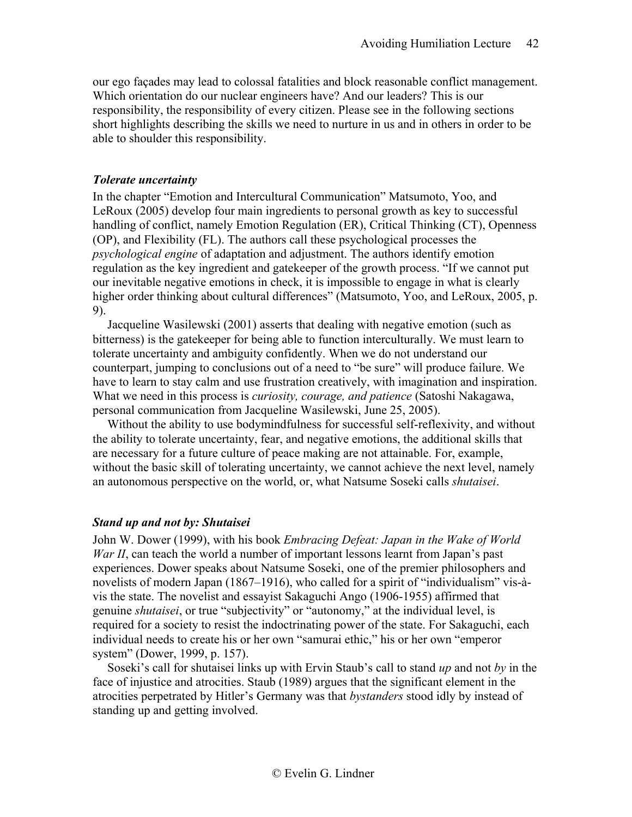our ego façades may lead to colossal fatalities and block reasonable conflict management. Which orientation do our nuclear engineers have? And our leaders? This is our responsibility, the responsibility of every citizen. Please see in the following sections short highlights describing the skills we need to nurture in us and in others in order to be able to shoulder this responsibility.

### *Tolerate uncertainty*

In the chapter "Emotion and Intercultural Communication" Matsumoto, Yoo, and LeRoux (2005) develop four main ingredients to personal growth as key to successful handling of conflict, namely Emotion Regulation (ER), Critical Thinking (CT), Openness (OP), and Flexibility (FL). The authors call these psychological processes the *psychological engine* of adaptation and adjustment. The authors identify emotion regulation as the key ingredient and gatekeeper of the growth process. "If we cannot put our inevitable negative emotions in check, it is impossible to engage in what is clearly higher order thinking about cultural differences" (Matsumoto, Yoo, and LeRoux, 2005, p. 9).

Jacqueline Wasilewski (2001) asserts that dealing with negative emotion (such as bitterness) is the gatekeeper for being able to function interculturally. We must learn to tolerate uncertainty and ambiguity confidently. When we do not understand our counterpart, jumping to conclusions out of a need to "be sure" will produce failure. We have to learn to stay calm and use frustration creatively, with imagination and inspiration. What we need in this process is *curiosity, courage, and patience* (Satoshi Nakagawa, personal communication from Jacqueline Wasilewski, June 25, 2005).

Without the ability to use bodymindfulness for successful self-reflexivity, and without the ability to tolerate uncertainty, fear, and negative emotions, the additional skills that are necessary for a future culture of peace making are not attainable. For, example, without the basic skill of tolerating uncertainty, we cannot achieve the next level, namely an autonomous perspective on the world, or, what Natsume Soseki calls *shutaisei*.

# *Stand up and not by: Shutaisei*

John W. Dower (1999), with his book *Embracing Defeat: Japan in the Wake of World War II*, can teach the world a number of important lessons learnt from Japan's past experiences. Dower speaks about Natsume Soseki, one of the premier philosophers and novelists of modern Japan (1867–1916), who called for a spirit of "individualism" vis-àvis the state. The novelist and essayist Sakaguchi Ango (1906-1955) affirmed that genuine *shutaisei*, or true "subjectivity" or "autonomy," at the individual level, is required for a society to resist the indoctrinating power of the state. For Sakaguchi, each individual needs to create his or her own "samurai ethic," his or her own "emperor system" (Dower, 1999, p. 157).

Soseki's call for shutaisei links up with Ervin Staub's call to stand *up* and not *by* in the face of injustice and atrocities. Staub (1989) argues that the significant element in the atrocities perpetrated by Hitler's Germany was that *bystanders* stood idly by instead of standing up and getting involved.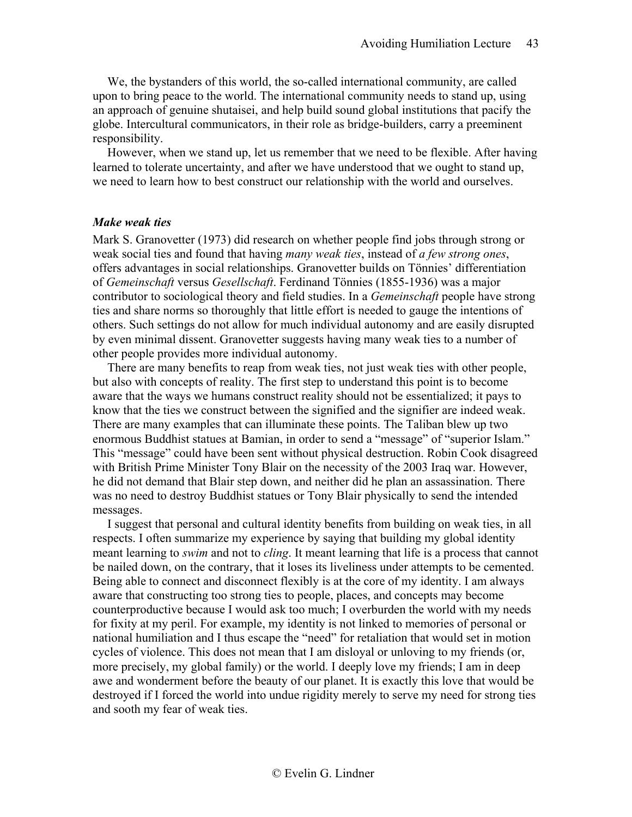We, the bystanders of this world, the so-called international community, are called upon to bring peace to the world. The international community needs to stand up, using an approach of genuine shutaisei, and help build sound global institutions that pacify the globe. Intercultural communicators, in their role as bridge-builders, carry a preeminent responsibility.

However, when we stand up, let us remember that we need to be flexible. After having learned to tolerate uncertainty, and after we have understood that we ought to stand up, we need to learn how to best construct our relationship with the world and ourselves.

# *Make weak ties*

Mark S. Granovetter (1973) did research on whether people find jobs through strong or weak social ties and found that having *many weak ties*, instead of *a few strong ones*, offers advantages in social relationships. Granovetter builds on Tönnies' differentiation of *Gemeinschaft* versus *Gesellschaft*. Ferdinand Tönnies (1855-1936) was a major contributor to sociological theory and field studies. In a *Gemeinschaft* people have strong ties and share norms so thoroughly that little effort is needed to gauge the intentions of others. Such settings do not allow for much individual autonomy and are easily disrupted by even minimal dissent. Granovetter suggests having many weak ties to a number of other people provides more individual autonomy.

There are many benefits to reap from weak ties, not just weak ties with other people, but also with concepts of reality. The first step to understand this point is to become aware that the ways we humans construct reality should not be essentialized; it pays to know that the ties we construct between the signified and the signifier are indeed weak. There are many examples that can illuminate these points. The Taliban blew up two enormous Buddhist statues at Bamian, in order to send a "message" of "superior Islam." This "message" could have been sent without physical destruction. Robin Cook disagreed with British Prime Minister Tony Blair on the necessity of the 2003 Iraq war. However, he did not demand that Blair step down, and neither did he plan an assassination. There was no need to destroy Buddhist statues or Tony Blair physically to send the intended messages.

I suggest that personal and cultural identity benefits from building on weak ties, in all respects. I often summarize my experience by saying that building my global identity meant learning to *swim* and not to *cling*. It meant learning that life is a process that cannot be nailed down, on the contrary, that it loses its liveliness under attempts to be cemented. Being able to connect and disconnect flexibly is at the core of my identity. I am always aware that constructing too strong ties to people, places, and concepts may become counterproductive because I would ask too much; I overburden the world with my needs for fixity at my peril. For example, my identity is not linked to memories of personal or national humiliation and I thus escape the "need" for retaliation that would set in motion cycles of violence. This does not mean that I am disloyal or unloving to my friends (or, more precisely, my global family) or the world. I deeply love my friends; I am in deep awe and wonderment before the beauty of our planet. It is exactly this love that would be destroyed if I forced the world into undue rigidity merely to serve my need for strong ties and sooth my fear of weak ties.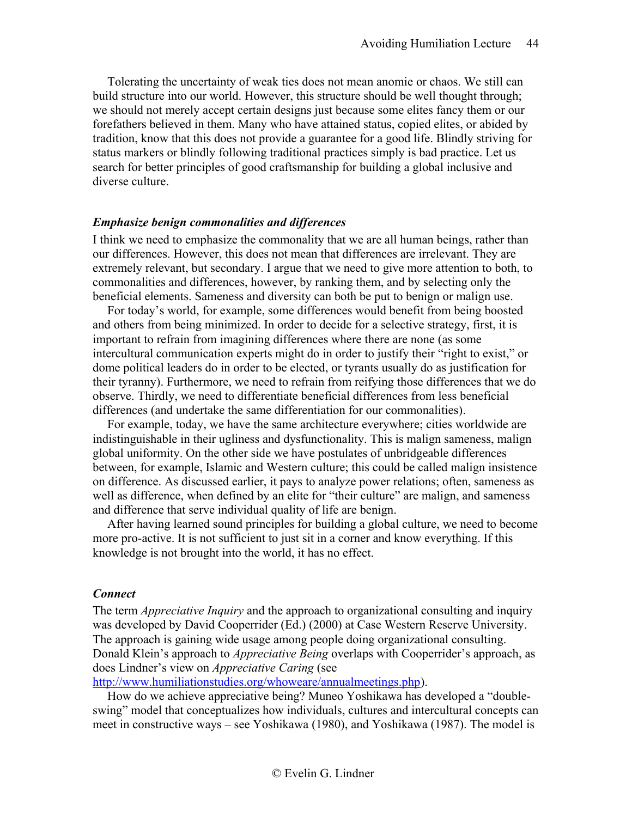Tolerating the uncertainty of weak ties does not mean anomie or chaos. We still can build structure into our world. However, this structure should be well thought through; we should not merely accept certain designs just because some elites fancy them or our forefathers believed in them. Many who have attained status, copied elites, or abided by tradition, know that this does not provide a guarantee for a good life. Blindly striving for status markers or blindly following traditional practices simply is bad practice. Let us search for better principles of good craftsmanship for building a global inclusive and diverse culture.

### *Emphasize benign commonalities and differences*

I think we need to emphasize the commonality that we are all human beings, rather than our differences. However, this does not mean that differences are irrelevant. They are extremely relevant, but secondary. I argue that we need to give more attention to both, to commonalities and differences, however, by ranking them, and by selecting only the beneficial elements. Sameness and diversity can both be put to benign or malign use.

For today's world, for example, some differences would benefit from being boosted and others from being minimized. In order to decide for a selective strategy, first, it is important to refrain from imagining differences where there are none (as some intercultural communication experts might do in order to justify their "right to exist," or dome political leaders do in order to be elected, or tyrants usually do as justification for their tyranny). Furthermore, we need to refrain from reifying those differences that we do observe. Thirdly, we need to differentiate beneficial differences from less beneficial differences (and undertake the same differentiation for our commonalities).

For example, today, we have the same architecture everywhere; cities worldwide are indistinguishable in their ugliness and dysfunctionality. This is malign sameness, malign global uniformity. On the other side we have postulates of unbridgeable differences between, for example, Islamic and Western culture; this could be called malign insistence on difference. As discussed earlier, it pays to analyze power relations; often, sameness as well as difference, when defined by an elite for "their culture" are malign, and sameness and difference that serve individual quality of life are benign.

After having learned sound principles for building a global culture, we need to become more pro-active. It is not sufficient to just sit in a corner and know everything. If this knowledge is not brought into the world, it has no effect.

### *Connect*

The term *Appreciative Inquiry* and the approach to organizational consulting and inquiry was developed by David Cooperrider (Ed.) (2000) at Case Western Reserve University. The approach is gaining wide usage among people doing organizational consulting. Donald Klein's approach to *Appreciative Being* overlaps with Cooperrider's approach, as does Lindner's view on *Appreciative Caring* (see

[http://www.humiliationstudies.org/whoweare/annualmeetings.php\)](http://www.humiliationstudies.org/whoweare/annualmeetings.php).

How do we achieve appreciative being? Muneo Yoshikawa has developed a "doubleswing" model that conceptualizes how individuals, cultures and intercultural concepts can meet in constructive ways – see Yoshikawa (1980), and Yoshikawa (1987). The model is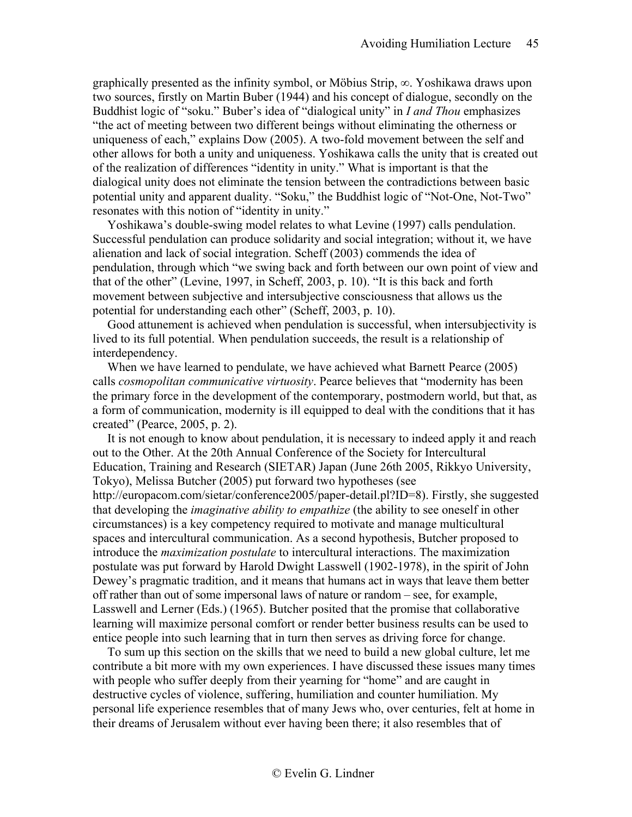graphically presented as the infinity symbol, or Möbius Strip,  $\infty$ . Yoshikawa draws upon two sources, firstly on Martin Buber (1944) and his concept of dialogue, secondly on the Buddhist logic of "soku." Buber's idea of "dialogical unity" in *I and Thou* emphasizes "the act of meeting between two different beings without eliminating the otherness or uniqueness of each," explains Dow (2005). A two-fold movement between the self and other allows for both a unity and uniqueness. Yoshikawa calls the unity that is created out of the realization of differences "identity in unity." What is important is that the dialogical unity does not eliminate the tension between the contradictions between basic potential unity and apparent duality. "Soku," the Buddhist logic of "Not-One, Not-Two" resonates with this notion of "identity in unity."

Yoshikawa's double-swing model relates to what Levine (1997) calls pendulation. Successful pendulation can produce solidarity and social integration; without it, we have alienation and lack of social integration. Scheff (2003) commends the idea of pendulation, through which "we swing back and forth between our own point of view and that of the other" (Levine, 1997, in Scheff, 2003, p. 10). "It is this back and forth movement between subjective and intersubjective consciousness that allows us the potential for understanding each other" (Scheff, 2003, p. 10).

Good attunement is achieved when pendulation is successful, when intersubjectivity is lived to its full potential. When pendulation succeeds, the result is a relationship of interdependency.

When we have learned to pendulate, we have achieved what Barnett Pearce (2005) calls *cosmopolitan communicative virtuosity*. Pearce believes that "modernity has been the primary force in the development of the contemporary, postmodern world, but that, as a form of communication, modernity is ill equipped to deal with the conditions that it has created" (Pearce, 2005, p. 2).

It is not enough to know about pendulation, it is necessary to indeed apply it and reach out to the Other. At the 20th Annual Conference of the Society for Intercultural Education, Training and Research (SIETAR) Japan (June 26th 2005, Rikkyo University, Tokyo), Melissa Butcher (2005) put forward two hypotheses (see http://europacom.com/sietar/conference2005/paper-detail.pl?ID=8). Firstly, she suggested that developing the *imaginative ability to empathize* (the ability to see oneself in other circumstances) is a key competency required to motivate and manage multicultural spaces and intercultural communication. As a second hypothesis, Butcher proposed to introduce the *maximization postulate* to intercultural interactions. The maximization postulate was put forward by Harold Dwight Lasswell (1902-1978), in the spirit of John Dewey's pragmatic tradition, and it means that humans act in ways that leave them better off rather than out of some impersonal laws of nature or random – see, for example, Lasswell and Lerner (Eds.) (1965). Butcher posited that the promise that collaborative learning will maximize personal comfort or render better business results can be used to entice people into such learning that in turn then serves as driving force for change.

To sum up this section on the skills that we need to build a new global culture, let me contribute a bit more with my own experiences. I have discussed these issues many times with people who suffer deeply from their yearning for "home" and are caught in destructive cycles of violence, suffering, humiliation and counter humiliation. My personal life experience resembles that of many Jews who, over centuries, felt at home in their dreams of Jerusalem without ever having been there; it also resembles that of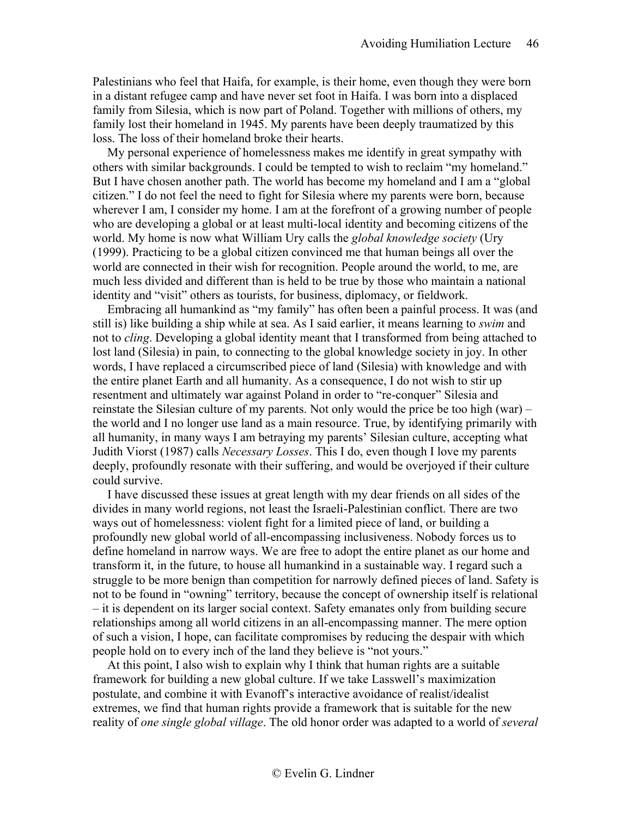Palestinians who feel that Haifa, for example, is their home, even though they were born in a distant refugee camp and have never set foot in Haifa. I was born into a displaced family from Silesia, which is now part of Poland. Together with millions of others, my family lost their homeland in 1945. My parents have been deeply traumatized by this loss. The loss of their homeland broke their hearts.

My personal experience of homelessness makes me identify in great sympathy with others with similar backgrounds. I could be tempted to wish to reclaim "my homeland." But I have chosen another path. The world has become my homeland and I am a "global citizen." I do not feel the need to fight for Silesia where my parents were born, because wherever I am, I consider my home. I am at the forefront of a growing number of people who are developing a global or at least multi-local identity and becoming citizens of the world. My home is now what William Ury calls the *global knowledge society* (Ury (1999). Practicing to be a global citizen convinced me that human beings all over the world are connected in their wish for recognition. People around the world, to me, are much less divided and different than is held to be true by those who maintain a national identity and "visit" others as tourists, for business, diplomacy, or fieldwork.

Embracing all humankind as "my family" has often been a painful process. It was (and still is) like building a ship while at sea. As I said earlier, it means learning to *swim* and not to *cling*. Developing a global identity meant that I transformed from being attached to lost land (Silesia) in pain, to connecting to the global knowledge society in joy. In other words, I have replaced a circumscribed piece of land (Silesia) with knowledge and with the entire planet Earth and all humanity. As a consequence, I do not wish to stir up resentment and ultimately war against Poland in order to "re-conquer" Silesia and reinstate the Silesian culture of my parents. Not only would the price be too high (war) – the world and I no longer use land as a main resource. True, by identifying primarily with all humanity, in many ways I am betraying my parents' Silesian culture, accepting what Judith Viorst (1987) calls *Necessary Losses*. This I do, even though I love my parents deeply, profoundly resonate with their suffering, and would be overjoyed if their culture could survive.

I have discussed these issues at great length with my dear friends on all sides of the divides in many world regions, not least the Israeli-Palestinian conflict. There are two ways out of homelessness: violent fight for a limited piece of land, or building a profoundly new global world of all-encompassing inclusiveness. Nobody forces us to define homeland in narrow ways. We are free to adopt the entire planet as our home and transform it, in the future, to house all humankind in a sustainable way. I regard such a struggle to be more benign than competition for narrowly defined pieces of land. Safety is not to be found in "owning" territory, because the concept of ownership itself is relational – it is dependent on its larger social context. Safety emanates only from building secure relationships among all world citizens in an all-encompassing manner. The mere option of such a vision, I hope, can facilitate compromises by reducing the despair with which people hold on to every inch of the land they believe is "not yours."

At this point, I also wish to explain why I think that human rights are a suitable framework for building a new global culture. If we take Lasswell's maximization postulate, and combine it with Evanoff's interactive avoidance of realist/idealist extremes, we find that human rights provide a framework that is suitable for the new reality of *one single global village*. The old honor order was adapted to a world of *several*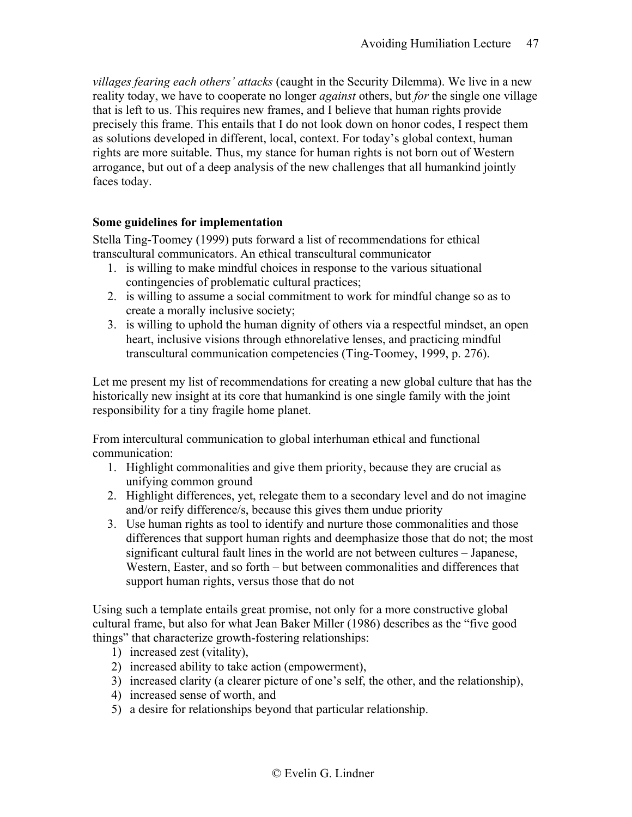*villages fearing each others' attacks* (caught in the Security Dilemma). We live in a new reality today, we have to cooperate no longer *against* others, but *for* the single one village that is left to us. This requires new frames, and I believe that human rights provide precisely this frame. This entails that I do not look down on honor codes, I respect them as solutions developed in different, local, context. For today's global context, human rights are more suitable. Thus, my stance for human rights is not born out of Western arrogance, but out of a deep analysis of the new challenges that all humankind jointly faces today.

# <span id="page-46-0"></span>**Some guidelines for implementation**

Stella Ting-Toomey (1999) puts forward a list of recommendations for ethical transcultural communicators. An ethical transcultural communicator

- 1. is willing to make mindful choices in response to the various situational contingencies of problematic cultural practices;
- 2. is willing to assume a social commitment to work for mindful change so as to create a morally inclusive society;
- 3. is willing to uphold the human dignity of others via a respectful mindset, an open heart, inclusive visions through ethnorelative lenses, and practicing mindful transcultural communication competencies (Ting-Toomey, 1999, p. 276).

Let me present my list of recommendations for creating a new global culture that has the historically new insight at its core that humankind is one single family with the joint responsibility for a tiny fragile home planet.

From intercultural communication to global interhuman ethical and functional communication:

- 1. Highlight commonalities and give them priority, because they are crucial as unifying common ground
- 2. Highlight differences, yet, relegate them to a secondary level and do not imagine and/or reify difference/s, because this gives them undue priority
- 3. Use human rights as tool to identify and nurture those commonalities and those differences that support human rights and deemphasize those that do not; the most significant cultural fault lines in the world are not between cultures – Japanese, Western, Easter, and so forth – but between commonalities and differences that support human rights, versus those that do not

Using such a template entails great promise, not only for a more constructive global cultural frame, but also for what Jean Baker Miller (1986) describes as the "five good things" that characterize growth-fostering relationships:

- 1) increased zest (vitality),
- 2) increased ability to take action (empowerment),
- 3) increased clarity (a clearer picture of one's self, the other, and the relationship),
- 4) increased sense of worth, and
- 5) a desire for relationships beyond that particular relationship.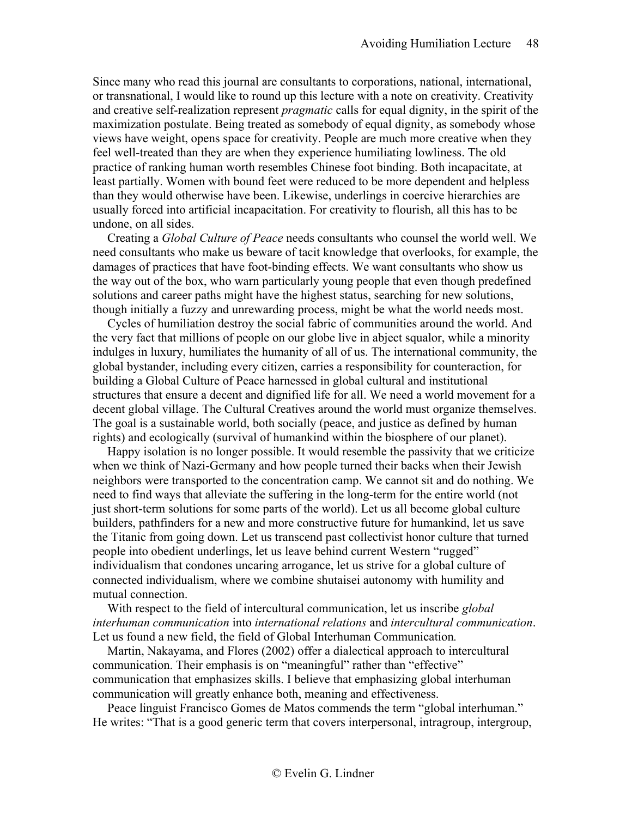Since many who read this journal are consultants to corporations, national, international, or transnational, I would like to round up this lecture with a note on creativity. Creativity and creative self-realization represent *pragmatic* calls for equal dignity, in the spirit of the maximization postulate. Being treated as somebody of equal dignity, as somebody whose views have weight, opens space for creativity. People are much more creative when they feel well-treated than they are when they experience humiliating lowliness. The old practice of ranking human worth resembles Chinese foot binding. Both incapacitate, at least partially. Women with bound feet were reduced to be more dependent and helpless than they would otherwise have been. Likewise, underlings in coercive hierarchies are usually forced into artificial incapacitation. For creativity to flourish, all this has to be undone, on all sides.

Creating a *Global Culture of Peace* needs consultants who counsel the world well. We need consultants who make us beware of tacit knowledge that overlooks, for example, the damages of practices that have foot-binding effects. We want consultants who show us the way out of the box, who warn particularly young people that even though predefined solutions and career paths might have the highest status, searching for new solutions, though initially a fuzzy and unrewarding process, might be what the world needs most.

Cycles of humiliation destroy the social fabric of communities around the world. And the very fact that millions of people on our globe live in abject squalor, while a minority indulges in luxury, humiliates the humanity of all of us. The international community, the global bystander, including every citizen, carries a responsibility for counteraction, for building a Global Culture of Peace harnessed in global cultural and institutional structures that ensure a decent and dignified life for all. We need a world movement for a decent global village. The Cultural Creatives around the world must organize themselves. The goal is a sustainable world, both socially (peace, and justice as defined by human rights) and ecologically (survival of humankind within the biosphere of our planet).

Happy isolation is no longer possible. It would resemble the passivity that we criticize when we think of Nazi-Germany and how people turned their backs when their Jewish neighbors were transported to the concentration camp. We cannot sit and do nothing. We need to find ways that alleviate the suffering in the long-term for the entire world (not just short-term solutions for some parts of the world). Let us all become global culture builders, pathfinders for a new and more constructive future for humankind, let us save the Titanic from going down. Let us transcend past collectivist honor culture that turned people into obedient underlings, let us leave behind current Western "rugged" individualism that condones uncaring arrogance, let us strive for a global culture of connected individualism, where we combine shutaisei autonomy with humility and mutual connection.

With respect to the field of intercultural communication, let us inscribe *global interhuman communication* into *international relations* and *intercultural communication*. Let us found a new field, the field of Global Interhuman Communication*.*

Martin, Nakayama, and Flores (2002) offer a dialectical approach to intercultural communication. Their emphasis is on "meaningful" rather than "effective" communication that emphasizes skills. I believe that emphasizing global interhuman communication will greatly enhance both, meaning and effectiveness.

Peace linguist Francisco Gomes de Matos commends the term "global interhuman." He writes: "That is a good generic term that covers interpersonal, intragroup, intergroup,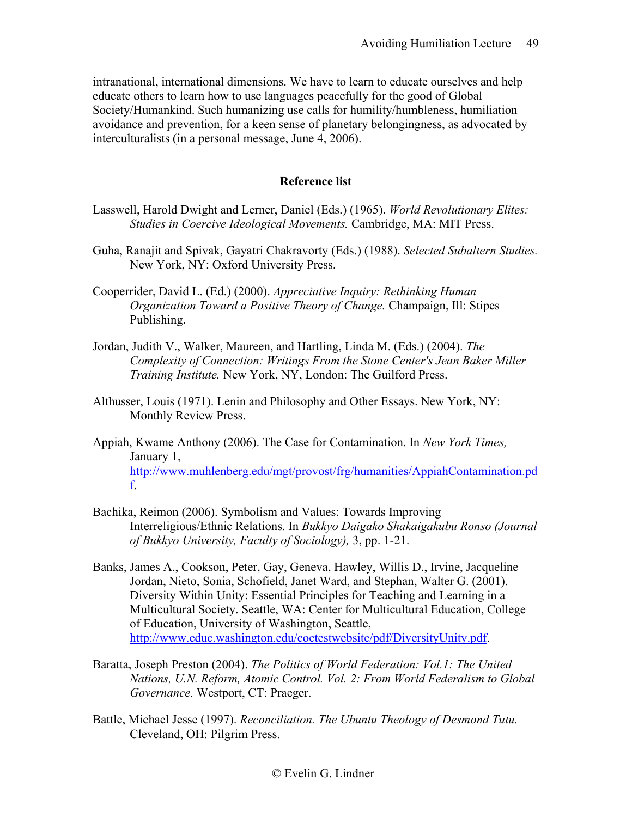intranational, international dimensions. We have to learn to educate ourselves and help educate others to learn how to use languages peacefully for the good of Global Society/Humankind. Such humanizing use calls for humility/humbleness, humiliation avoidance and prevention, for a keen sense of planetary belongingness, as advocated by interculturalists (in a personal message, June 4, 2006).

# **Reference list**

- <span id="page-48-0"></span>Lasswell, Harold Dwight and Lerner, Daniel (Eds.) (1965). *World Revolutionary Elites: Studies in Coercive Ideological Movements.* Cambridge, MA: MIT Press.
- Guha, Ranajit and Spivak, Gayatri Chakravorty (Eds.) (1988). *Selected Subaltern Studies.*  New York, NY: Oxford University Press.
- Cooperrider, David L. (Ed.) (2000). *Appreciative Inquiry: Rethinking Human Organization Toward a Positive Theory of Change.* Champaign, Ill: Stipes Publishing.
- Jordan, Judith V., Walker, Maureen, and Hartling, Linda M. (Eds.) (2004). *The Complexity of Connection: Writings From the Stone Center's Jean Baker Miller Training Institute.* New York, NY, London: The Guilford Press.
- Althusser, Louis (1971). Lenin and Philosophy and Other Essays. New York, NY: Monthly Review Press.
- Appiah, Kwame Anthony (2006). The Case for Contamination. In *New York Times,*  January 1, [http://www.muhlenberg.edu/mgt/provost/frg/humanities/AppiahContamination.pd](http://www.muhlenberg.edu/mgt/provost/frg/humanities/AppiahContamination.pdf) [f.](http://www.muhlenberg.edu/mgt/provost/frg/humanities/AppiahContamination.pdf)
- Bachika, Reimon (2006). Symbolism and Values: Towards Improving Interreligious/Ethnic Relations. In *Bukkyo Daigako Shakaigakubu Ronso (Journal of Bukkyo University, Faculty of Sociology),* 3, pp. 1-21.
- Banks, James A., Cookson, Peter, Gay, Geneva, Hawley, Willis D., Irvine, Jacqueline Jordan, Nieto, Sonia, Schofield, Janet Ward, and Stephan, Walter G. (2001). Diversity Within Unity: Essential Principles for Teaching and Learning in a Multicultural Society. Seattle, WA: Center for Multicultural Education, College of Education, University of Washington, Seattle, [http://www.educ.washington.edu/coetestwebsite/pdf/DiversityUnity.pdf.](http://www.educ.washington.edu/coetestwebsite/pdf/DiversityUnity.pdf)
- Baratta, Joseph Preston (2004). *The Politics of World Federation: Vol.1: The United Nations, U.N. Reform, Atomic Control. Vol. 2: From World Federalism to Global Governance.* Westport, CT: Praeger.
- Battle, Michael Jesse (1997). *Reconciliation. The Ubuntu Theology of Desmond Tutu.*  Cleveland, OH: Pilgrim Press.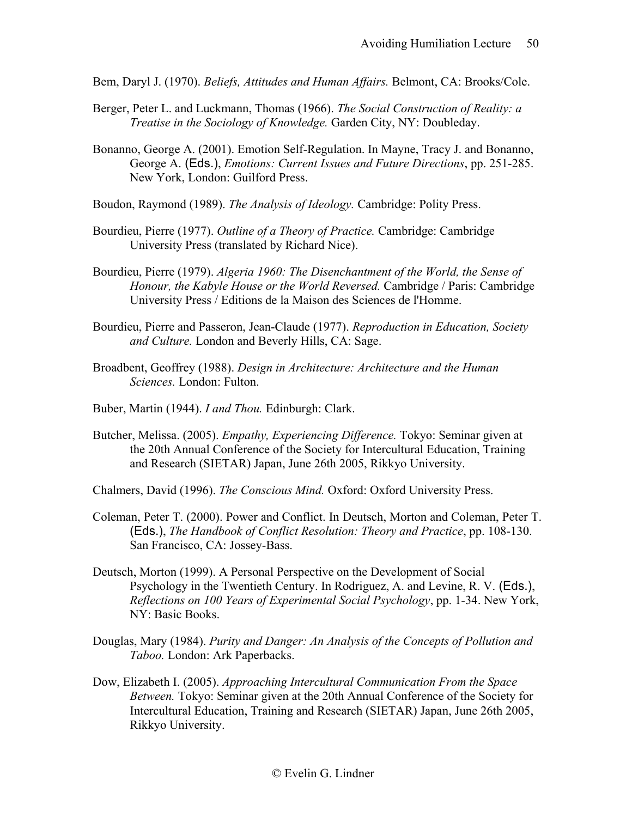Bem, Daryl J. (1970). *Beliefs, Attitudes and Human Affairs.* Belmont, CA: Brooks/Cole.

- Berger, Peter L. and Luckmann, Thomas (1966). *The Social Construction of Reality: a Treatise in the Sociology of Knowledge.* Garden City, NY: Doubleday.
- Bonanno, George A. (2001). Emotion Self-Regulation. In Mayne, Tracy J. and Bonanno, George A. (Eds.), *Emotions: Current Issues and Future Directions*, pp. 251-285. New York, London: Guilford Press.
- Boudon, Raymond (1989). *The Analysis of Ideology.* Cambridge: Polity Press.
- Bourdieu, Pierre (1977). *Outline of a Theory of Practice.* Cambridge: Cambridge University Press (translated by Richard Nice).
- Bourdieu, Pierre (1979). *Algeria 1960: The Disenchantment of the World, the Sense of Honour, the Kabyle House or the World Reversed.* Cambridge / Paris: Cambridge University Press / Editions de la Maison des Sciences de l'Homme.
- Bourdieu, Pierre and Passeron, Jean-Claude (1977). *Reproduction in Education, Society and Culture.* London and Beverly Hills, CA: Sage.
- Broadbent, Geoffrey (1988). *Design in Architecture: Architecture and the Human Sciences.* London: Fulton.
- Buber, Martin (1944). *I and Thou.* Edinburgh: Clark.
- Butcher, Melissa. (2005). *Empathy, Experiencing Difference.* Tokyo: Seminar given at the 20th Annual Conference of the Society for Intercultural Education, Training and Research (SIETAR) Japan, June 26th 2005, Rikkyo University.

Chalmers, David (1996). *The Conscious Mind.* Oxford: Oxford University Press.

- Coleman, Peter T. (2000). Power and Conflict. In Deutsch, Morton and Coleman, Peter T. (Eds.), *The Handbook of Conflict Resolution: Theory and Practice*, pp. 108-130. San Francisco, CA: Jossey-Bass.
- Deutsch, Morton (1999). A Personal Perspective on the Development of Social Psychology in the Twentieth Century. In Rodriguez, A. and Levine, R. V. (Eds.), *Reflections on 100 Years of Experimental Social Psychology*, pp. 1-34. New York, NY: Basic Books.
- Douglas, Mary (1984). *Purity and Danger: An Analysis of the Concepts of Pollution and Taboo.* London: Ark Paperbacks.
- Dow, Elizabeth I. (2005). *Approaching Intercultural Communication From the Space Between.* Tokyo: Seminar given at the 20th Annual Conference of the Society for Intercultural Education, Training and Research (SIETAR) Japan, June 26th 2005, Rikkyo University.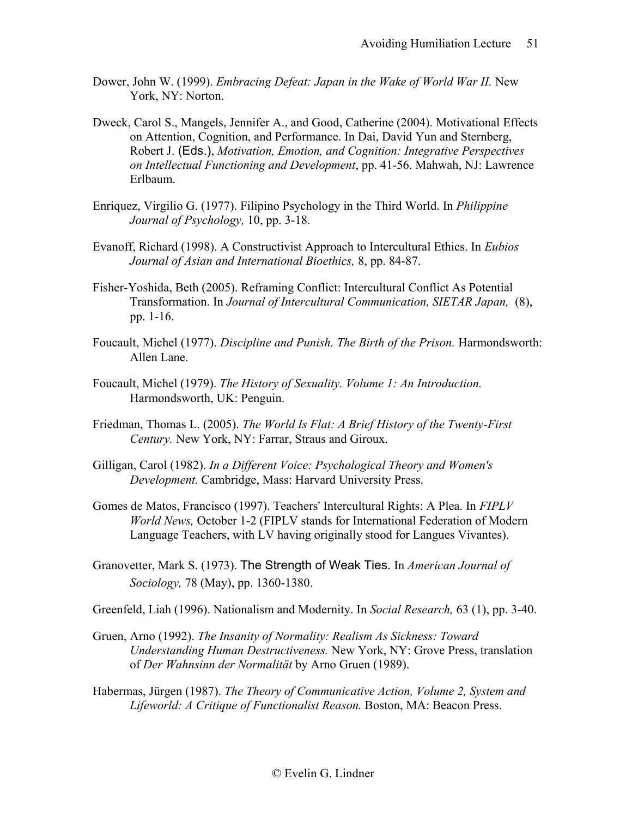- Dower, John W. (1999). *Embracing Defeat: Japan in the Wake of World War II*. New York, NY: Norton.
- Dweck, Carol S., Mangels, Jennifer A., and Good, Catherine (2004). Motivational Effects on Attention, Cognition, and Performance. In Dai, David Yun and Sternberg, Robert J. (Eds.), *Motivation, Emotion, and Cognition: Integrative Perspectives on Intellectual Functioning and Development*, pp. 41-56. Mahwah, NJ: Lawrence Erlbaum.
- Enriquez, Virgilio G. (1977). Filipino Psychology in the Third World. In *Philippine Journal of Psychology,* 10, pp. 3-18.
- Evanoff, Richard (1998). A Constructivist Approach to Intercultural Ethics. In *Eubios Journal of Asian and International Bioethics,* 8, pp. 84-87.
- Fisher-Yoshida, Beth (2005). Reframing Conflict: Intercultural Conflict As Potential Transformation. In *Journal of Intercultural Communication, SIETAR Japan,* (8), pp. 1-16.
- Foucault, Michel (1977). *Discipline and Punish. The Birth of the Prison.* Harmondsworth: Allen Lane.
- Foucault, Michel (1979). *The History of Sexuality. Volume 1: An Introduction.*  Harmondsworth, UK: Penguin.
- Friedman, Thomas L. (2005). *The World Is Flat: A Brief History of the Twenty-First Century.* New York, NY: Farrar, Straus and Giroux.
- Gilligan, Carol (1982). *In a Different Voice: Psychological Theory and Women's Development.* Cambridge, Mass: Harvard University Press.
- Gomes de Matos, Francisco (1997). Teachers' Intercultural Rights: A Plea. In *FIPLV World News,* October 1-2 (FIPLV stands for International Federation of Modern Language Teachers, with LV having originally stood for Langues Vivantes).
- Granovetter, Mark S. (1973). The Strength of Weak Ties. In *American Journal of Sociology,* 78 (May), pp. 1360-1380.

Greenfeld, Liah (1996). Nationalism and Modernity. In *Social Research,* 63 (1), pp. 3-40.

- Gruen, Arno (1992). *The Insanity of Normality: Realism As Sickness: Toward Understanding Human Destructiveness.* New York, NY: Grove Press, translation of *Der Wahnsinn der Normalität* by Arno Gruen (1989).
- Habermas, Jürgen (1987). *The Theory of Communicative Action, Volume 2, System and Lifeworld: A Critique of Functionalist Reason.* Boston, MA: Beacon Press.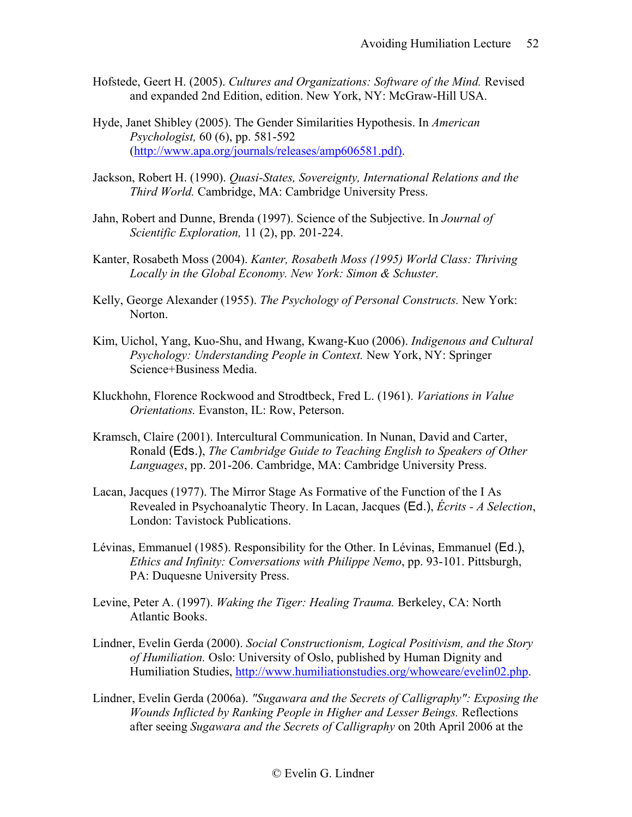- Hofstede, Geert H. (2005). *Cultures and Organizations: Software of the Mind.* Revised and expanded 2nd Edition, edition. New York, NY: McGraw-Hill USA.
- Hyde, Janet Shibley (2005). The Gender Similarities Hypothesis. In *American Psychologist,* 60 (6), pp. 581-592 [\(http://www.apa.org/journals/releases/amp606581.pdf\).](http://www.apa.org/journals/releases/amp606581.pdf))
- Jackson, Robert H. (1990). *Quasi-States, Sovereignty, International Relations and the Third World.* Cambridge, MA: Cambridge University Press.
- Jahn, Robert and Dunne, Brenda (1997). Science of the Subjective. In *Journal of Scientific Exploration,* 11 (2), pp. 201-224.
- Kanter, Rosabeth Moss (2004). *Kanter, Rosabeth Moss (1995) World Class: Thriving Locally in the Global Economy. New York: Simon & Schuster.*
- Kelly, George Alexander (1955). *The Psychology of Personal Constructs.* New York: Norton.
- Kim, Uichol, Yang, Kuo-Shu, and Hwang, Kwang-Kuo (2006). *Indigenous and Cultural Psychology: Understanding People in Context.* New York, NY: Springer Science+Business Media.
- Kluckhohn, Florence Rockwood and Strodtbeck, Fred L. (1961). *Variations in Value Orientations.* Evanston, IL: Row, Peterson.
- Kramsch, Claire (2001). Intercultural Communication. In Nunan, David and Carter, Ronald (Eds.), *The Cambridge Guide to Teaching English to Speakers of Other Languages*, pp. 201-206. Cambridge, MA: Cambridge University Press.
- Lacan, Jacques (1977). The Mirror Stage As Formative of the Function of the I As Revealed in Psychoanalytic Theory. In Lacan, Jacques (Ed.), *Écrits - A Selection*, London: Tavistock Publications.
- Lévinas, Emmanuel (1985). Responsibility for the Other. In Lévinas, Emmanuel (Ed.), *Ethics and Infinity: Conversations with Philippe Nemo*, pp. 93-101. Pittsburgh, PA: Duquesne University Press.
- Levine, Peter A. (1997). *Waking the Tiger: Healing Trauma.* Berkeley, CA: North Atlantic Books.
- Lindner, Evelin Gerda (2000). *Social Constructionism, Logical Positivism, and the Story of Humiliation.* Oslo: University of Oslo, published by Human Dignity and Humiliation Studies, [http://www.humiliationstudies.org/whoweare/evelin02.php.](http://www.humiliationstudies.org/whoweare/evelin02.php)
- Lindner, Evelin Gerda (2006a). *"Sugawara and the Secrets of Calligraphy": Exposing the Wounds Inflicted by Ranking People in Higher and Lesser Beings.* Reflections after seeing *Sugawara and the Secrets of Calligraphy* on 20th April 2006 at the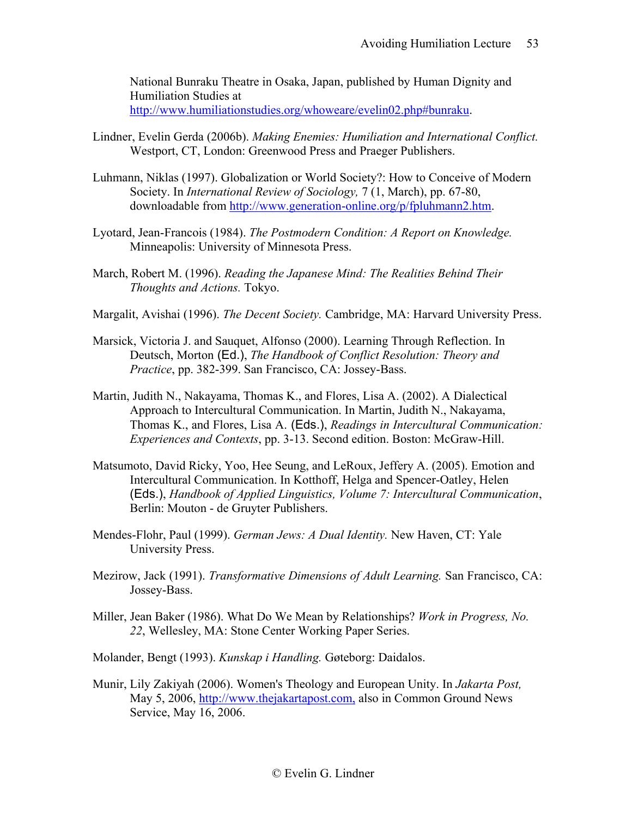National Bunraku Theatre in Osaka, Japan, published by Human Dignity and Humiliation Studies at [http://www.humiliationstudies.org/whoweare/evelin02.php#bunraku.](http://www.humiliationstudies.org/whoweare/evelin02.php#bunraku)

- Lindner, Evelin Gerda (2006b). *Making Enemies: Humiliation and International Conflict.*  Westport, CT, London: Greenwood Press and Praeger Publishers.
- Luhmann, Niklas (1997). Globalization or World Society?: How to Conceive of Modern Society. In *International Review of Sociology,* 7 (1, March), pp. 67-80, downloadable from [http://www.generation-online.org/p/fpluhmann2.htm.](http://www.generation-online.org/p/fpluhmann2.htm)
- Lyotard, Jean-Francois (1984). *The Postmodern Condition: A Report on Knowledge.* Minneapolis: University of Minnesota Press.
- March, Robert M. (1996). *Reading the Japanese Mind: The Realities Behind Their Thoughts and Actions.* Tokyo.
- Margalit, Avishai (1996). *The Decent Society.* Cambridge, MA: Harvard University Press.
- Marsick, Victoria J. and Sauquet, Alfonso (2000). Learning Through Reflection. In Deutsch, Morton (Ed.), *The Handbook of Conflict Resolution: Theory and Practice*, pp. 382-399. San Francisco, CA: Jossey-Bass.
- Martin, Judith N., Nakayama, Thomas K., and Flores, Lisa A. (2002). A Dialectical Approach to Intercultural Communication. In Martin, Judith N., Nakayama, Thomas K., and Flores, Lisa A. (Eds.), *Readings in Intercultural Communication: Experiences and Contexts*, pp. 3-13. Second edition. Boston: McGraw-Hill.
- Matsumoto, David Ricky, Yoo, Hee Seung, and LeRoux, Jeffery A. (2005). Emotion and Intercultural Communication. In Kotthoff, Helga and Spencer-Oatley, Helen (Eds.), *Handbook of Applied Linguistics, Volume 7: Intercultural Communication*, Berlin: Mouton - de Gruyter Publishers.
- Mendes-Flohr, Paul (1999). *German Jews: A Dual Identity.* New Haven, CT: Yale University Press.
- Mezirow, Jack (1991). *Transformative Dimensions of Adult Learning.* San Francisco, CA: Jossey-Bass.
- Miller, Jean Baker (1986). What Do We Mean by Relationships? *Work in Progress, No. 22*, Wellesley, MA: Stone Center Working Paper Series.
- Molander, Bengt (1993). *Kunskap i Handling.* Gøteborg: Daidalos.
- Munir, Lily Zakiyah (2006). Women's Theology and European Unity. In *Jakarta Post,*  May 5, 2006, [http://www.thejakartapost.com,](http://www.thejakartapost.com,/) also in Common Ground News Service, May 16, 2006.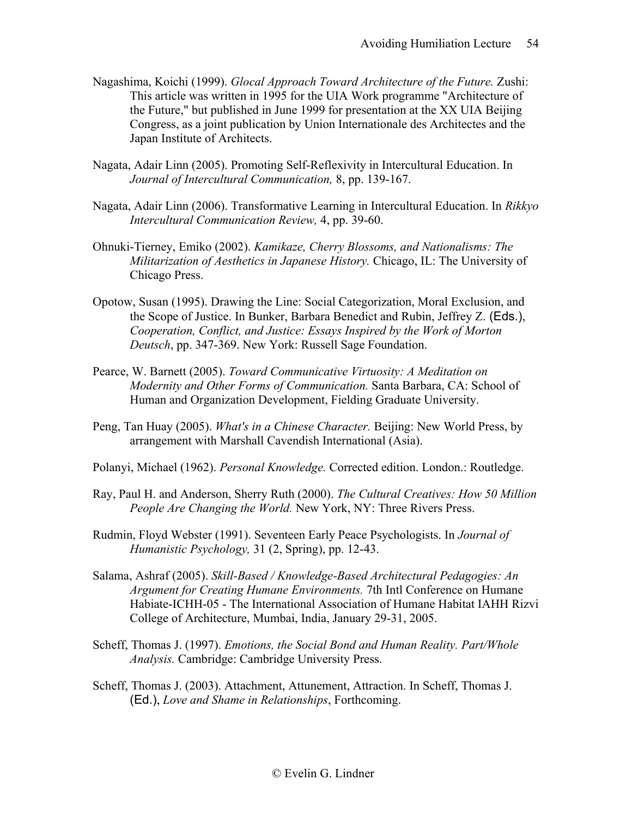- Nagashima, Koichi (1999). *Glocal Approach Toward Architecture of the Future.* Zushi: This article was written in 1995 for the UIA Work programme "Architecture of the Future," but published in June 1999 for presentation at the XX UIA Beijing Congress, as a joint publication by Union Internationale des Architectes and the Japan Institute of Architects.
- Nagata, Adair Linn (2005). Promoting Self-Reflexivity in Intercultural Education. In *Journal of Intercultural Communication,* 8, pp. 139-167.
- Nagata, Adair Linn (2006). Transformative Learning in Intercultural Education. In *Rikkyo Intercultural Communication Review,* 4, pp. 39-60.
- Ohnuki-Tierney, Emiko (2002). *Kamikaze, Cherry Blossoms, and Nationalisms: The Militarization of Aesthetics in Japanese History.* Chicago, IL: The University of Chicago Press.
- Opotow, Susan (1995). Drawing the Line: Social Categorization, Moral Exclusion, and the Scope of Justice. In Bunker, Barbara Benedict and Rubin, Jeffrey Z. (Eds.), *Cooperation, Conflict, and Justice: Essays Inspired by the Work of Morton Deutsch*, pp. 347-369. New York: Russell Sage Foundation.
- Pearce, W. Barnett (2005). *Toward Communicative Virtuosity: A Meditation on Modernity and Other Forms of Communication.* Santa Barbara, CA: School of Human and Organization Development, Fielding Graduate University.
- Peng, Tan Huay (2005). *What's in a Chinese Character.* Beijing: New World Press, by arrangement with Marshall Cavendish International (Asia).
- Polanyi, Michael (1962). *Personal Knowledge.* Corrected edition. London.: Routledge.
- Ray, Paul H. and Anderson, Sherry Ruth (2000). *The Cultural Creatives: How 50 Million People Are Changing the World.* New York, NY: Three Rivers Press.
- Rudmin, Floyd Webster (1991). Seventeen Early Peace Psychologists. In *Journal of Humanistic Psychology,* 31 (2, Spring), pp. 12-43.
- Salama, Ashraf (2005). *Skill-Based / Knowledge-Based Architectural Pedagogies: An Argument for Creating Humane Environments.* 7th Intl Conference on Humane Habiate-ICHH-05 - The International Association of Humane Habitat IAHH Rizvi College of Architecture, Mumbai, India, January 29-31, 2005.
- Scheff, Thomas J. (1997). *Emotions, the Social Bond and Human Reality. Part/Whole Analysis.* Cambridge: Cambridge University Press.
- Scheff, Thomas J. (2003). Attachment, Attunement, Attraction. In Scheff, Thomas J. (Ed.), *Love and Shame in Relationships*, Forthcoming.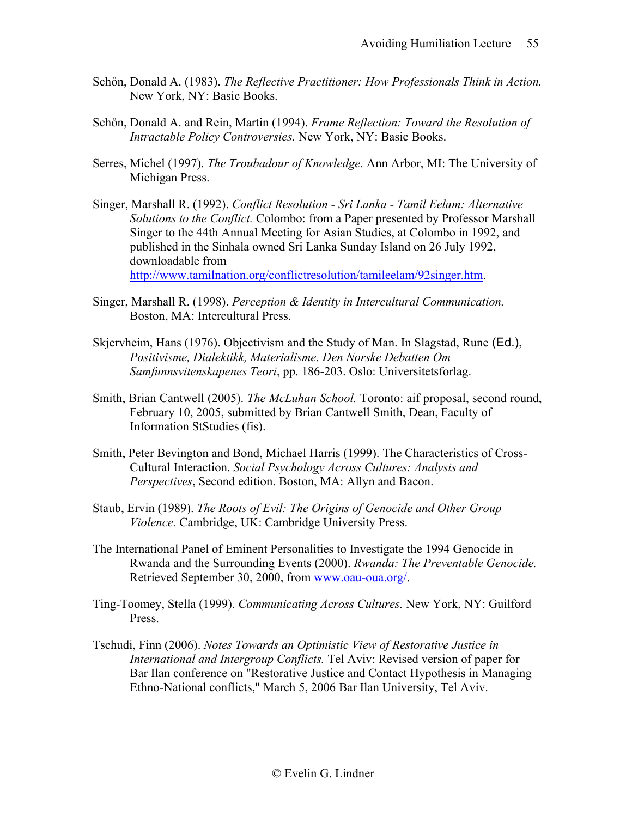- Schön, Donald A. (1983). *The Reflective Practitioner: How Professionals Think in Action.*  New York, NY: Basic Books.
- Schön, Donald A. and Rein, Martin (1994). *Frame Reflection: Toward the Resolution of Intractable Policy Controversies.* New York, NY: Basic Books.
- Serres, Michel (1997). *The Troubadour of Knowledge.* Ann Arbor, MI: The University of Michigan Press.
- Singer, Marshall R. (1992). *Conflict Resolution - Sri Lanka - Tamil Eelam: Alternative Solutions to the Conflict.* Colombo: from a Paper presented by Professor Marshall Singer to the 44th Annual Meeting for Asian Studies, at Colombo in 1992, and published in the Sinhala owned Sri Lanka Sunday Island on 26 July 1992, downloadable from [http://www.tamilnation.org/conflictresolution/tamileelam/92singer.htm.](http://www.tamilnation.org/conflictresolution/tamileelam/92singer.htm)
- Singer, Marshall R. (1998). *Perception & Identity in Intercultural Communication.*  Boston, MA: Intercultural Press.
- Skjervheim, Hans (1976). Objectivism and the Study of Man. In Slagstad, Rune (Ed.), *Positivisme, Dialektikk, Materialisme. Den Norske Debatten Om Samfunnsvitenskapenes Teori*, pp. 186-203. Oslo: Universitetsforlag.
- Smith, Brian Cantwell (2005). *The McLuhan School.* Toronto: aif proposal, second round, February 10, 2005, submitted by Brian Cantwell Smith, Dean, Faculty of Information StStudies (fis).
- Smith, Peter Bevington and Bond, Michael Harris (1999). The Characteristics of Cross-Cultural Interaction. *Social Psychology Across Cultures: Analysis and Perspectives*, Second edition. Boston, MA: Allyn and Bacon.
- Staub, Ervin (1989). *The Roots of Evil: The Origins of Genocide and Other Group Violence.* Cambridge, UK: Cambridge University Press.
- The International Panel of Eminent Personalities to Investigate the 1994 Genocide in Rwanda and the Surrounding Events (2000). *Rwanda: The Preventable Genocide.*  Retrieved September 30, 2000, from [www.oau-oua.org/.](http://www.oau-oua.org/)
- Ting-Toomey, Stella (1999). *Communicating Across Cultures.* New York, NY: Guilford Press.
- Tschudi, Finn (2006). *Notes Towards an Optimistic View of Restorative Justice in International and Intergroup Conflicts.* Tel Aviv: Revised version of paper for Bar Ilan conference on "Restorative Justice and Contact Hypothesis in Managing Ethno-National conflicts," March 5, 2006 Bar Ilan University, Tel Aviv.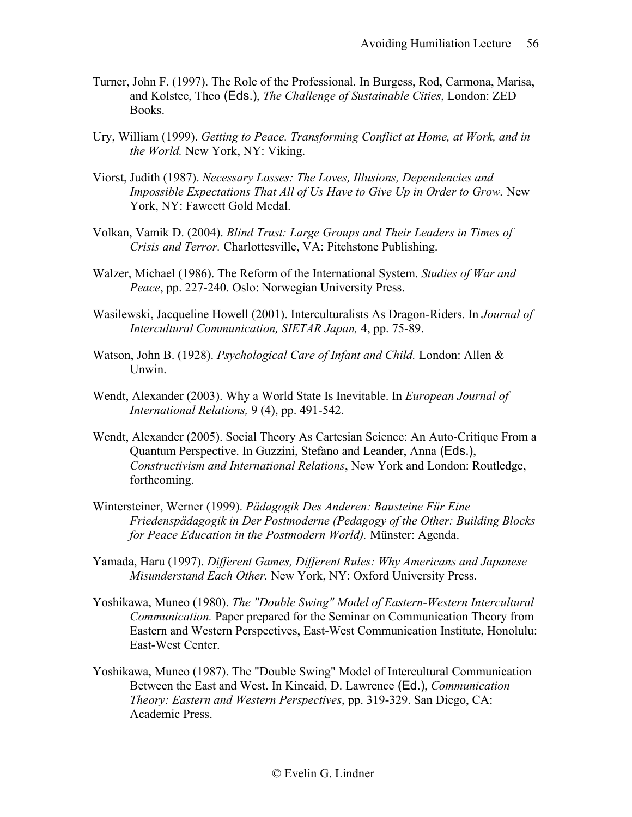- Turner, John F. (1997). The Role of the Professional. In Burgess, Rod, Carmona, Marisa, and Kolstee, Theo (Eds.), *The Challenge of Sustainable Cities*, London: ZED Books.
- Ury, William (1999). *Getting to Peace. Transforming Conflict at Home, at Work, and in the World.* New York, NY: Viking.
- Viorst, Judith (1987). *Necessary Losses: The Loves, Illusions, Dependencies and Impossible Expectations That All of Us Have to Give Up in Order to Grow.* New York, NY: Fawcett Gold Medal.
- Volkan, Vamik D. (2004). *Blind Trust: Large Groups and Their Leaders in Times of Crisis and Terror.* Charlottesville, VA: Pitchstone Publishing.
- Walzer, Michael (1986). The Reform of the International System. *Studies of War and Peace*, pp. 227-240. Oslo: Norwegian University Press.
- Wasilewski, Jacqueline Howell (2001). Interculturalists As Dragon-Riders. In *Journal of Intercultural Communication, SIETAR Japan,* 4, pp. 75-89.
- Watson, John B. (1928). *Psychological Care of Infant and Child.* London: Allen & Unwin.
- Wendt, Alexander (2003). Why a World State Is Inevitable. In *European Journal of International Relations,* 9 (4), pp. 491-542.
- Wendt, Alexander (2005). Social Theory As Cartesian Science: An Auto-Critique From a Quantum Perspective. In Guzzini, Stefano and Leander, Anna (Eds.), *Constructivism and International Relations*, New York and London: Routledge, forthcoming.
- Wintersteiner, Werner (1999). *Pädagogik Des Anderen: Bausteine Für Eine Friedenspädagogik in Der Postmoderne (Pedagogy of the Other: Building Blocks for Peace Education in the Postmodern World).* Münster: Agenda.
- Yamada, Haru (1997). *Different Games, Different Rules: Why Americans and Japanese Misunderstand Each Other.* New York, NY: Oxford University Press.
- Yoshikawa, Muneo (1980). *The "Double Swing" Model of Eastern-Western Intercultural Communication.* Paper prepared for the Seminar on Communication Theory from Eastern and Western Perspectives, East-West Communication Institute, Honolulu: East-West Center.
- Yoshikawa, Muneo (1987). The "Double Swing" Model of Intercultural Communication Between the East and West. In Kincaid, D. Lawrence (Ed.), *Communication Theory: Eastern and Western Perspectives*, pp. 319-329. San Diego, CA: Academic Press.